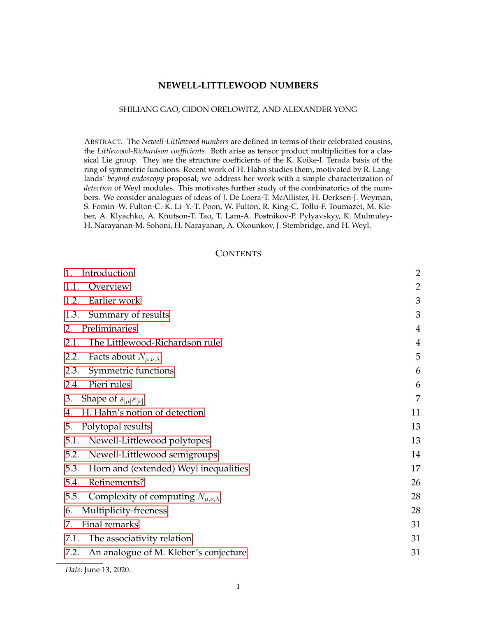# **NEWELL-LITTLEWOOD NUMBERS**

### SHILIANG GAO, GIDON ORELOWITZ, AND ALEXANDER YONG

ABSTRACT. The *Newell-Littlewood numbers* are defined in terms of their celebrated cousins, the *Littlewood-Richardson coefficients*. Both arise as tensor product multiplicities for a classical Lie group. They are the structure coefficients of the K. Koike-I. Terada basis of the ring of symmetric functions. Recent work of H. Hahn studies them, motivated by R. Langlands' *beyond endoscopy* proposal; we address her work with a simple characterization of *detection* of Weyl modules. This motivates further study of the combinatorics of the numbers. We consider analogues of ideas of J. De Loera-T. McAllister, H. Derksen-J. Weyman, S. Fomin–W. Fulton-C.-K. Li–Y.-T. Poon, W. Fulton, R. King-C. Tollu-F. Toumazet, M. Kleber, A. Klyachko, A. Knutson-T. Tao, T. Lam-A. Postnikov-P. Pylyavskyy, K. Mulmuley-H. Narayanan-M. Sohoni, H. Narayanan, A. Okounkov, J. Stembridge, and H. Weyl.

## **CONTENTS**

| Introduction<br>1.                                    | $\overline{2}$ |
|-------------------------------------------------------|----------------|
| Overview<br>1.1.                                      | $\overline{2}$ |
| Earlier work<br>1.2.                                  | 3              |
| 1.3.<br>Summary of results                            | 3              |
| Preliminaries<br>2.                                   | $\overline{4}$ |
| The Littlewood-Richardson rule<br>2.1.                | $\overline{4}$ |
| Facts about $N_{\mu,\nu,\lambda}$<br>2.2.             | 5              |
| Symmetric functions<br>2.3.                           | 6              |
| Pieri rules<br>2.4.                                   | 6              |
| Shape of $s_{\mu} s_{\nu}$<br>3.                      | 7              |
| H. Hahn's notion of detection<br>4.                   | 11             |
| Polytopal results<br>5.                               | 13             |
| Newell-Littlewood polytopes<br>5.1.                   | 13             |
| 5.2.<br>Newell-Littlewood semigroups                  | 14             |
| 5.3.<br>Horn and (extended) Weyl inequalities         | 17             |
| Refinements?<br>5.4.                                  | 26             |
| 5.5.<br>Complexity of computing $N_{\mu,\nu,\lambda}$ | 28             |
| Multiplicity-freeness<br>6.                           | 28             |
| Final remarks<br>7.                                   | 31             |
| The associativity relation<br>7.1.                    | 31             |
| An analogue of M. Kleber's conjecture<br>7.2.         | 31             |
|                                                       |                |

*Date*: June 13, 2020.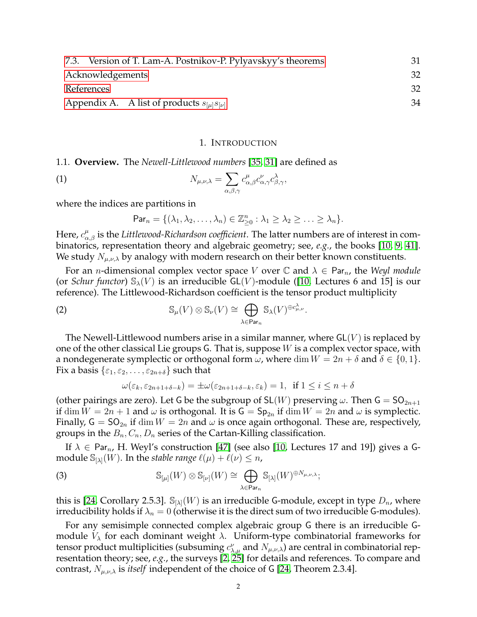| 7.3. Version of T. Lam-A. Postnikov-P. Pylyavskyy's theorems                     | 31 |
|----------------------------------------------------------------------------------|----|
| Acknowledgements                                                                 | 32 |
| References                                                                       | 32 |
| Appendix A. A list of products $s_{\lbrack \mu \rbrack} s_{\lbrack \nu \rbrack}$ | 34 |

#### <span id="page-1-2"></span>1. INTRODUCTION

<span id="page-1-1"></span><span id="page-1-0"></span>1.1. **Overview.** The *Newell-Littlewood numbers* [\[35,](#page-33-1) [31\]](#page-33-2) are defined as

(1) 
$$
N_{\mu,\nu,\lambda} = \sum_{\alpha,\beta,\gamma} c_{\alpha,\beta}^{\mu} c_{\alpha,\gamma}^{\nu} c_{\beta,\gamma}^{\lambda},
$$

where the indices are partitions in

$$
\mathsf{Par}_n = \{(\lambda_1, \lambda_2, \ldots, \lambda_n) \in \mathbb{Z}_{\geq 0}^n : \lambda_1 \geq \lambda_2 \geq \ldots \geq \lambda_n\}.
$$

Here,  $c_{\alpha,\beta}^\mu$  is the *Littlewood-Richardson coefficient*. The latter numbers are of interest in combinatorics, representation theory and algebraic geometry; see, *e.g.*, the books [\[10,](#page-32-0) [9,](#page-32-1) [41\]](#page-33-3). We study  $N_{\mu,\nu,\lambda}$  by analogy with modern research on their better known constituents.

For an *n*-dimensional complex vector space V over  $\mathbb C$  and  $\lambda \in \text{Par}_n$ , the *Weyl module* (or *Schur functor*)  $\mathcal{S}_{\lambda}(V)$  is an irreducible GL(V)-module ([\[10,](#page-32-0) Lectures 6 and 15] is our reference). The Littlewood-Richardson coefficient is the tensor product multiplicity

(2) 
$$
\mathbb{S}_{\mu}(V) \otimes \mathbb{S}_{\nu}(V) \cong \bigoplus_{\lambda \in \text{Par}_n} \mathbb{S}_{\lambda}(V)^{\oplus c_{\mu,\nu}^{\lambda}}.
$$

The Newell-Littlewood numbers arise in a similar manner, where  $GL(V)$  is replaced by one of the other classical Lie groups G. That is, suppose  $W$  is a complex vector space, with a nondegenerate symplectic or orthogonal form  $\omega$ , where dim  $W = 2n + \delta$  and  $\delta \in \{0, 1\}$ . Fix a basis  $\{\varepsilon_1, \varepsilon_2, \ldots, \varepsilon_{2n+ \delta}\}$  such that

$$
\omega(\varepsilon_k, \varepsilon_{2n+1+\delta-k}) = \pm \omega(\varepsilon_{2n+1+\delta-k}, \varepsilon_k) = 1, \text{ if } 1 \le i \le n+\delta
$$

(other pairings are zero). Let G be the subgroup of  $SL(W)$  preserving  $\omega$ . Then  $G = SO_{2n+1}$ if  $\dim W = 2n + 1$  and  $\omega$  is orthogonal. It is  $G = Sp_{2n}$  if  $\dim W = 2n$  and  $\omega$  is symplectic. Finally,  $G = SO_{2n}$  if  $\dim W = 2n$  and  $\omega$  is once again orthogonal. These are, respectively, groups in the  $B_n, C_n, D_n$  series of the Cartan-Killing classification.

If  $\lambda \in \text{Par}_{n}$ , H. Weyl's construction [\[47\]](#page-33-4) (see also [\[10,](#page-32-0) Lectures 17 and 19]) gives a Gmodule  $\mathbb{S}_{[\lambda]}(W)$ . In the *stable range*  $\ell(\mu) + \ell(\nu) \leq n$ ,

(3) 
$$
\mathbb{S}_{[\mu]}(W) \otimes \mathbb{S}_{[\nu]}(W) \cong \bigoplus_{\lambda \in \text{Par}_n} \mathbb{S}_{[\lambda]}(W)^{\oplus N_{\mu,\nu,\lambda}};
$$

this is [\[24,](#page-32-2) Corollary 2.5.3].  $\mathbb{S}_{[\lambda]}(W)$  is an irreducible G-module, except in type  $D_n$ , where irreducibility holds if  $\lambda_n = 0$  (otherwise it is the direct sum of two irreducible G-modules).

For any semisimple connected complex algebraic group G there is an irreducible Gmodule  $V_{\lambda}$  for each dominant weight  $\lambda$ . Uniform-type combinatorial frameworks for tensor product multiplicities (subsuming  $c^{\nu}_{\lambda,\mu}$  and  $N_{\mu,\nu,\lambda}$ ) are central in combinatorial representation theory; see, *e.g.*, the surveys [\[2,](#page-31-2) [25\]](#page-32-3) for details and references. To compare and contrast,  $N_{\mu,\nu,\lambda}$  is *itself* independent of the choice of G [\[24,](#page-32-2) Theorem 2.3.4].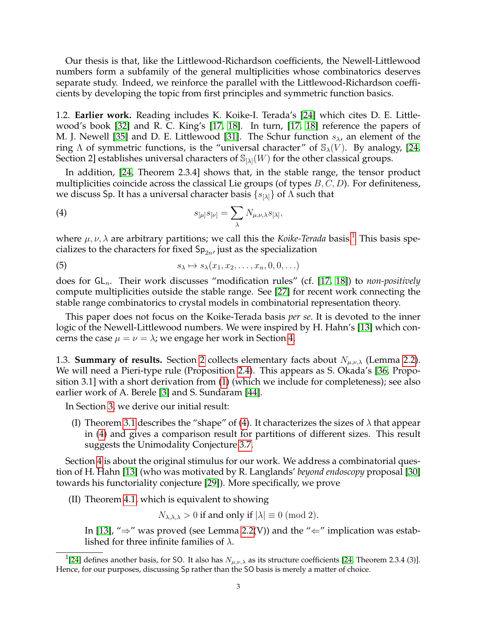Our thesis is that, like the Littlewood-Richardson coefficients, the Newell-Littlewood numbers form a subfamily of the general multiplicities whose combinatorics deserves separate study. Indeed, we reinforce the parallel with the Littlewood-Richardson coefficients by developing the topic from first principles and symmetric function basics.

<span id="page-2-0"></span>1.2. **Earlier work.** Reading includes K. Koike-I. Terada's [\[24\]](#page-32-2) which cites D. E. Littlewood's book [\[32\]](#page-33-5) and R. C. King's [\[17,](#page-32-4) [18\]](#page-32-5). In turn, [\[17,](#page-32-4) [18\]](#page-32-5) reference the papers of M. J. Newell [\[35\]](#page-33-1) and D. E. Littlewood [\[31\]](#page-33-2). The Schur function  $s_{\lambda}$ , an element of the ring  $\Lambda$  of symmetric functions, is the "universal character" of  $\mathcal{S}_{\lambda}(V)$ . By analogy, [\[24,](#page-32-2) Section 2] establishes universal characters of  $\mathcal{S}_{[\lambda]}(W)$  for the other classical groups.

In addition, [\[24,](#page-32-2) Theorem 2.3.4] shows that, in the stable range, the tensor product multiplicities coincide across the classical Lie groups (of types  $B, C, D$ ). For definiteness, we discuss Sp. It has a universal character basis  $\{s_{[\lambda]}\}\$  of  $\Lambda$  such that

<span id="page-2-3"></span>(4) 
$$
s_{[\mu]}s_{[\nu]} = \sum_{\lambda} N_{\mu,\nu,\lambda} s_{[\lambda]},
$$

where  $\mu, \nu, \lambda$  are arbitrary partitions; we call this the *Koike-Terada* basis.<sup>[1](#page-2-2)</sup> This basis specializes to the characters for fixed  $\mathsf{Sp}_{2n'}$  just as the specialization

<span id="page-2-4"></span>(5) 
$$
s_{\lambda} \mapsto s_{\lambda}(x_1, x_2, \ldots, x_n, 0, 0, \ldots)
$$

does for  $GL_n$ . Their work discusses "modification rules" (cf. [\[17,](#page-32-4) [18\]](#page-32-5)) to *non-positively* compute multiplicities outside the stable range. See [\[27\]](#page-32-6) for recent work connecting the stable range combinatorics to crystal models in combinatorial representation theory.

This paper does not focus on the Koike-Terada basis *per se*. It is devoted to the inner logic of the Newell-Littlewood numbers. We were inspired by H. Hahn's [\[13\]](#page-32-7) which concerns the case  $\mu = \nu = \lambda$ ; we engage her work in Section [4.](#page-10-0)

<span id="page-2-1"></span>1.3. **Summary of results.** Section [2](#page-3-0) collects elementary facts about  $N_{\mu,\nu,\lambda}$  (Lemma [2.2\)](#page-4-1). We will need a Pieri-type rule (Proposition [2.4\)](#page-6-1). This appears as S. Okada's [\[36,](#page-33-6) Proposition 3.1] with a short derivation from [\(1\)](#page-1-2) (which we include for completeness); see also earlier work of A. Berele [\[3\]](#page-32-8) and S. Sundaram [\[44\]](#page-33-7).

In Section [3,](#page-6-0) we derive our initial result:

(I) Theorem [3.1](#page-6-2) describes the "shape" of [\(4\)](#page-2-3). It characterizes the sizes of  $\lambda$  that appear in [\(4\)](#page-2-3) and gives a comparison result for partitions of different sizes. This result suggests the Unimodality Conjecture [3.7.](#page-10-1)

Section [4](#page-10-0) is about the original stimulus for our work. We address a combinatorial question of H. Hahn [\[13\]](#page-32-7) (who was motivated by R. Langlands' *beyond endoscopy* proposal [\[30\]](#page-32-9) towards his functoriality conjecture [\[29\]](#page-32-10)). More specifically, we prove

(II) Theorem [4.1,](#page-11-0) which is equivalent to showing

 $N_{\lambda,\lambda,\lambda} > 0$  if and only if  $|\lambda| \equiv 0 \pmod{2}$ .

In [\[13\]](#page-32-7), " $\Rightarrow$ " was proved (see Lemma [2.2\(](#page-4-1)V)) and the " $\Leftarrow$ " implication was established for three infinite families of  $\lambda$ .

<span id="page-2-2"></span><sup>&</sup>lt;sup>1</sup>[\[24\]](#page-32-2) defines another basis, for SO. It also has  $N_{\mu,\nu,\lambda}$  as its structure coefficients [\[24,](#page-32-2) Theorem 2.3.4 (3)]. Hence, for our purposes, discussing Sp rather than the SO basis is merely a matter of choice.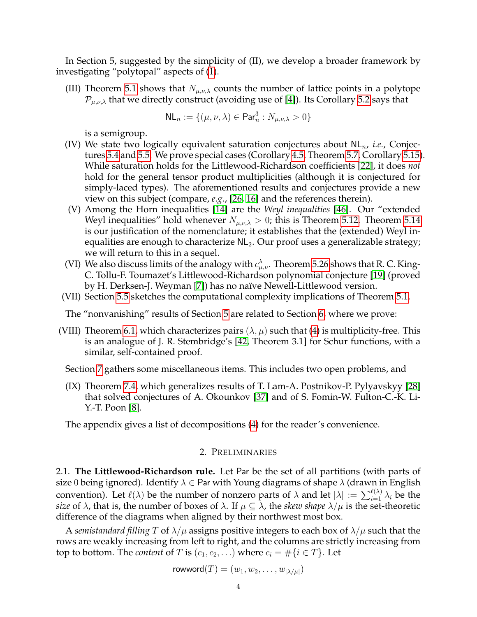In Section 5, suggested by the simplicity of (II), we develop a broader framework by investigating "polytopal" aspects of [\(1\)](#page-1-2).

(III) Theorem [5.1](#page-13-1) shows that  $N_{\mu,\nu,\lambda}$  counts the number of lattice points in a polytope  $\mathcal{P}_{\mu,\nu,\lambda}$  that we directly construct (avoiding use of [\[4\]](#page-32-11)). Its Corollary [5.2](#page-13-2) says that

$$
\mathsf{NL}_n := \{(\mu, \nu, \lambda) \in \mathsf{Par}^3_n : N_{\mu, \nu, \lambda} > 0\}
$$

is a semigroup.

- (IV) We state two logically equivalent saturation conjectures about  $\mathsf{NL}_n$ , *i.e.*, Conjectures [5.4](#page-14-0) and [5.5.](#page-14-1) We prove special cases (Corollary [4.5,](#page-12-2) Theorem [5.7,](#page-15-0) Corollary [5.15\)](#page-19-0). While saturation holds for the Littlewood-Richardson coefficients [\[22\]](#page-32-12), it does *not* hold for the general tensor product multiplicities (although it is conjectured for simply-laced types). The aforementioned results and conjectures provide a new view on this subject (compare, *e.g.*, [\[26,](#page-32-13) [16\]](#page-32-14) and the references therein).
- (V) Among the Horn inequalities [\[14\]](#page-32-15) are the *Weyl inequalities* [\[46\]](#page-33-8). Our "extended Weyl inequalities" hold whenever  $N_{\mu,\nu,\lambda} > 0$ ; this is Theorem [5.12.](#page-17-0) Theorem [5.14](#page-18-0) is our justification of the nomenclature; it establishes that the (extended) Weyl inequalities are enough to characterize  $NL<sub>2</sub>$ . Our proof uses a generalizable strategy; we will return to this in a sequel.
- (VI) We also discuss limits of the analogy with  $c_{\mu,\nu}^{\lambda}$ . Theorem [5.26](#page-26-0) shows that R. C. King-C. Tollu-F. Toumazet's Littlewood-Richardson polynomial conjecture [\[19\]](#page-32-16) (proved by H. Derksen-J. Weyman [\[7\]](#page-32-17)) has no naïve Newell-Littlewood version.
- (VII) Section [5.5](#page-27-0) sketches the computational complexity implications of Theorem [5.1.](#page-13-1)

The "nonvanishing" results of Section [5](#page-12-0) are related to Section [6,](#page-27-1) where we prove:

- (VIII) Theorem [6.1,](#page-27-2) which characterizes pairs  $(\lambda, \mu)$  such that [\(4\)](#page-2-3) is multiplicity-free. This is an analogue of J. R. Stembridge's [\[42,](#page-33-9) Theorem 3.1] for Schur functions, with a similar, self-contained proof.
	- Section [7](#page-30-0) gathers some miscellaneous items. This includes two open problems, and
	- (IX) Theorem [7.4,](#page-31-3) which generalizes results of T. Lam-A. Postnikov-P. Pylyavskyy [\[28\]](#page-32-18) that solved conjectures of A. Okounkov [\[37\]](#page-33-10) and of S. Fomin-W. Fulton-C.-K. Li-Y.-T. Poon [\[8\]](#page-32-19).

The appendix gives a list of decompositions [\(4\)](#page-2-3) for the reader's convenience.

### 2. PRELIMINARIES

<span id="page-3-1"></span><span id="page-3-0"></span>2.1. **The Littlewood-Richardson rule.** Let Par be the set of all partitions (with parts of size 0 being ignored). Identify  $\lambda \in$  Par with Young diagrams of shape  $\lambda$  (drawn in English convention). Let  $\ell(\lambda)$  be the number of nonzero parts of  $\lambda$  and let  $|\lambda| := \sum_{i=1}^{\ell(\lambda)} \lambda_i$  be the *size* of  $\lambda$ , that is, the number of boxes of  $\lambda$ . If  $\mu \subseteq \lambda$ , the *skew shape*  $\lambda/\mu$  is the set-theoretic difference of the diagrams when aligned by their northwest most box.

A *semistandard filling* T of  $\lambda/\mu$  assigns positive integers to each box of  $\lambda/\mu$  such that the rows are weakly increasing from left to right, and the columns are strictly increasing from top to bottom. The *content* of T is  $(c_1, c_2, ...)$  where  $c_i = \#\{i \in T\}$ . Let

$$
\mathsf{rowword}(T) = (w_1, w_2, \dots, w_{|\lambda/\mu|})
$$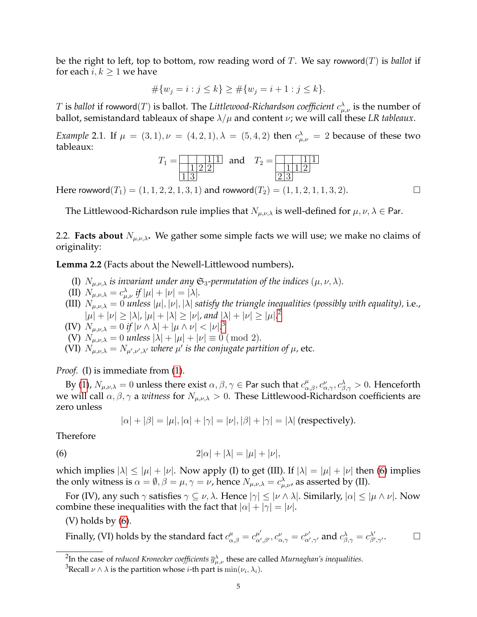be the right to left, top to bottom, row reading word of T. We say rowword(T) is *ballot* if for each  $i, k \geq 1$  we have

$$
#{w_j = i : j \le k} \ge #{w_j = i + 1 : j \le k}.
$$

 $T$  is *ballot* if rowword $(T)$  is ballot. The Littlewood-Richardson coefficient  $c^\lambda_{\mu,\nu}$  is the number of ballot, semistandard tableaux of shape  $\lambda/\mu$  and content  $\nu$ ; we will call these *LR tableaux*.

*Example* 2.1. If  $\mu = (3, 1), \nu = (4, 2, 1), \lambda = (5, 4, 2)$  then  $c^{\lambda}_{\mu,\nu} = 2$  because of these two tableaux:

$$
T_1 = \frac{1}{122}
$$
 and  $T_2 = \frac{1}{112}$   
  $1\frac{1}{2}$ 

Here rowword( $T_1$ ) = (1, 1, 2, 2, 1, 3, 1) and rowword( $T_2$ ) = (1, 1, 2, 1, 1, 3, 2).

The Littlewood-Richardson rule implies that  $N_{\mu,\nu,\lambda}$  is well-defined for  $\mu,\nu,\lambda \in$  Par.

<span id="page-4-0"></span>2.2. **Facts about**  $N_{\mu,\nu,\lambda}$ . We gather some simple facts we will use; we make no claims of originality:

<span id="page-4-1"></span>**Lemma 2.2** (Facts about the Newell-Littlewood numbers)**.**

- (I)  $N_{\mu,\nu,\lambda}$  *is invariant under any*  $\mathfrak{S}_3$ -permutation of the indices  $(\mu,\nu,\lambda)$ .
- (II)  $N_{\mu,\nu,\lambda} = c_{\mu,\nu}^{\lambda}$  if  $|\mu| + |\nu| = |\lambda|$ .
- (III)  $N_{\mu,\nu,\lambda} = 0$  *unless*  $|\mu|, |\nu|, |\lambda|$  *satisfy the triangle inequalities (possibly with equality), i.e.,*  $|\mu| + |\nu| \ge |\lambda|, |\mu| + |\lambda| \ge |\nu|,$  and  $|\lambda| + |\nu| \ge |\mu|^{2}$  $|\lambda| + |\nu| \ge |\mu|^{2}$  $|\lambda| + |\nu| \ge |\mu|^{2}$
- (IV)  $N_{\mu,\nu,\lambda} = 0$  if  $|\nu \wedge \lambda| + |\mu \wedge \nu| < |\nu|^{3}$  $|\nu \wedge \lambda| + |\mu \wedge \nu| < |\nu|^{3}$  $|\nu \wedge \lambda| + |\mu \wedge \nu| < |\nu|^{3}$
- (V)  $N_{\mu,\nu,\lambda} = 0$  *unless*  $|\lambda| + |\mu| + |\nu| \equiv 0 \pmod{2}$ .
- (VI)  $N_{\mu,\nu,\lambda} = N_{\mu',\nu',\lambda'}$  where  $\mu'$  is the conjugate partition of  $\mu$ , etc.

*Proof.* (I) is immediate from [\(1\)](#page-1-2).

By [\(1\)](#page-1-2),  $N_{\mu,\nu,\lambda}=0$  unless there exist  $\alpha,\beta,\gamma\in$  Par such that  $c_{\alpha,\beta}^{\mu},c_{\alpha,\gamma}^{\nu},c_{\beta,\gamma}^{\lambda}>0.$  Henceforth we will call  $\alpha, \beta, \gamma$  a *witness* for  $N_{\mu,\nu,\lambda} > 0$ . These Littlewood-Richardson coefficients are zero unless

<span id="page-4-4"></span>
$$
|\alpha| + |\beta| = |\mu|, |\alpha| + |\gamma| = |\nu|, |\beta| + |\gamma| = |\lambda| \text{ (respectively)}.
$$

Therefore

$$
(6) \qquad \qquad 2|\alpha|+|\lambda|=|\mu|+|\nu|,
$$

which implies  $|\lambda| \leq |\mu| + |\nu|$ . Now apply (I) to get (III). If  $|\lambda| = |\mu| + |\nu|$  then [\(6\)](#page-4-4) implies the only witness is  $\alpha=\emptyset, \beta=\mu, \gamma=\nu$ , hence  $N_{\mu,\nu,\lambda}=c_{\mu,\nu}^{\lambda}$ , as asserted by (II).

For (IV), any such  $\gamma$  satisfies  $\gamma \subseteq \nu$ ,  $\lambda$ . Hence  $|\gamma| \leq |\nu \wedge \lambda|$ . Similarly,  $|\alpha| \leq |\mu \wedge \nu|$ . Now combine these inequalities with the fact that  $|\alpha| + |\gamma| = |\nu|$ .

 $(V)$  holds by  $(6)$ .

Finally, (VI) holds by the standard fact 
$$
c_{\alpha,\beta}^{\mu} = c_{\alpha',\beta'}^{\mu'}, c_{\alpha,\gamma}^{\nu} = c_{\alpha',\gamma'}^{\nu'}
$$
 and  $c_{\beta,\gamma}^{\lambda} = c_{\beta',\gamma'}^{\lambda'}$ .

<span id="page-4-2"></span><sup>&</sup>lt;sup>2</sup>In the case of *reduced Kronecker coefficients*  $\overline{g}_{\mu,\nu}^{\lambda}$  these are called *Murnaghan's inequalities*.

<span id="page-4-3"></span> $^3$ Recall  $\nu\wedge\lambda$  is the partition whose *i*-th part is  $\min(\nu_i,\lambda_i).$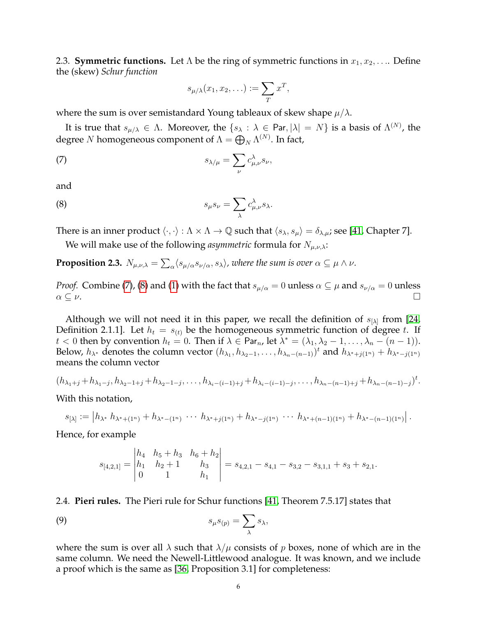<span id="page-5-0"></span>2.3. **Symmetric functions.** Let  $\Lambda$  be the ring of symmetric functions in  $x_1, x_2, \ldots$  Define the (skew) *Schur function*

<span id="page-5-3"></span><span id="page-5-2"></span>
$$
s_{\mu/\lambda}(x_1, x_2, \ldots) := \sum_T x^T,
$$

where the sum is over semistandard Young tableaux of skew shape  $\mu/\lambda$ .

It is true that  $s_{\mu/\lambda} \in \Lambda$ . Moreover, the  $\{s_\lambda : \lambda \in$  Par,  $|\lambda| = N\}$  is a basis of  $\Lambda^{(N)}$ , the degree  $N$  homogeneous component of  $\Lambda = \bigoplus_N \Lambda^{(N)}.$  In fact,

(7) 
$$
s_{\lambda/\mu} = \sum_{\nu} c_{\mu,\nu}^{\lambda} s_{\nu},
$$

and

(8) 
$$
s_{\mu}s_{\nu} = \sum_{\lambda} c_{\mu,\nu}^{\lambda} s_{\lambda}.
$$

There is an inner product  $\langle \cdot, \cdot \rangle : \Lambda \times \Lambda \to \mathbb{Q}$  such that  $\langle s_{\lambda}, s_{\mu} \rangle = \delta_{\lambda, \mu}$ ; see [\[41,](#page-33-3) Chapter 7].

We will make use of the following *asymmetric* formula for  $N_{\mu,\nu,\lambda}$ :

<span id="page-5-5"></span>**Proposition 2.3.**  $N_{\mu,\nu,\lambda} = \sum_\alpha \langle s_{\mu/\alpha} s_{\nu/\alpha}, s_\lambda\rangle$ , where the sum is over  $\alpha\subseteq\mu\wedge\nu$ .

*Proof.* Combine [\(7\)](#page-5-2), [\(8\)](#page-5-3) and [\(1\)](#page-1-2) with the fact that  $s_{\mu/\alpha} = 0$  unless  $\alpha \subseteq \mu$  and  $s_{\nu/\alpha} = 0$  unless  $\alpha \subseteq \nu$ .

Although we will not need it in this paper, we recall the definition of  $s_{[\lambda]}$  from [\[24,](#page-32-2) Definition 2.1.1]. Let  $h_t = s_{(t)}$  be the homogeneous symmetric function of degree t. If  $t < 0$  then by convention  $h_t = 0$ . Then if  $\lambda \in \mathsf{Par}_n$ , let  $\lambda^* = (\lambda_1, \lambda_2 - 1, \ldots, \lambda_n - (n-1)).$ Below,  $h_{\lambda^*}$  denotes the column vector  $(h_{\lambda_1}, h_{\lambda_2-1}, \ldots, h_{\lambda_n-(n-1)})^t$  and  $h_{\lambda^*+j(1^n)}+h_{\lambda^*-j(1^n)}$ means the column vector

$$
(h_{\lambda_1+j}+h_{\lambda_1-j},h_{\lambda_2-1+j}+h_{\lambda_2-1-j},\ldots,h_{\lambda_i-(i-1)+j}+h_{\lambda_i-(i-1)-j},\ldots,h_{\lambda_n-(n-1)+j}+h_{\lambda_n-(n-1)-j})^t.
$$

With this notation,

$$
s_{[\lambda]} := \left| h_{\lambda^*} h_{\lambda^* + (1^n)} + h_{\lambda^* - (1^n)} \cdots h_{\lambda^* + j(1^n)} + h_{\lambda^* - j(1^n)} \cdots h_{\lambda^* + (n-1)(1^n)} + h_{\lambda^* - (n-1)(1^n)} \right|.
$$

Hence, for example

<span id="page-5-4"></span>
$$
s_{[4,2,1]} = \begin{vmatrix} h_4 & h_5 + h_3 & h_6 + h_2 \ h_1 & h_2 + 1 & h_3 \ 0 & 1 & h_1 \end{vmatrix} = s_{4,2,1} - s_{4,1} - s_{3,2} - s_{3,1,1} + s_3 + s_{2,1}.
$$

<span id="page-5-1"></span>2.4. **Pieri rules.** The Pieri rule for Schur functions [\[41,](#page-33-3) Theorem 7.5.17] states that

$$
(9) \t s\mu s(p) = \sum_{\lambda} s_{\lambda},
$$

where the sum is over all  $\lambda$  such that  $\lambda/\mu$  consists of p boxes, none of which are in the same column. We need the Newell-Littlewood analogue. It was known, and we include a proof which is the same as [\[36,](#page-33-6) Proposition 3.1] for completeness: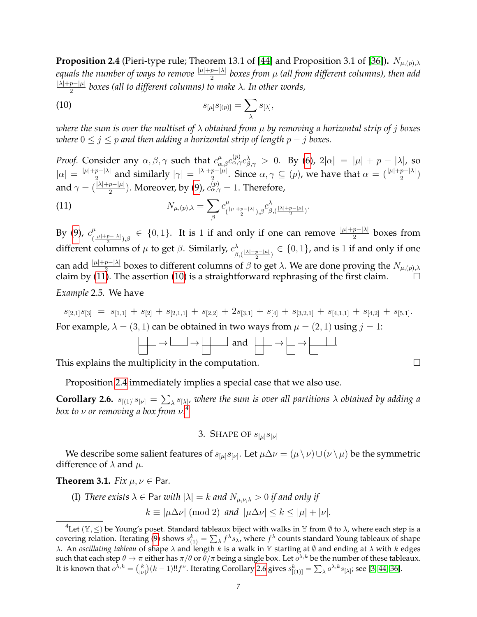<span id="page-6-1"></span>**Proposition 2.4** (Pieri-type rule; Theorem 13.1 of [\[44\]](#page-33-7) and Proposition 3.1 of [\[36\]](#page-33-6)).  $N_{\mu,(p),\lambda}$ *equals the number of ways to remove*  $\frac{|\mu|+p-|lambda|}{2}$  *boxes from μ (all from different columns), then add*  $|\lambda|+p-|\mu|$ 2 *boxes (all to different columns) to make* λ*. In other words,*

<span id="page-6-4"></span>(10) 
$$
s_{[\mu]}s_{[(p)} = \sum_{\lambda} s_{[\lambda]},
$$

*where the sum is over the multiset of* λ *obtained from* µ *by removing a horizontal strip of* j *boxes where*  $0 \leq j \leq p$  *and then adding a horizontal strip of length*  $p - j$  *boxes.* 

*Proof.* Consider any  $\alpha, \beta, \gamma$  such that  $c_{\alpha, \beta}^{\mu} c_{\alpha, \gamma}^{(p)} c_{\beta, \gamma}^{\lambda} > 0$ . By [\(6\)](#page-4-4),  $2|\alpha| = |\mu| + p - |\lambda|$ , so  $|\alpha| = \frac{|\mu|+p-|\lambda|}{2}$  $\frac{p-|\lambda|}{2}$  and similarly  $|\gamma| = \frac{|\lambda|+p-|\mu|}{2}$  $\frac{p-|\mu|}{2}$ . Since  $\alpha, \gamma \subseteq (p)$ , we have that  $\alpha = (\frac{|\mu|+p-|\lambda|}{2})$ and  $\gamma=(\frac{|\lambda|+p-|\mu|}{2}).$  Moreover, by [\(9\)](#page-5-4),  $c^{(p)}_{\alpha,\gamma}=1.$  Therefore,

<span id="page-6-3"></span>(11) 
$$
N_{\mu,(p),\lambda} = \sum_{\beta} c_{(\frac{|\mu|+p-|\lambda|}{2}),\beta}^{\mu} c_{\beta,(\frac{|\lambda|+p-|\mu|}{2})}^{\lambda}.
$$

By [\(9\)](#page-5-4),  $c^{\mu}_{i}$  $\frac{\mu}{\left(\frac{|\mu|+p-|\lambda|}{2}\right),\beta}$  ∈ {0,1}. It is 1 if and only if one can remove  $\frac{|\mu|+p-|\lambda|}{2}$  boxes from different columns of  $\mu$  to get  $\beta$ . Similarly,  $c_{\beta}^{\lambda}$  $\frac{\lambda}{\beta,(\frac{|\lambda|+p-|\mu|}{2})}\in\{0,1\}$ , and is 1 if and only if one can add  $\frac{|\mu|+p-|\lambda|}{2}$  boxes to different columns of  $\beta$  to get  $\lambda$ . We are done proving the  $N_{\mu,(p),\lambda}$ claim by [\(11\)](#page-6-3). The assertion [\(10\)](#page-6-4) is a straightforward rephrasing of the first claim.  $\Box$ 

*Example* 2.5*.* We have

 $s_{[2,1]}s_{[3]} = s_{[1,1]} + s_{[2]} + s_{[2,1,1]} + s_{[2,2]} + 2s_{[3,1]} + s_{[4]} + s_{[3,2,1]} + s_{[4,1,1]} + s_{[4,2]} + s_{[5,1]}.$ For example,  $\lambda = (3, 1)$  can be obtained in two ways from  $\mu = (2, 1)$  using  $j = 1$ :



This explains the multiplicity in the computation.

Proposition [2.4](#page-6-1) immediately implies a special case that we also use.

<span id="page-6-6"></span>**Corollary 2.6.**  $s_{[(1)]} s_{[\nu]} = \sum_{\lambda} s_{[\lambda]}$ , where the sum is over all partitions  $\lambda$  obtained by adding a *box to* ν *or removing a box from* ν*.* [4](#page-6-5)

# 3. SHAPE OF  $s_{\lbrack \mu \rbrack} s_{\lbrack \nu \rbrack}$

<span id="page-6-0"></span>We describe some salient features of  $s_{[\mu]}s_{[\nu]}$ . Let  $\mu\Delta\nu=(\mu\setminus\nu)\cup(\nu\setminus\mu)$  be the symmetric difference of  $\lambda$  and  $\mu$ .

<span id="page-6-2"></span>**Theorem 3.1.** *Fix*  $\mu, \nu \in$  Par.

(I) There exists 
$$
\lambda \in \text{Par with } |\lambda| = k
$$
 and  $N_{\mu,\nu,\lambda} > 0$  if and only if

$$
k \equiv |\mu \Delta \nu| \pmod{2}
$$
 and  $|\mu \Delta \nu| \le k \le |\mu| + |\nu|$ .

<span id="page-6-5"></span><sup>&</sup>lt;sup>4</sup>Let ( $\mathbb{Y}, \leq$ ) be Young's poset. Standard tableaux biject with walks in  $\mathbb{Y}$  from  $\emptyset$  to  $\lambda$ , where each step is a covering relation. Iterating [\(9\)](#page-5-4) shows  $s^k_{(1)} = \sum_\lambda f^\lambda s_\lambda$ , where  $f^\lambda$  counts standard Young tableaux of shape λ. An *oscillating tableau* of shape  $\lambda$  and length  $k$  is a walk in  $\mathbb {Y}$  starting at  $\emptyset$  and ending at  $\lambda$  with  $k$  edges such that each step  $\theta \to \pi$  either has  $\pi/\theta$  or  $\theta/\pi$  being a single box. Let  $o^{\lambda,k}$  be the number of these tableaux. It is known that  $o^{\lambda,k} = \binom{k}{|\nu|} (k-1)!! f^\nu$ . Iterating Corollary [2.6](#page-6-6) gives  $s^k_{[(1)]} = \sum_\lambda o^{\lambda,k} s_{[\lambda]}$ ; see [\[3,](#page-32-8) [44,](#page-33-7) [36\]](#page-33-6).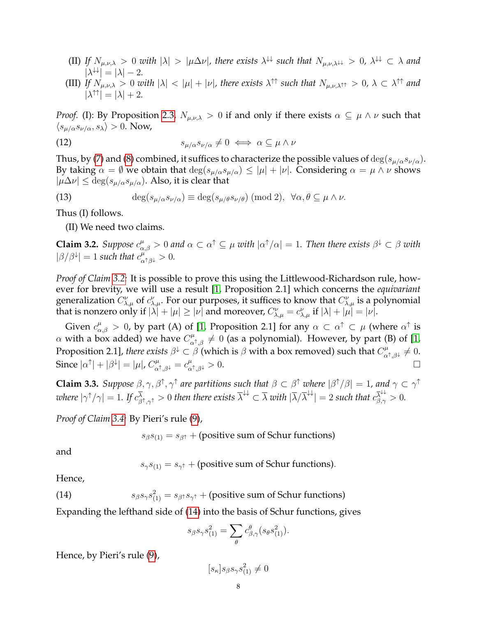- (II) If  $N_{\mu,\nu,\lambda} > 0$  with  $|\lambda| > |\mu\Delta\nu|$ , there exists  $\lambda^{\downarrow\downarrow}$  such that  $N_{\mu,\nu,\lambda^{\downarrow\downarrow}} > 0$ ,  $\lambda^{\downarrow\downarrow} \subset \lambda$  and  $|\lambda^{\downarrow\downarrow}| = |\lambda| - 2.$
- (III) If  $N_{\mu,\nu,\lambda} > 0$  with  $|\lambda| < |\mu| + |\nu|$ , there exists  $\lambda^{\uparrow\uparrow}$  such that  $N_{\mu,\nu,\lambda^{\uparrow\uparrow}} > 0$ ,  $\lambda \subset \lambda^{\uparrow\uparrow}$  and  $|\lambda^{\uparrow\uparrow}| = |\lambda| + 2.$

*Proof.* (I): By Proposition [2.3,](#page-5-5)  $N_{\mu,\nu,\lambda} > 0$  if and only if there exists  $\alpha \subseteq \mu \wedge \nu$  such that  $\langle s_{\mu/\alpha}s_{\nu/\alpha}, s_{\lambda} \rangle > 0$ . Now,

(12) 
$$
s_{\mu/\alpha}s_{\nu/\alpha}\neq 0 \iff \alpha\subseteq \mu\wedge\nu
$$

Thus, by [\(7\)](#page-5-2) and [\(8\)](#page-5-3) combined, it suffices to characterize the possible values of  $\deg(s_{\mu/\alpha}s_{\nu/\alpha})$ . By taking  $\alpha = \emptyset$  we obtain that  $\deg(s_{\mu/\alpha}s_{\mu/\alpha}) \leq |\mu| + |\nu|$ . Considering  $\alpha = \mu \wedge \nu$  shows  $|\mu \Delta \nu| \leq \deg(s_{\mu/\alpha}s_{\mu/\alpha})$ . Also, it is clear that

(13) 
$$
\deg(s_{\mu/\alpha}s_{\nu/\alpha}) \equiv \deg(s_{\mu/\theta}s_{\nu/\theta}) \pmod{2}, \quad \forall \alpha, \theta \subseteq \mu \wedge \nu.
$$

Thus (I) follows.

(II) We need two claims.

<span id="page-7-0"></span>**Claim 3.2.** Suppose  $c^{\mu}_{\alpha,\beta} > 0$  and  $\alpha \subset \alpha^{\dagger} \subseteq \mu$  with  $|\alpha^{\dagger}/\alpha| = 1$ . Then there exists  $\beta^{\downarrow} \subset \beta$  with  $|\beta/\beta^{\downarrow}| = 1$  such that  $c_{\alpha^{\uparrow}\beta^{\downarrow}}^{\mu^{\uparrow}} > 0$ .

*Proof of Claim [3.2:](#page-7-0)* It is possible to prove this using the Littlewood-Richardson rule, however for brevity, we will use a result [\[1,](#page-31-4) Proposition 2.1] which concerns the *equivariant* generalization  $C_{\lambda,\mu}^{\nu}$  of  $c_{\lambda,\mu}^{\nu}$ . For our purposes, it suffices to know that  $C_{\lambda,\mu}^{\nu}$  is a polynomial that is nonzero only if  $|\lambda|+|\mu|\geq |\nu|$  and moreover,  $C_{\lambda,\mu}^{\nu}=c_{\lambda,\mu}^{\nu}$  if  $|\lambda|+|\mu|=|\nu|.$ 

Given  $c_{\alpha,\beta}^{\mu} > 0$ , by part (A) of [\[1,](#page-31-4) Proposition 2.1] for any  $\alpha \subset \alpha^{\uparrow} \subset \mu$  (where  $\alpha^{\uparrow}$  is  $\alpha$  with a box added) we have  $C^{\mu}_{\alpha^{\uparrow},\beta} \neq 0$  (as a polynomial). However, by part (B) of [\[1,](#page-31-4) Proposition 2.1], *there exists*  $\beta^{\downarrow} \subset \beta$  (which is  $\beta$  with a box removed) such that  $C^{\mu}_{\alpha^{\uparrow},\beta^{\downarrow}} \neq 0$ . Since  $|\alpha^{\uparrow}| + |\beta^{\downarrow}| = |\mu|$ ,  $C^{\mu}_{\alpha^{\uparrow},\beta^{\downarrow}} = c^{\mu}_{\alpha^{\uparrow},\beta^{\downarrow}} > 0$ .

<span id="page-7-2"></span>**Claim 3.3.** Suppose  $\beta, \gamma, \beta^{\dagger}, \gamma^{\dagger}$  are partitions such that  $\beta \subset \beta^{\dagger}$  where  $|\beta^{\dagger}/\beta| = 1$ , and  $\gamma \subset \gamma^{\dagger}$ where  $|\gamma^\uparrow/\gamma|=1.$  If  $c^\overline{\lambda}_{\beta^\uparrow,\gamma^\uparrow}>0$  then there exists  $\overline{\lambda}^{\downarrow\downarrow}\subset\overline{\lambda}$  with  $|\overline{\lambda}/\overline{\lambda}^{\downarrow\downarrow}|=2$  such that  $c^{\overline{\lambda}^{\downarrow\downarrow}}_{\beta,\gamma}>0.$ 

*Proof of Claim [3.4:](#page-8-0)* By Pieri's rule [\(9\)](#page-5-4),

 $s_{\beta}s_{(1)} = s_{\beta^{\uparrow}} +$  (positive sum of Schur functions)

and

<span id="page-7-1"></span> $s_{\gamma}s_{(1)}=s_{\gamma}+$  (positive sum of Schur functions).

Hence,

(14)  $s_\beta s_\gamma s_{(1)}^2 = s_{\beta^\dagger} s_{\gamma^\dagger} + \text{(positive sum of Schur functions)}$ 

Expanding the lefthand side of [\(14\)](#page-7-1) into the basis of Schur functions, gives

$$
s_{\beta}s_{\gamma}s_{(1)}^2 = \sum_{\theta} c_{\beta,\gamma}^{\theta} (s_{\theta}s_{(1)}^2).
$$

Hence, by Pieri's rule [\(9\)](#page-5-4),

 $[s_{\kappa}]s_{\beta}s_{\gamma}s_{(1)}^2\neq 0$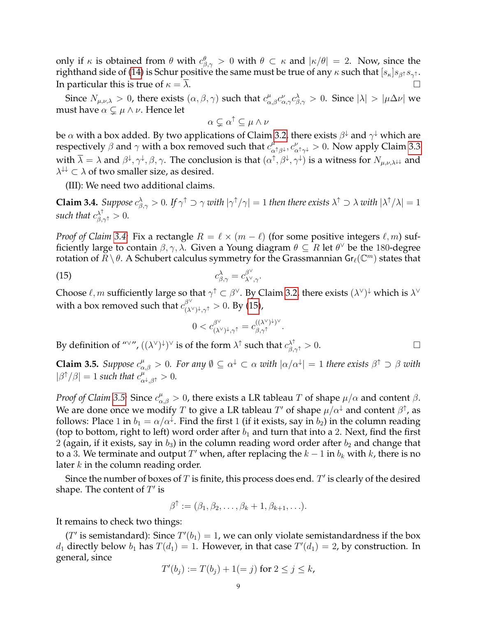only if  $\kappa$  is obtained from  $\theta$  with  $c^{\theta}_{\beta,\gamma} > 0$  with  $\theta \subset \kappa$  and  $|\kappa/\theta| = 2$ . Now, since the righthand side of [\(14\)](#page-7-1) is Schur positive the same must be true of any  $\kappa$  such that  $[s_\kappa]s_{\beta^\uparrow}s_{\gamma^\uparrow}.$ In particular this is true of  $\kappa = \lambda$ .

Since  $N_{\mu,\nu,\lambda} > 0$ , there exists  $(\alpha,\beta,\gamma)$  such that  $c_{\alpha,\beta}^{\mu}c_{\alpha,\gamma}^{\nu}c_{\beta,\gamma}^{\lambda} > 0$ . Since  $|\lambda| > |\mu\Delta\nu|$  we must have  $\alpha \subsetneq \mu \wedge \nu$ . Hence let

$$
\alpha \subsetneq \alpha^{\uparrow} \subseteq \mu \wedge \nu
$$

be  $\alpha$  with a box added. By two applications of Claim [3.2,](#page-7-0) there exists  $\beta^\downarrow$  and  $\gamma^\downarrow$  which are respectively  $\beta$  and  $\gamma$  with a box removed such that  $c^{\mu}_{\alpha}$  $_{\alpha^{\uparrow}\beta^{\downarrow}}^{\mu},c_{\alpha^{\uparrow}\gamma^{\downarrow}}^{\nu}>0.$  Now apply Claim [3.3](#page-7-2) with  $\overline{\lambda} = \lambda$  and  $\beta^{\downarrow}, \gamma^{\downarrow}, \beta, \gamma$ . The conclusion is that  $(\alpha^{\uparrow}, \beta^{\downarrow}, \gamma^{\downarrow})$  is a witness for  $N_{\mu,\nu,\lambda^{\downarrow\downarrow}}$  and  $\lambda^{\downarrow\downarrow} \subset \lambda$  of two smaller size, as desired.

(III): We need two additional claims.

<span id="page-8-0"></span>**Claim 3.4.** Suppose  $c_{\beta,\gamma}^{\lambda} > 0$ . If  $\gamma^{\uparrow} \supset \gamma$  with  $|\gamma^{\uparrow}/\gamma| = 1$  then there exists  $\lambda^{\uparrow} \supset \lambda$  with  $|\lambda^{\uparrow}/\lambda| = 1$ such that  $c^{\lambda^{\uparrow}}_{\beta,\gamma^{\uparrow}}>0$ .

*Proof of Claim* [3.4:](#page-8-0) Fix a rectangle  $R = \ell \times (m - \ell)$  (for some positive integers  $\ell, m$ ) sufficiently large to contain  $\beta, \gamma, \lambda$ . Given a Young diagram  $\theta \subseteq R$  let  $\theta^{\vee}$  be the 180-degree rotation of  $\breve R\setminus\theta.$  A Schubert calculus symmetry for the Grassmannian Gr $_\ell(\mathbb{C}^m)$  states that

(15) 
$$
c_{\beta,\gamma}^{\lambda} = c_{\lambda^{\vee},\gamma}^{\beta^{\vee}}.
$$

Choose  $\ell,m$  sufficiently large so that  $\gamma^\uparrow\subset\beta^\vee$ . By Claim [3.2,](#page-7-0) there exists  $(\lambda^\vee)^\downarrow$  which is  $\lambda^\vee$ with a box removed such that  $c_{(\lambda)}^{\beta \vee}$  $\int_{(\lambda^\vee)^\downarrow,\gamma^\uparrow}^\beta > 0$ . By [\(15\)](#page-8-1),

<span id="page-8-1"></span>
$$
0 < c_{(\lambda^{\vee})^{\downarrow},\gamma^{\uparrow}}^{\beta^{\vee}} = c_{\beta,\gamma^{\uparrow}}^{((\lambda^{\vee})^{\downarrow})^{\vee}}.
$$

By definition of " $\vee$ ",  $((\lambda^{\vee})^{\downarrow})^{\vee}$  is of the form  $\lambda^{\uparrow}$  such that  $c_{\beta,\gamma^{\uparrow}}^{\lambda^{\uparrow}} > 0$ .

<span id="page-8-2"></span>**Claim 3.5.** *Suppose*  $c^{\mu}_{\alpha,\beta} > 0$ . For any  $\emptyset \subseteq \alpha^{\downarrow} \subset \alpha$  with  $|\alpha/\alpha^{\downarrow}| = 1$  there exists  $\beta^{\uparrow} \supset \beta$  with  $|\beta^{\uparrow}/\beta| = 1$  such that  $c_{\alpha^{\downarrow},\beta^{\uparrow}}^{\mu^{\circ}} > 0$ .

*Proof of Claim* [3.5:](#page-8-2) Since  $c_{\alpha,\beta}^{\mu} > 0$ , there exists a LR tableau  $T$  of shape  $\mu/\alpha$  and content  $\beta$ . We are done once we modify  $T$  to give a LR tableau  $T'$  of shape  $\mu/\alpha^{\downarrow}$  and content  $\beta^{\uparrow}$ , as follows: Place 1 in  $b_1 = \alpha/\alpha^{\downarrow}$ . Find the first 1 (if it exists, say in  $b_2$ ) in the column reading (top to bottom, right to left) word order after  $b_1$  and turn that into a 2. Next, find the first 2 (again, if it exists, say in  $b_3$ ) in the column reading word order after  $b_2$  and change that to a 3. We terminate and output  $T'$  when, after replacing the  $k-1$  in  $b_k$  with  $k$ , there is no later  $k$  in the column reading order.

Since the number of boxes of  $T$  is finite, this process does end.  $T'$  is clearly of the desired shape. The content of  $T'$  is

$$
\beta^{\uparrow} := (\beta_1, \beta_2, \dots, \beta_k + 1, \beta_{k+1}, \dots).
$$

It remains to check two things:

(T' is semistandard): Since  $T'(b_1) = 1$ , we can only violate semistandardness if the box  $d_1$  directly below  $b_1$  has  $T(d_1) = 1$ . However, in that case  $T'(d_1) = 2$ , by construction. In general, since

$$
T'(b_j) := T(b_j) + 1 (= j) \text{ for } 2 \le j \le k,
$$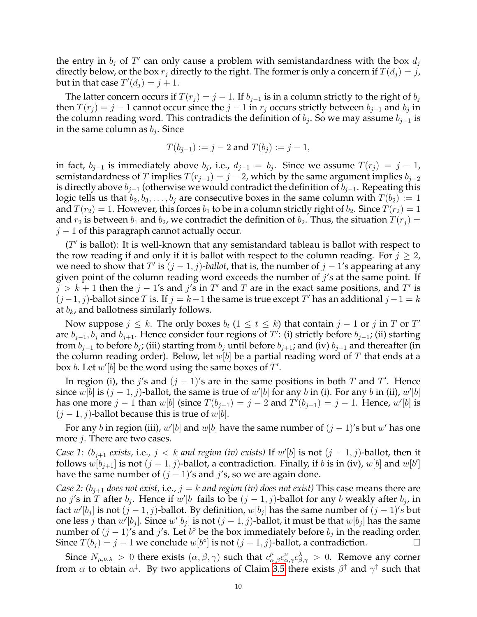the entry in  $b_j$  of  $T'$  can only cause a problem with semistandardness with the box  $d_j$ directly below, or the box  $r_i$  directly to the right. The former is only a concern if  $T(d_i) = j$ , but in that case  $T'(d_j) = j + 1$ .

The latter concern occurs if  $T(r_i) = j - 1$ . If  $b_{i-1}$  is in a column strictly to the right of  $b_i$ then  $T(r_j) = j - 1$  cannot occur since the  $j - 1$  in  $r_j$  occurs strictly between  $b_{j-1}$  and  $b_j$  in the column reading word. This contradicts the definition of  $b_j$ . So we may assume  $b_{j-1}$  is in the same column as  $b_j$ . Since

$$
T(b_{j-1}) := j - 2
$$
 and  $T(b_j) := j - 1$ ,

in fact,  $b_{j-1}$  is immediately above  $b_j$ , i.e.,  $d_{j-1} = b_j$ . Since we assume  $T(r_j) = j - 1$ , semistandardness of T implies  $T(r_{i-1}) = j - 2$ , which by the same argument implies  $b_{i-2}$ is directly above  $b_{j-1}$  (otherwise we would contradict the definition of  $b_{j-1}$ . Repeating this logic tells us that  $b_2, b_3, \ldots, b_j$  are consecutive boxes in the same column with  $T(b_2) := 1$ and  $T(r_2) = 1$ . However, this forces  $b_1$  to be in a column strictly right of  $b_2$ . Since  $T(r_2) = 1$ and  $r_2$  is between  $b_1$  and  $b_2$ , we contradict the definition of  $b_2$ . Thus, the situation  $T(r_i)$  =  $j-1$  of this paragraph cannot actually occur.

 $(T'$  is ballot): It is well-known that any semistandard tableau is ballot with respect to the row reading if and only if it is ballot with respect to the column reading. For  $j \geq 2$ , we need to show that T' is  $(j-1, j)$ *-ballot*, that is, the number of  $j-1$ 's appearing at any given point of the column reading word exceeds the number of  $j$ 's at the same point. If  $j > k + 1$  then the  $j - 1$ 's and  $j$ 's in  $T'$  and  $T$  are in the exact same positions, and  $T'$  is  $(j-1, j)$ -ballot since T is. If  $j = k+1$  the same is true except T' has an additional  $j-1 = k$ at  $b_k$ , and ballotness similarly follows.

Now suppose  $j \leq k$ . The only boxes  $b_t$   $(1 \leq t \leq k)$  that contain  $j - 1$  or  $j$  in  $T$  or  $T'$ are  $b_{j-1}, b_j$  and  $b_{j+1}$ . Hence consider four regions of  $T'$ : (i) strictly before  $b_{j-1}$ ; (ii) starting from  $b_{j-1}$  to before  $b_j$ ; (iii) starting from  $b_j$  until before  $b_{j+1}$ ; and (iv)  $b_{j+1}$  and thereafter (in the column reading order). Below, let  $w[b]$  be a partial reading word of T that ends at a box *b*. Let  $w'[b]$  be the word using the same boxes of  $T'$ .

In region (i), the j's and  $(j - 1)$ 's are in the same positions in both T and T'. Hence since  $w[b]$  is  $(j-1, j)$ -ballot, the same is true of  $w'[b]$  for any  $b$  in (i). For any  $b$  in (ii),  $w'[b]$ has one more  $j-1$  than  $w[b]$  (since  $T(b_{j-1}) = j-2$  and  $T'(b_{j-1}) = j-1$ . Hence,  $w'[b]$  is  $(j-1, j)$ -ballot because this is true of w[b].

For any b in region (iii),  $w'[b]$  and  $w[b]$  have the same number of  $(j-1)'$ s but  $w'$  has one more *j*. There are two cases.

*Case 1:*  $(b_{j+1}$  *exists,* i.e.,  $j < k$  *and region (iv) exists)* If  $w'[b]$  is not  $(j - 1, j)$ -ballot, then it follows  $w[b_{j+1}]$  is not  $(j-1, j)$ -ballot, a contradiction. Finally, if b is in (iv),  $w[b]$  and  $w[b']$ have the same number of  $(j - 1)$ 's and j's, so we are again done.

*Case 2:*  $(b_{i+1}$  *does not exist,* i.e.,  $j = k$  *and region (iv) does not exist)* This case means there are no j's in T after  $b_j$ . Hence if  $w'[b]$  fails to be  $(j-1, j)$ -ballot for any  $b$  weakly after  $b_j$ , in fact  $w'[b_j]$  is not  $(j-1,j)$ -ballot. By definition,  $w[b_j]$  has the same number of  $(j-1)'s$  but one less *j* than  $w'[b_j]$ . Since  $w'[b_j]$  is not  $(j-1, j)$ -ballot, it must be that  $w[b_j]$  has the same number of  $(j-1)$ 's and j's. Let  $b^{\circ}$  be the box immediately before  $b_j$  in the reading order. Since  $T(b_j) = j - 1$  we conclude  $w[b^{\circ}]$  is not  $(j - 1, j)$ -ballot, a contradiction.

Since  $N_{\mu,\nu,\lambda} > 0$  there exists  $(\alpha,\beta,\gamma)$  such that  $c_{\alpha,\beta}^{\mu} c_{\alpha,\gamma}^{\nu} c_{\beta,\gamma}^{\lambda} > 0$ . Remove any corner from  $\alpha$  to obtain  $\alpha^\downarrow$ . By two applications of Claim [3.5](#page-8-2) there exists  $\beta^\uparrow$  and  $\gamma^\uparrow$  such that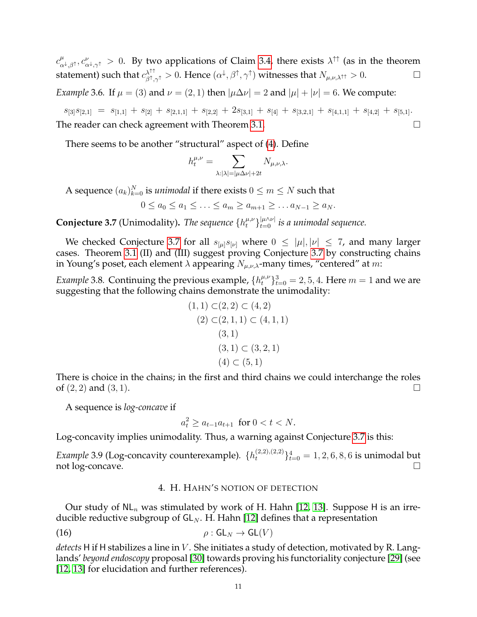$c^{\mu}_{\alpha}$  $\mu_{\alpha^{\downarrow},\beta^{\uparrow}},c_{\alpha^{\downarrow},\gamma^{\uparrow}}^{\nu}>0.$  By two applications of Claim [3.4,](#page-8-0) there exists  $\lambda^{\uparrow\uparrow}$  (as in the theorem statement) such that  $c^{\lambda^{\uparrow\uparrow}}_{\beta^{\uparrow},\gamma^{\uparrow}}>0$ . Hence  $(\alpha^{\downarrow},\beta^{\uparrow},\gamma^{\uparrow})$  witnesses that  $N_{\mu,\nu,\lambda^{\uparrow\uparrow}}>0$ .

*Example* 3.6*.* If  $\mu = (3)$  and  $\nu = (2, 1)$  then  $|\mu \Delta \nu| = 2$  and  $|\mu| + |\nu| = 6$ . We compute:

 $s_{[3]}s_{[2,1]} = s_{[1,1]} + s_{[2]} + s_{[2,1,1]} + s_{[2,2]} + 2s_{[3,1]} + s_{[4]} + s_{[3,2,1]} + s_{[4,1,1]} + s_{[4,2]} + s_{[5,1]}.$ The reader can check agreement with Theorem [3.1.](#page-6-2)

There seems to be another "structural" aspect of [\(4\)](#page-2-3). Define

$$
h_t^{\mu,\nu} = \sum_{\lambda:|\lambda| = |\mu\Delta\nu| + 2t} N_{\mu,\nu,\lambda}.
$$

A sequence  $(a_k)_{k=0}^N$  is *unimodal* if there exists  $0 \le m \le N$  such that

$$
0 \le a_0 \le a_1 \le \ldots \le a_m \ge a_{m+1} \ge \ldots a_{N-1} \ge a_N.
$$

<span id="page-10-1"></span>**Conjecture 3.7** (Unimodality). *The sequence*  $\{h_t^{\mu,\nu}\}_{t=0}^{|\mu \wedge \nu|}$  is a unimodal sequence.

We checked Conjecture [3.7](#page-10-1) for all  $s_{[\mu]}s_{[\nu]}$  where  $0 \leq |\mu|, |\nu| \leq 7$ , and many larger cases. Theorem [3.1](#page-6-2) (II) and (III) suggest proving Conjecture [3.7](#page-10-1) by constructing chains in Young's poset, each element  $\lambda$  appearing  $N_{\mu,\nu,\lambda}$ -many times, "centered" at m:

*Example* 3.8. Continuing the previous example,  ${h_t^{\mu,\nu}}_{t=0}^3 = 2, 5, 4$ . Here  $m = 1$  and we are suggesting that the following chains demonstrate the unimodality:

$$
(1, 1) \subset (2, 2) \subset (4, 2)
$$
  
\n
$$
(2) \subset (2, 1, 1) \subset (4, 1, 1)
$$
  
\n
$$
(3, 1) \subset (3, 2, 1)
$$
  
\n
$$
(4) \subset (5, 1)
$$

There is choice in the chains; in the first and third chains we could interchange the roles of  $(2, 2)$  and  $(3, 1)$ .

A sequence is *log-concave* if

$$
a_t^2 \ge a_{t-1}a_{t+1} \text{ for } 0 < t < N.
$$

Log-concavity implies unimodality. Thus, a warning against Conjecture [3.7](#page-10-1) is this:

*Example* 3.9 (Log-concavity counterexample).  $\{h_t^{(2,2),(2,2)}\}_{t=0}^4 = 1, 2, 6, 8, 6$  is unimodal but not log-concave.

## <span id="page-10-2"></span>4. H. HAHN'S NOTION OF DETECTION

<span id="page-10-0"></span>Our study of  $\mathsf{NL}_n$  was stimulated by work of H. Hahn [\[12,](#page-32-20) [13\]](#page-32-7). Suppose H is an irreducible reductive subgroup of  $GL_N$ . H. Hahn [\[12\]](#page-32-20) defines that a representation

(16) 
$$
\rho: \mathsf{GL}_N \to \mathsf{GL}(V)
$$

*detects* H if H stabilizes a line in V . She initiates a study of detection, motivated by R. Langlands' *beyond endoscopy* proposal [\[30\]](#page-32-9) towards proving his functoriality conjecture [\[29\]](#page-32-10) (see [\[12,](#page-32-20) [13\]](#page-32-7) for elucidation and further references).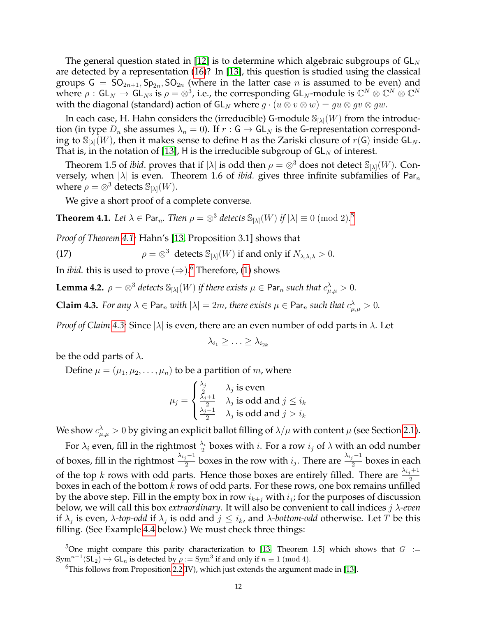The general question stated in [\[12\]](#page-32-20) is to determine which algebraic subgroups of  $GL_N$ are detected by a representation [\(16\)](#page-10-2)? In [\[13\]](#page-32-7), this question is studied using the classical groups  $G = SO_{2n+1}$ ,  $Sp_{2n}$ ,  $SO_{2n}$  (where in the latter case n is assumed to be even) and where  $\rho:GL_N\to GL_{N^3}$  is  $\rho=\otimes^3$ , i.e., the corresponding GL<sub>N</sub>-module is  $\mathbb{C}^N\otimes\mathbb{C}^N\otimes\mathbb{C}^N$ with the diagonal (standard) action of  $GL_N$  where  $g \cdot (u \otimes v \otimes w) = qu \otimes gv \otimes gw$ .

In each case, H. Hahn considers the (irreducible) G-module  $\mathbb{S}_{[\lambda]}(W)$  from the introduction (in type  $D_n$  she assumes  $\lambda_n = 0$ ). If  $r : G \to GL_N$  is the G-representation corresponding to  $\mathbb{S}_{[\lambda]}(W)$ , then it makes sense to define H as the Zariski closure of  $r(\mathsf{G})$  inside  $\mathsf{GL}_N$ . That is, in the notation of [\[13\]](#page-32-7), H is the irreducible subgroup of  $GL_N$  of interest.

Theorem 1.5 of *ibid*. proves that if  $|\lambda|$  is odd then  $\rho = \otimes^3$  does not detect  $\mathbb{S}_{|\lambda|}(W)$ . Conversely, when  $|\lambda|$  is even. Theorem 1.6 of *ibid*. gives three infinite subfamilies of Par $_n$ where  $\rho = \otimes^3$  detects  $\mathbb{S}_{[\lambda]}(W)$ .

We give a short proof of a complete converse.

<span id="page-11-0"></span>**Theorem 4.1.** Let  $\lambda \in \mathsf{Par}_n$ . Then  $\rho = \otimes^3$  detects  $\mathbb{S}_{[\lambda]}(W)$  if  $|\lambda| \equiv 0 \pmod{2}$ .

*Proof of Theorem [4.1:](#page-11-0)* Hahn's [\[13,](#page-32-7) Proposition 3.1] shows that

<span id="page-11-5"></span>(17)  $\rho = \otimes^3$  detects  $\mathbb{S}_{[\lambda]}(W)$  if and only if  $N_{\lambda,\lambda,\lambda} > 0$ .

In *ibid.* this is used to prove  $(\Rightarrow)$ .<sup>[6](#page-11-2)</sup> Therefore, [\(1\)](#page-1-2) shows

<span id="page-11-4"></span>**Lemma 4.2.**  $\rho = \otimes^3$  detects  $\mathbb{S}_{[\lambda]}(W)$  if there exists  $\mu \in \mathsf{Par}_n$  such that  $c^{\lambda}_{\mu,\mu} > 0$ .

<span id="page-11-3"></span>**Claim 4.3.** *For any*  $\lambda \in \text{Par}_n$  *with*  $|\lambda| = 2m$ , *there exists*  $\mu \in \text{Par}_n$  *such that*  $c^{\lambda}_{\mu,\mu} > 0$ .

*Proof of Claim [4.3:](#page-11-3)* Since |λ| is even, there are an even number of odd parts in λ. Let

$$
\lambda_{i_1} \geq \ldots \geq \lambda_{i_{2k}}
$$

be the odd parts of  $\lambda$ .

Define  $\mu = (\mu_1, \mu_2, \dots, \mu_n)$  to be a partition of m, where

$$
\mu_j = \begin{cases} \frac{\lambda_j}{2} & \lambda_j \text{ is even} \\ \frac{\lambda_j + 1}{2} & \lambda_j \text{ is odd and } j \le i_k \\ \frac{\lambda_j - 1}{2} & \lambda_j \text{ is odd and } j > i_k \end{cases}
$$

We show  $c_{\mu,\mu}^\lambda>0$  by giving an explicit ballot filling of  $\lambda/\mu$  with content  $\mu$  (see Section [2.1\)](#page-3-1).

For  $\lambda_i$  even, fill in the rightmost  $\frac{\lambda_i}{2}$  boxes with  $i$ . For a row  $i_j$  of  $\lambda$  with an odd number of boxes, fill in the rightmost  $\frac{\lambda_{i_j}-1}{2}$  boxes in the row with  $i_j.$  There are  $\frac{\lambda_{i_j}-1}{2}$  boxes in each of the top k rows with odd parts. Hence those boxes are entirely filled. There are  $\frac{\lambda_{i,j}+1}{2}$ boxes in each of the bottom  $k$  rows of odd parts. For these rows, one box remains unfilled by the above step. Fill in the empty box in row  $i_{k+j}$  with  $i_j$ ; for the purposes of discussion below, we will call this box *extraordinary*. It will also be convenient to call indices j λ*-even* if  $\lambda_j$  is even,  $\lambda$ -top-odd if  $\lambda_j$  is odd and  $j \leq i_k$ , and  $\lambda$ -bottom-odd otherwise. Let T be this filling. (See Example [4.4](#page-12-3) below.) We must check three things:

<span id="page-11-1"></span><sup>&</sup>lt;sup>5</sup>One might compare this parity characterization to [\[13,](#page-32-7) Theorem 1.5] which shows that  $G :=$  $\text{Sym}^{n-1}(\mathsf{SL}_2) \hookrightarrow \mathsf{GL}_n$  is detected by  $\rho := \text{Sym}^3$  if and only if  $n \equiv 1 \pmod{4}$ .

<span id="page-11-2"></span> $6$ This follows from Proposition [2.2\(](#page-4-1)IV), which just extends the argument made in [\[13\]](#page-32-7).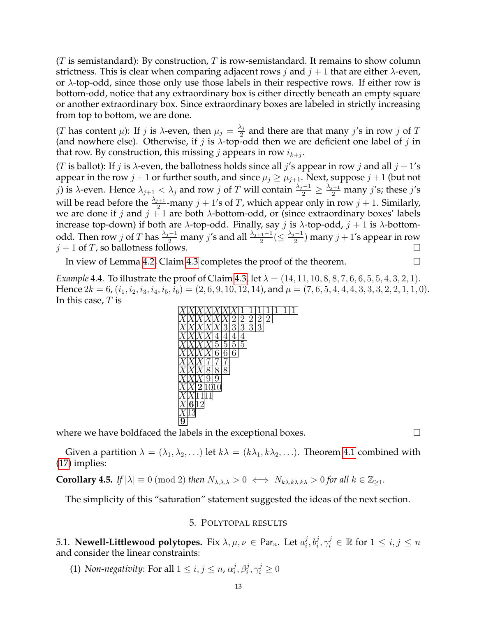$(T$  is semistandard): By construction, T is row-semistandard. It remains to show column strictness. This is clear when comparing adjacent rows j and  $j + 1$  that are either  $\lambda$ -even, or  $\lambda$ -top-odd, since those only use those labels in their respective rows. If either row is bottom-odd, notice that any extraordinary box is either directly beneath an empty square or another extraordinary box. Since extraordinary boxes are labeled in strictly increasing from top to bottom, we are done.

(*T* has content  $\mu$ ): If *j* is  $\lambda$ -even, then  $\mu_j = \frac{\lambda_j}{2}$  $\frac{\lambda_j}{2}$  and there are that many *j's* in row *j* of *T* (and nowhere else). Otherwise, if j is  $\lambda$ -top-odd then we are deficient one label of j in that row. By construction, this missing  $j$  appears in row  $i_{k+j}$ .

(T is ballot): If j is  $\lambda$ -even, the ballotness holds since all j's appear in row j and all  $j + 1$ 's appear in the row  $j+1$  or further south, and since  $\mu_j \geq \mu_{j+1}$ . Next, suppose  $j+1$  (but not j) is λ-even. Hence  $\lambda_{j+1} < \lambda_j$  and row j of T will contain  $\frac{\lambda_j-1}{2} \ge \frac{\lambda_{j+1}}{2}$  many j's; these j's will be read before the  $\frac{\lambda_{j+1}}{2}$ -many  $j + 1$ 's of T, which appear only in row  $j + 1$ . Similarly, we are done if j and  $j + 1$  are both  $\lambda$ -bottom-odd, or (since extraordinary boxes' labels increase top-down) if both are  $\lambda$ -top-odd. Finally, say j is  $\lambda$ -top-odd,  $j + 1$  is  $\lambda$ -bottomodd. Then row j of T has  $\frac{\lambda_j-1}{2}$  many j's and all  $\frac{\lambda_{j+1}-1}{2} (\leq \frac{\lambda_j-1}{2})$  $\frac{(-1)}{2}$ ) many  $j + 1$ 's appear in row  $j + 1$  of T, so ballotness follows.

In view of Lemma [4.2,](#page-11-4) Claim [4.3](#page-11-3) completes the proof of the theorem.

<span id="page-12-3"></span>*Example* 4.4. To illustrate the proof of Claim [4.3,](#page-11-3) let  $\lambda = (14, 11, 10, 8, 8, 7, 6, 6, 5, 5, 4, 3, 2, 1)$ . Hence  $2k = 6$ ,  $(i_1, i_2, i_3, i_4, i_5, i_6) = (2, 6, 9, 10, 12, 14)$ , and  $\mu = (7, 6, 5, 4, 4, 4, 3, 3, 3, 2, 2, 1, 1, 0)$ . In this case,  $T$  is



where we have boldfaced the labels in the exceptional boxes.  $\Box$ 

Given a partition  $\lambda = (\lambda_1, \lambda_2, \ldots)$  let  $k\lambda = (k\lambda_1, k\lambda_2, \ldots)$ . Theorem [4.1](#page-11-0) combined with [\(17\)](#page-11-5) implies:

<span id="page-12-2"></span>**Corollary 4.5.** *If*  $|\lambda| \equiv 0 \pmod{2}$  *then*  $N_{\lambda,\lambda,\lambda} > 0 \iff N_{k\lambda,k\lambda,k\lambda} > 0$  *for all*  $k \in \mathbb{Z}_{\geq 1}$ *.* 

<span id="page-12-0"></span>The simplicity of this "saturation" statement suggested the ideas of the next section.

## 5. POLYTOPAL RESULTS

<span id="page-12-1"></span>5.1.  ${\sf Newell-Littlewood\ polytopes.}\,$  Fix  $\lambda,\mu,\nu\in {\sf Par}_n.$  Let  $a_i^j$  $\{a_i^j, b_i^j, \gamma_i^j \in \mathbb{R} \text{ for } 1 \leq i, j \leq n\}$ and consider the linear constraints:

(1) *Non-negativity*: For all  $1 \le i, j \le n$ ,  $\alpha_i^j$  $j_i^j, \beta_i^j, \gamma_i^j \geq 0$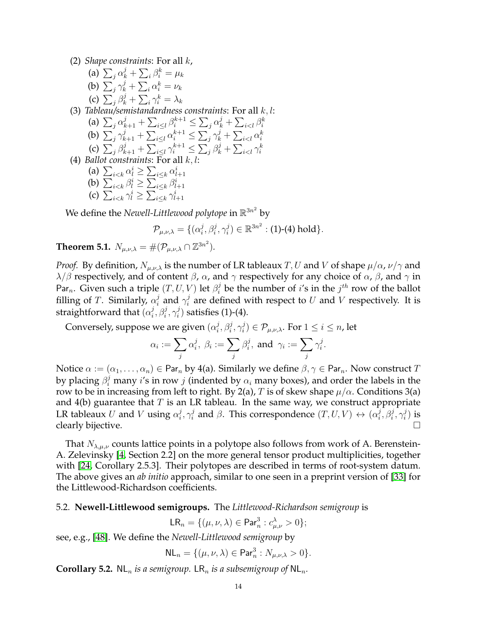(2) *Shape constraints*: For all k,

- (a)  $\sum_j \alpha_k^j + \sum_i \beta_i^k = \mu_k$ (b)  $\sum_j \gamma_k^j + \sum_i \alpha_i^k = \nu_k$ (c)  $\sum_j \beta_k^j + \sum_i \gamma_i^k = \lambda_k$ (3) *Tableau/semistandardness constraints*: For all k, l:
- (a)  $\sum_{j} \alpha_{k+1}^{j} + \sum_{i \leq l} \beta_{i}^{k+1} \leq \sum_{j} \alpha_{k}^{j} + \sum_{i \leq l} \beta_{i}^{k}$ (b)  $\sum_{j} \gamma_{k+1}^{j} + \sum_{i \leq l} \alpha_{i}^{k+1} \leq \sum_{j} \gamma_{k}^{j} + \sum_{i \leq l} \alpha_{i}^{k}$ (c)  $\sum_j \beta_{k+1}^j + \sum_{i \leq l} \gamma_i^{k+1} \leq \sum_j \beta_k^j + \sum_{i \leq l} \gamma_i^k$ (4) *Ballot constraints*: For all k, l:
	- (a)  $\sum_{i \leq k} \alpha_i^i \geq \sum_{i \leq k} \alpha_{l+1}^i$ (b)  $\sum_{i \leq k} \beta_i^i \geq \sum_{i \leq k} \beta_{l+1}^i$
	- (c)  $\sum_{i \leq k} \gamma_l^i \geq \sum_{i \leq k} \gamma_{l+1}^i$
	-

We define the *Newell-Littlewood polytope* in  $\mathbb{R}^{3n^2}$  by

$$
\mathcal{P}_{\mu,\nu,\lambda} = \{(\alpha_i^j,\beta_i^j,\gamma_i^j) \in \mathbb{R}^{3n^2} : (1) \text{-}(4) \text{ hold}\}.
$$

<span id="page-13-1"></span>**Theorem 5.1.**  $N_{\mu,\nu,\lambda} = \#(\mathcal{P}_{\mu,\nu,\lambda} \cap \mathbb{Z}^{3n^2}).$ 

*Proof.* By definition,  $N_{\mu,\nu,\lambda}$  is the number of LR tableaux T, U and V of shape  $\mu/\alpha$ ,  $\nu/\gamma$  and  $\lambda/\beta$  respectively, and of content  $\beta$ ,  $\alpha$ , and  $\gamma$  respectively for any choice of  $\alpha$ ,  $\beta$ , and  $\gamma$  in Par<sub>n</sub>. Given such a triple  $(T, U, V)$  let  $\beta_i^j$  be the number of i's in the  $j^{th}$  row of the ballot filling of T. Similarly,  $\alpha_i^j$  $i$  and  $\gamma_i^j$  $i_i$  are defined with respect to  $U$  and  $V$  respectively. It is straightforward that  $(\alpha_i^j)$  $j^j_i,\beta_i^j,\gamma_i^j$  $i_j^{(j)}$  satisfies (1)-(4).

Conversely, suppose we are given  $(\alpha_i^j)$  $j^j_i,\beta_i^j,\gamma_i^j$  $(\mathcal{P}_{\mu,\nu,\lambda}.$  For  $1\leq i\leq n$ , let

$$
\alpha_i:=\sum_j \alpha_i^j, \; \beta_i:=\sum_j \beta_i^j, \; \text{and } \; \gamma_i:=\sum_j \gamma_i^j.
$$

Notice  $\alpha := (\alpha_1, \dots, \alpha_n) \in \text{Par}_n$  by 4(a). Similarly we define  $\beta, \gamma \in \text{Par}_n$ . Now construct T by placing  $\beta_i^j$  many  $i'$ s in row  $j$  (indented by  $\alpha_i$  many boxes), and order the labels in the row to be in increasing from left to right. By 2(a), T is of skew shape  $\mu/\alpha$ . Conditions 3(a) and  $4(b)$  guarantee that T is an LR tableau. In the same way, we construct appropriate LR tableaux  $U$  and  $V$  using  $\alpha_i^j$  $_i^j, \gamma_i^j$  $i$  and  $\beta$ . This correspondence  $(T, U, V) \leftrightarrow (\alpha_i^j)$  $j^j_i,\beta_i^j,\gamma_i^j$  $\binom{J}{i}$  is clearly bijective.  $\Box$ 

That  $N_{\lambda,\mu,\nu}$  counts lattice points in a polytope also follows from work of A. Berenstein-A. Zelevinsky [\[4,](#page-32-11) Section 2.2] on the more general tensor product multiplicities, together with [\[24,](#page-32-2) Corollary 2.5.3]. Their polytopes are described in terms of root-system datum. The above gives an *ab initio* approach, similar to one seen in a preprint version of [\[33\]](#page-33-11) for the Littlewood-Richardson coefficients.

# <span id="page-13-0"></span>5.2. **Newell-Littlewood semigroups.** The *Littlewood-Richardson semigroup* is

 $LR_n = \{(\mu, \nu, \lambda) \in \text{Par}_n^3 : c_{\mu, \nu}^{\lambda} > 0\};$ 

see, e.g., [\[48\]](#page-33-12). We define the *Newell-Littlewood semigroup* by

$$
\mathsf{NL}_n = \{(\mu, \nu, \lambda) \in \mathsf{Par}_n^3 : N_{\mu, \nu, \lambda} > 0\}.
$$

<span id="page-13-2"></span>**Corollary 5.2.** NL<sub>n</sub> is a semigroup. LR<sub>n</sub> is a subsemigroup of NL<sub>n</sub>.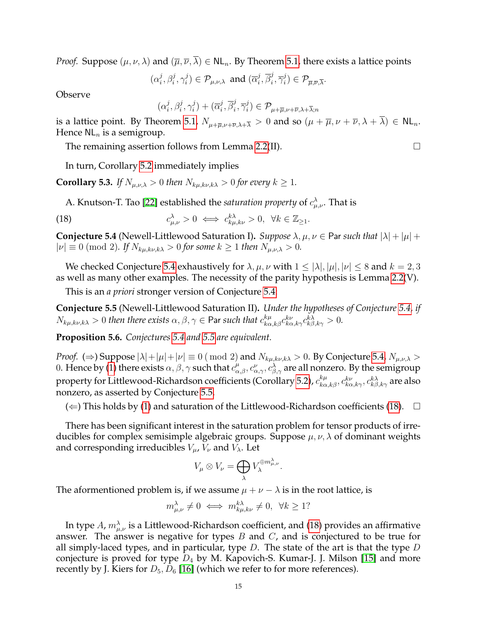*Proof.* Suppose  $(\mu, \nu, \lambda)$  and  $(\overline{\mu}, \overline{\nu}, \overline{\lambda}) \in NL_n$ . By Theorem [5.1,](#page-13-1) there exists a lattice points

 $(\alpha_i^j)$  $j^j_i,\beta_i^j,\gamma_i^j$  $\widehat{p}_{i}^{j})\in\mathcal{P}_{\mu,\nu,\lambda}$  and  $(\overline{\alpha}_{i}^{j})$  $\overline{j}$ ,  $\overline{\beta}^j_i$  $\frac{j}{i}, \overline{\gamma}_i^j$  $\mathcal{P}_{\overline{\mu},\overline{\nu},\overline{\lambda}}$ .

**Observe** 

$$
(\alpha_i^j,\beta_i^j,\gamma_i^j)+(\overline{\alpha}_i^j,\overline{\beta}_i^j,\overline{\gamma}_i^j)\in \mathcal{P}_{\mu+\overline{\mu},\nu+\overline{\nu},\lambda+\overline{\lambda};n}
$$

is a lattice point. By Theorem [5.1,](#page-13-1)  $N_{\mu+\overline{\mu},\nu+\overline{\nu},\lambda+\overline{\lambda}} > 0$  and so  $(\mu+\overline{\mu},\nu+\overline{\nu},\lambda+\overline{\lambda}) \in NL_n$ . Hence  $NL_n$  is a semigroup.

The remaining assertion follows from Lemma [2.2\(](#page-4-1)II).  $\Box$ 

In turn, Corollary [5.2](#page-13-2) immediately implies

**Corollary 5.3.** *If*  $N_{\mu,\nu,\lambda} > 0$  *then*  $N_{k\mu,k\nu,k\lambda} > 0$  *for every*  $k \geq 1$ *.* 

<span id="page-14-2"></span>A. Knutson-T. Tao [\[22\]](#page-32-12) established the *saturation property* of  $c^\lambda_{\mu,\nu}$ . That is

(18) 
$$
c_{\mu,\nu}^{\lambda} > 0 \iff c_{k\mu,k\nu}^{k\lambda} > 0, \ \forall k \in \mathbb{Z}_{\geq 1}.
$$

<span id="page-14-0"></span>**Conjecture 5.4** (Newell-Littlewood Saturation I). *Suppose*  $\lambda, \mu, \nu \in$  Par *such that*  $|\lambda| + |\mu| +$  $|\nu| \equiv 0 \pmod{2}$ *. If*  $N_{k\mu,k\nu,k\lambda} > 0$  for some  $k \ge 1$  then  $N_{\mu,\nu,\lambda} > 0$ .

We checked Conjecture [5.4](#page-14-0) exhaustively for  $\lambda, \mu, \nu$  with  $1 \leq |\lambda|, |\mu|, |\nu| \leq 8$  and  $k = 2, 3$ as well as many other examples. The necessity of the parity hypothesis is Lemma [2.2\(](#page-4-1)V).

This is an *a priori* stronger version of Conjecture [5.4:](#page-14-0)

<span id="page-14-1"></span>**Conjecture 5.5** (Newell-Littlewood Saturation II)**.** *Under the hypotheses of Conjecture [5.4,](#page-14-0) if*  $N_{k\mu,k\nu,k\lambda} > 0$  then there exists  $\alpha, \beta, \gamma \in \mathsf{Par}$  such that  $c_{k\alpha,k\beta}^{k\mu} c_{k\alpha,k\gamma}^{k\nu} c_{k\beta,k\gamma}^{k\lambda} > 0$ .

**Proposition 5.6.** *Conjectures [5.4](#page-14-0) and [5.5](#page-14-1) are equivalent.*

*Proof.* ( $\Rightarrow$ ) Suppose  $|\lambda| + |\mu| + |\nu| \equiv 0 \pmod{2}$  and  $N_{k\mu,k\nu,k\lambda} > 0$ . By Conjecture [5.4,](#page-14-0)  $N_{\mu,\nu,\lambda} > 0$ 0. Hence by [\(1\)](#page-1-2) there exists  $\alpha, \beta, \gamma$  such that  $c_{\alpha,\beta}^{\mu}, c_{\alpha,\gamma}^{\nu}, c_{\beta,\gamma}^{\lambda}$  are all nonzero. By the semigroup property for Littlewood-Richardson coefficients (Corollary [5.2\)](#page-13-2),  $c_{k\alpha,k\beta}^{k\mu},c_{k\alpha,k\gamma}^{k\nu},c_{k\beta,k\gamma}^{k\lambda}$  are also nonzero, as asserted by Conjecture [5.5.](#page-14-1)

 $(\Leftarrow)$  This holds by [\(1\)](#page-1-2) and saturation of the Littlewood-Richardson coefficients [\(18\)](#page-14-2).  $\Box$ 

There has been significant interest in the saturation problem for tensor products of irreducibles for complex semisimple algebraic groups. Suppose  $\mu, \nu, \lambda$  of dominant weights and corresponding irreducibles  $V_{\mu}$ ,  $V_{\nu}$  and  $V_{\lambda}$ . Let

$$
V_{\mu} \otimes V_{\nu} = \bigoplus_{\lambda} V_{\lambda}^{\oplus m_{\mu,\nu}^{\lambda}}.
$$

The aformentioned problem is, if we assume  $\mu + \nu - \lambda$  is in the root lattice, is

$$
m_{\mu,\nu}^{\lambda} \neq 0 \iff m_{k\mu,k\nu}^{k\lambda} \neq 0, \ \forall k \geq 1?
$$

In type  $A$ ,  $m_{\mu,\nu}^{\lambda}$  is a Littlewood-Richardson coefficient, and [\(18\)](#page-14-2) provides an affirmative answer. The answer is negative for types  $B$  and  $C$ , and is conjectured to be true for all simply-laced types, and in particular, type  $D$ . The state of the art is that the type  $D$ conjecture is proved for type  $D_4$  by M. Kapovich-S. Kumar-J. J. Milson [\[15\]](#page-32-21) and more recently by J. Kiers for  $D_5, D_6$  [\[16\]](#page-32-14) (which we refer to for more references).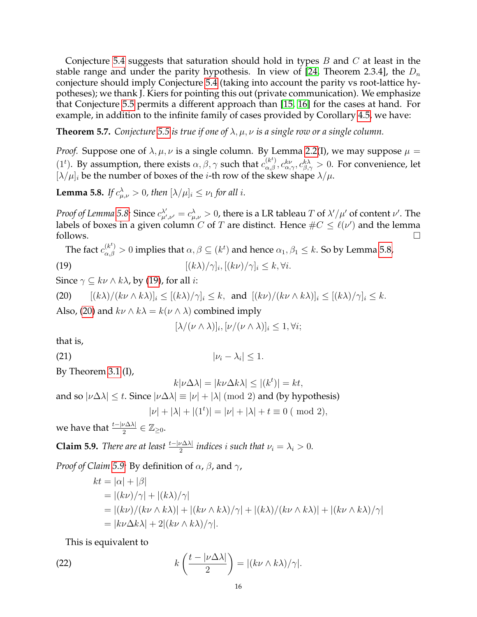Conjecture [5.4](#page-14-0) suggests that saturation should hold in types  $B$  and  $C$  at least in the stable range and under the parity hypothesis. In view of [\[24,](#page-32-2) Theorem 2.3.4], the  $D_n$ conjecture should imply Conjecture [5.4](#page-14-0) (taking into account the parity vs root-lattice hypotheses); we thank J. Kiers for pointing this out (private communication). We emphasize that Conjecture [5.5](#page-14-1) permits a different approach than [\[15,](#page-32-21) [16\]](#page-32-14) for the cases at hand. For example, in addition to the infinite family of cases provided by Corollary [4.5,](#page-12-2) we have:

<span id="page-15-0"></span>**Theorem 5.7.** *Conjecture* [5.5](#page-14-1) *is true if one of*  $\lambda, \mu, \nu$  *is a single row or a single column.* 

*Proof.* Suppose one of  $\lambda, \mu, \nu$  is a single column. By Lemma [2.2\(](#page-4-1)I), we may suppose  $\mu =$ (1<sup>t</sup>). By assumption, there exists  $\alpha$ ,  $\beta$ ,  $\gamma$  such that  $c_{\alpha,\beta}^{(k^t)}, c_{\alpha,\gamma}^{k\nu}, c_{\beta,\gamma}^{k\lambda} > 0$ . For convenience, let  $[\lambda/\mu]_i$  be the number of boxes of the *i*-th row of the skew shape  $\lambda/\mu$ .

<span id="page-15-1"></span>**Lemma 5.8.** *If*  $c^{\lambda}_{\mu,\nu} > 0$ , then  $[\lambda/\mu]_i \leq \nu_1$  for all i.

*Proof of Lemma [5.8:](#page-15-1)* Since  $c_{\mu}^{\lambda'}$  $\lambda'_{\mu',\nu'}=c^\lambda_{\mu,\nu}>0$ , there is a LR tableau  $T$  of  $\lambda'/\mu'$  of content  $\nu'.$  The labels of boxes in a given column C of T are distinct. Hence  $\#C \leq \ell(\nu')$  and the lemma follows.  $\Box$ 

The fact  $c_{\alpha,\beta}^{(k^t)}>0$  implies that  $\alpha,\beta\subseteq (k^t)$  and hence  $\alpha_1,\beta_1\leq k.$  So by Lemma [5.8,](#page-15-1) (19)  $[(k\lambda)/\gamma]_i, [(k\nu)/\gamma]_i \leq k, \forall i.$ 

Since  $\gamma \subseteq k\nu \wedge k\lambda$ , by [\(19\)](#page-15-2), for all *i*:

<span id="page-15-3"></span>(20)  $[(k\lambda)/(k\nu \wedge k\lambda)]_i \leq [(k\lambda)/\gamma]_i \leq k$ , and  $[(k\nu)/(k\nu \wedge k\lambda)]_i \leq [(k\lambda)/\gamma]_i \leq k$ . Also, [\(20\)](#page-15-3) and  $k\nu \wedge k\lambda = k(\nu \wedge \lambda)$  combined imply

<span id="page-15-6"></span><span id="page-15-2"></span>
$$
[\lambda/(\nu \wedge \lambda)]_i, [\nu/(\nu \wedge \lambda)]_i \leq 1, \forall i;
$$

that is,

(21)  $|v_i - \lambda_i| \leq 1$ .

By Theorem [3.1](#page-6-2) (I),

$$
k|\nu\Delta\lambda| = |k\nu\Delta k\lambda| \le |(k^t)| = kt,
$$
  
and so  $|\nu\Delta\lambda| \le t$ . Since  $|\nu\Delta\lambda| \equiv |\nu| + |\lambda| \pmod{2}$  and (by hypothesis)  

$$
|\nu| + |\lambda| + |(1^t)| = |\nu| + |\lambda| + t \equiv 0 \pmod{2},
$$

we have that  $\frac{t-|\nu \Delta \lambda|}{2} \in \mathbb{Z}_{\geq 0}$ .

<span id="page-15-4"></span>**Claim 5.9.** *There are at least*  $\frac{t - |\nu \Delta \lambda|}{2}$  *indices i such that*  $\nu_i = \lambda_i > 0$ *.* 

*Proof of Claim* [5.9:](#page-15-4) By definition of  $\alpha$ ,  $\beta$ , and  $\gamma$ ,

$$
kt = |\alpha| + |\beta|
$$
  
= |(k\nu)/\gamma| + |(k\lambda)/\gamma|  
= |(k\nu)/(k\nu \wedge k\lambda)| + |(k\nu \wedge k\lambda)/\gamma| + |(k\lambda)/(k\nu \wedge k\lambda)| + |(k\nu \wedge k\lambda)/\gamma|  
= |k\nu \Delta k\lambda| + 2|(k\nu \wedge k\lambda)/\gamma|.

<span id="page-15-5"></span>This is equivalent to

(22) 
$$
k\left(\frac{t-|\nu\Delta\lambda|}{2}\right)=|(k\nu\wedge k\lambda)/\gamma|.
$$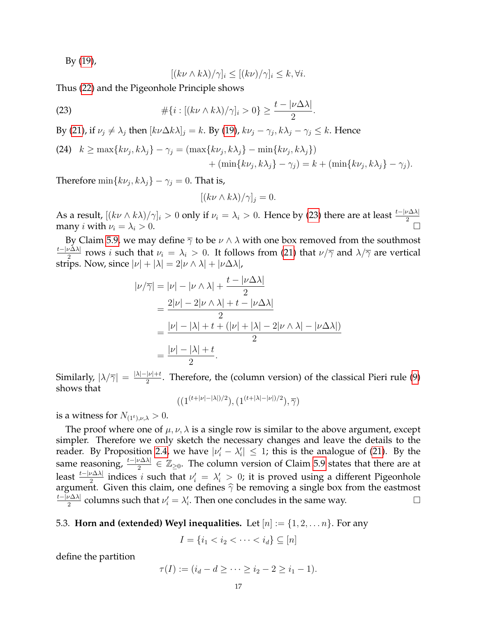By [\(19\)](#page-15-2),

<span id="page-16-1"></span>
$$
[(k\nu \wedge k\lambda)/\gamma]_i \le [(k\nu)/\gamma]_i \le k, \forall i.
$$

Thus [\(22\)](#page-15-5) and the Pigeonhole Principle shows

(23) 
$$
\#\{i : [(k\nu \wedge k\lambda)/\gamma]_i > 0\} \geq \frac{t - |\nu \Delta \lambda|}{2}.
$$

By [\(21\)](#page-15-6), if  $\nu_j \neq \lambda_j$  then  $[k\nu\Delta k\lambda]_j = k$ . By [\(19\)](#page-15-2),  $k\nu_j - \gamma_j$ ,  $k\lambda_j - \gamma_j \leq k$ . Hence

(24) 
$$
k \ge \max\{k\nu_j, k\lambda_j\} - \gamma_j = (\max\{k\nu_j, k\lambda_j\} - \min\{k\nu_j, k\lambda_j\}) + (\min\{k\nu_j, k\lambda_j\} - \gamma_j) = k + (\min\{k\nu_j, k\lambda_j\} - \gamma_j).
$$

Therefore  $\min\{k\nu_j,k\lambda_j\} - \gamma_j = 0$ . That is,

$$
[(k\nu \wedge k\lambda)/\gamma]_j = 0.
$$

As a result,  $[(k\nu \wedge k\lambda)/\gamma]_i > 0$  only if  $\nu_i = \lambda_i > 0$ . Hence by [\(23\)](#page-16-1) there are at least  $\frac{t - |\nu \Delta \lambda|}{2}$  many *i* with  $\nu_i = \lambda_i > 0$ .

By Claim [5.9,](#page-15-4) we may define  $\overline{\gamma}$  to be  $\nu \wedge \lambda$  with one box removed from the southmost t−|ν∆λ|  $\frac{\nu \Delta \lambda_1}{2}$  rows *i* such that  $\nu_i = \lambda_i > 0$ . It follows from [\(21\)](#page-15-6) that  $\nu/\overline{\gamma}$  and  $\lambda/\overline{\gamma}$  are vertical strips. Now, since  $|\nu| + |\lambda| = 2|\nu \wedge \lambda| + |\nu \Delta \lambda|$ ,

$$
|\nu/\overline{\gamma}| = |\nu| - |\nu \wedge \lambda| + \frac{t - |\nu \Delta \lambda|}{2}
$$
  
= 
$$
\frac{2|\nu| - 2|\nu \wedge \lambda| + t - |\nu \Delta \lambda|}{2}
$$
  
= 
$$
\frac{|\nu| - |\lambda| + t + (|\nu| + |\lambda| - 2|\nu \wedge \lambda| - |\nu \Delta \lambda|)}{2}
$$
  
= 
$$
\frac{|\nu| - |\lambda| + t}{2}.
$$

Similarly,  $|\lambda/\overline{\gamma}| = \frac{|\lambda|-|\nu|+t}{2}$  $\frac{p}{2}$ . Therefore, the (column version) of the classical Pieri rule [\(9\)](#page-5-4) shows that

 $((1^{(t+|\nu|-|\lambda|)/2}), (1^{(t+|\lambda|-|\nu|)/2}), \overline{\gamma})$ 

is a witness for  $N_{(1<sup>t</sup>),\nu,\lambda} > 0$ .

The proof where one of  $\mu$ ,  $\nu$ ,  $\lambda$  is a single row is similar to the above argument, except simpler. Therefore we only sketch the necessary changes and leave the details to the reader. By Proposition [2.4,](#page-6-1) we have  $|\nu'_i - \lambda'_i| \leq 1$ ; this is the analogue of [\(21\)](#page-15-6). By the same reasoning,  $\frac{t-|\nu\Delta\lambda|}{2}\in\mathbb{Z}_{\geq0}.$  The column version of Claim [5.9](#page-15-4) states that there are at least  $\frac{t-|\nu\Delta\lambda|}{2}$  indices i such that  $\nu'_i = \lambda'_i > 0$ ; it is proved using a different Pigeonhole argument. Given this claim, one defines  $\hat{\gamma}$  be removing a single box from the eastmost  $\frac{t-\vert \nu \Delta \lambda \vert}{\vert \nu \Delta \lambda \vert}$  columns such that  $\nu' = \lambda'$ . Then one concludes in the same way. t−|ν∆λ|  $\frac{\partial u \Delta \lambda}{\partial x}$  columns such that  $\nu'_i = \lambda'_i$ . Then one concludes in the same way.

<span id="page-16-0"></span>5.3. **Horn and (extended) Weyl inequalities.** Let  $[n] := \{1, 2, \ldots n\}$ . For any

$$
I = \{i_1 < i_2 < \dots < i_d\} \subseteq [n]
$$

define the partition

$$
\tau(I) := (i_d - d \ge \cdots \ge i_2 - 2 \ge i_1 - 1).
$$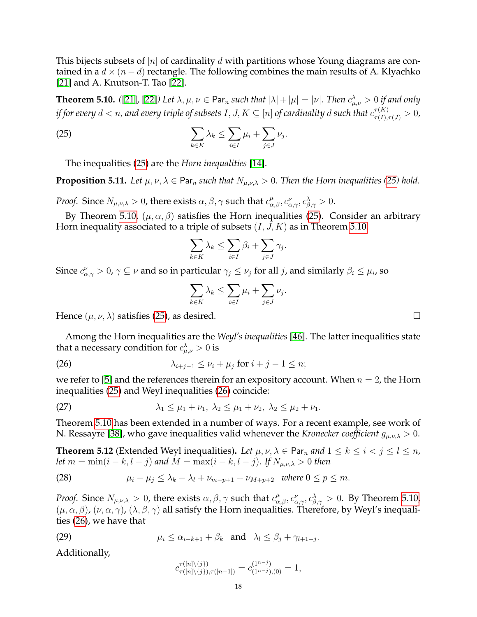This bijects subsets of  $[n]$  of cardinality d with partitions whose Young diagrams are contained in a  $d \times (n - d)$  rectangle. The following combines the main results of A. Klyachko [\[21\]](#page-32-22) and A. Knutson-T. Tao [\[22\]](#page-32-12).

<span id="page-17-2"></span>**Theorem 5.10.** ([\[21\]](#page-32-22), [\[22\]](#page-32-12)) Let  $\lambda, \mu, \nu \in \mathsf{Par}_n$  such that  $|\lambda| + |\mu| = |\nu|$ . Then  $c_{\mu,\nu}^{\lambda} > 0$  if and only if for every  $d < n$ , and every triple of subsets  $I,J,K \subseteq [n]$  of cardinality  $d$  such that  $c^{\tau(K)}_{\tau(I),\tau(J)} > 0$ ,

(25) 
$$
\sum_{k \in K} \lambda_k \leq \sum_{i \in I} \mu_i + \sum_{j \in J} \nu_j.
$$

The inequalities [\(25\)](#page-17-1) are the *Horn inequalities* [\[14\]](#page-32-15).

<span id="page-17-6"></span>**Proposition 5.11.** *Let*  $\mu$ ,  $\nu$ ,  $\lambda \in \text{Par}_n$  *such that*  $N_{\mu,\nu,\lambda} > 0$ *. Then the Horn inequalities* [\(25\)](#page-17-1) *hold.* 

*Proof.* Since  $N_{\mu,\nu,\lambda}>0$ , there exists  $\alpha, \beta, \gamma$  such that  $c_{\alpha,\beta}^{\mu}, c_{\alpha,\gamma}^{\nu}, c_{\beta,\gamma}^{\lambda} > 0$ .

By Theorem [5.10,](#page-17-2)  $(\mu, \alpha, \beta)$  satisfies the Horn inequalities [\(25\)](#page-17-1). Consider an arbitrary Horn inequality associated to a triple of subsets  $(I, J, K)$  as in Theorem [5.10.](#page-17-2)

<span id="page-17-1"></span>
$$
\sum_{k \in K} \lambda_k \le \sum_{i \in I} \beta_i + \sum_{j \in J} \gamma_j.
$$

Since  $c_{\alpha,\gamma}^{\nu}>0$ ,  $\gamma\subseteq\nu$  and so in particular  $\gamma_j\leq\nu_j$  for all j, and similarly  $\beta_i\leq\mu_i$ , so

<span id="page-17-3"></span>
$$
\sum_{k \in K} \lambda_k \le \sum_{i \in I} \mu_i + \sum_{j \in J} \nu_j.
$$

Hence  $(\mu, \nu, \lambda)$  satisfies [\(25\)](#page-17-1), as desired.

Among the Horn inequalities are the *Weyl's inequalities* [\[46\]](#page-33-8). The latter inequalities state that a necessary condition for  $c^\lambda_{\mu,\nu}>0$  is

(26)  $\lambda_{i+j-1} \leq \nu_i + \mu_j \text{ for } i+j-1 \leq n;$ 

we refer to [\[5\]](#page-32-23) and the references therein for an expository account. When  $n = 2$ , the Horn inequalities [\(25\)](#page-17-1) and Weyl inequalities [\(26\)](#page-17-3) coincide:

<span id="page-17-7"></span>(27) 
$$
\lambda_1 \leq \mu_1 + \nu_1, \ \lambda_2 \leq \mu_1 + \nu_2, \ \lambda_2 \leq \mu_2 + \nu_1.
$$

Theorem [5.10](#page-17-2) has been extended in a number of ways. For a recent example, see work of N. Ressayre [\[38\]](#page-33-13), who gave inequalities valid whenever the *Kronecker coefficient*  $g_{\mu,\nu,\lambda} > 0$ .

<span id="page-17-0"></span>**Theorem 5.12** (Extended Weyl inequalities). Let  $\mu, \nu, \lambda \in \text{Par}_n$  and  $1 \leq k \leq i < j \leq l \leq n$ , *let*  $m = \min(i - k, l - j)$  *and*  $M = \max(i - k, l - j)$ *. If*  $N_{\mu,\nu,\lambda} > 0$  *then* 

<span id="page-17-5"></span>(28) 
$$
\mu_i - \mu_j \leq \lambda_k - \lambda_l + \nu_{m-p+1} + \nu_{M+p+2} \text{ where } 0 \leq p \leq m.
$$

*Proof.* Since  $N_{\mu,\nu,\lambda} > 0$ , there exists  $\alpha, \beta, \gamma$  such that  $c_{\alpha,\beta}^{\mu}, c_{\alpha,\gamma}^{\nu}, c_{\beta,\gamma}^{\lambda} > 0$ . By Theorem [5.10,](#page-17-2)  $(\mu, \alpha, \beta)$ ,  $(\nu, \alpha, \gamma)$ ,  $(\lambda, \beta, \gamma)$  all satisfy the Horn inequalities. Therefore, by Weyl's inequalities [\(26\)](#page-17-3), we have that

(29) 
$$
\mu_i \leq \alpha_{i-k+1} + \beta_k \text{ and } \lambda_l \leq \beta_j + \gamma_{l+1-j}.
$$

Additionally,

<span id="page-17-4"></span>
$$
c_{\tau([n]\setminus\{j\}),\tau([n-1])}^{\tau([n]\setminus\{j\})} = c_{(1^{n-j}),(0)}^{(1^{n-j})} = 1,
$$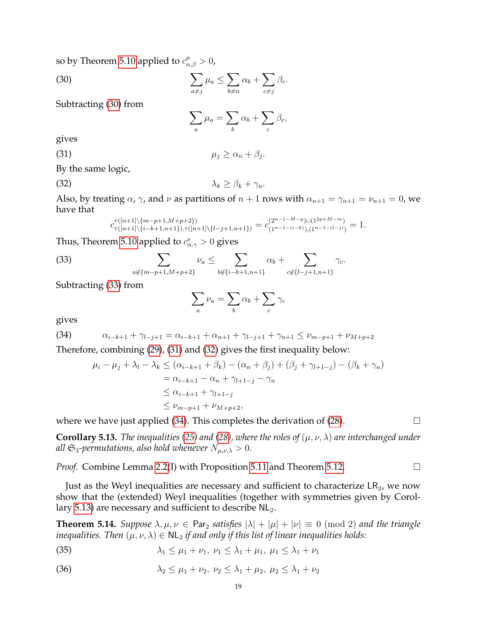so by Theorem [5.10](#page-17-2) applied to  $c_{\alpha,\beta}^{\mu}>0$ ,

 $(30)$   $\sum$  $a \neq j$  $\mu_a \leq \sum$  $b \neq n$  $\alpha_b + \sum$  $c \neq j$  $\beta_c$ .

Subtracting [\(30\)](#page-18-1) from

<span id="page-18-4"></span><span id="page-18-3"></span><span id="page-18-1"></span>
$$
\sum_a \mu_a = \sum_b \alpha_b + \sum_c \beta_c,
$$

gives

(31)  $\mu_j \geq \alpha_n + \beta_j$ .

By the same logic,

(32)  $\lambda_k \geq \beta_k + \gamma_n$ .

Also, by treating  $\alpha$ ,  $\gamma$ , and  $\nu$  as partitions of  $n + 1$  rows with  $\alpha_{n+1} = \gamma_{n+1} = \nu_{n+1} = 0$ , we have that

<span id="page-18-2"></span>
$$
c_{\tau([n+1]\backslash\{n-p+1,M+p+2\})}^{\tau([n+1]\backslash\{m-p+1,M+p+2\})} = c_{(1^{n-1-(i-k)}), (1^{n-1-(l-j)})}^{(2^{n+M-m})} = 1.
$$

Thus, Theorem [5.10](#page-17-2) applied to  $c^{\nu}_{\alpha,\gamma}>0$  gives

(33) 
$$
\sum_{a \notin \{m-p+1, M+p+2\}} \nu_a \leq \sum_{b \notin \{i-k+1, n+1\}} \alpha_b + \sum_{c \notin \{l-j+1, n+1\}} \gamma_c.
$$

Subtracting [\(33\)](#page-18-2) from

$$
\sum_a \nu_a = \sum_b \alpha_b + \sum_c \gamma_c
$$

gives

(34) 
$$
\alpha_{i-k+1} + \gamma_{l-j+1} = \alpha_{i-k+1} + \alpha_{n+1} + \gamma_{l-j+1} + \gamma_{n+1} \leq \nu_{m-p+1} + \nu_{M+p+2}
$$

Therefore, combining [\(29\)](#page-17-4), [\(31\)](#page-18-3) and [\(32\)](#page-18-4) gives the first inequality below:

<span id="page-18-5"></span>
$$
\mu_i - \mu_j + \lambda_l - \lambda_k \le (\alpha_{i-k+1} + \beta_k) - (\alpha_n + \beta_j) + (\beta_j + \gamma_{l+1-j}) - (\beta_k + \gamma_n)
$$
  
=  $\alpha_{i-k+1} - \alpha_n + \gamma_{l+1-j} - \gamma_n$   
 $\le \alpha_{i-k+1} + \gamma_{l+1-j}$   
 $\le \nu_{m-p+1} + \nu_{M+p+2},$ 

where we have just applied [\(34\)](#page-18-5). This completes the derivation of [\(28\)](#page-17-5).  $\Box$ 

<span id="page-18-6"></span>**Corollary 5.13.** *The inequalities [\(25\)](#page-17-1)* and [\(28\)](#page-17-5), where the roles of  $(\mu, \nu, \lambda)$  are interchanged under *all*  $\mathfrak{S}_3$ -permutations, also hold whenever  $N_{\mu,\nu,\lambda} > 0$ .

*Proof.* Combine Lemma [2.2\(](#page-4-1)I) with Proposition [5.11](#page-17-6) and Theorem [5.12.](#page-17-0) □

Just as the Weyl inequalities are necessary and sufficient to characterize  $LR<sub>2</sub>$ , we now show that the (extended) Weyl inequalities (together with symmetries given by Corol-lary [5.13\)](#page-18-6) are necessary and sufficient to describe  $NL<sub>2</sub>$ .

<span id="page-18-0"></span>**Theorem 5.14.** *Suppose*  $\lambda, \mu, \nu \in \text{Par}_2$  *satisfies*  $|\lambda| + |\mu| + |\nu| \equiv 0 \pmod{2}$  *and the triangle inequalities. Then*  $(\mu, \nu, \lambda) \in NL_2$  *if and only if this list of linear inequalities holds:* 

<span id="page-18-7"></span>(35) 
$$
\lambda_1 \le \mu_1 + \nu_1, \ \nu_1 \le \lambda_1 + \mu_1, \ \mu_1 \le \lambda_1 + \nu_1
$$

<span id="page-18-8"></span>(36) 
$$
\lambda_2 \le \mu_1 + \nu_2, \ \nu_2 \le \lambda_1 + \mu_2, \ \mu_2 \le \lambda_1 + \nu_2
$$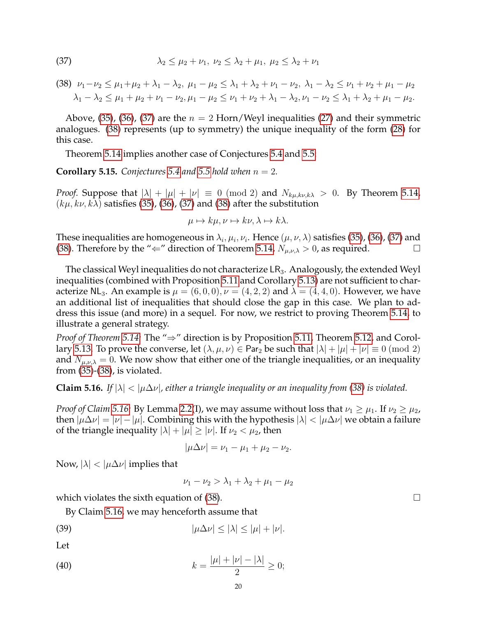<span id="page-19-1"></span>(37) 
$$
\lambda_2 \le \mu_2 + \nu_1, \ \nu_2 \le \lambda_2 + \mu_1, \ \mu_2 \le \lambda_2 + \nu_1
$$

<span id="page-19-2"></span>
$$
(38) \nu_1 - \nu_2 \le \mu_1 + \mu_2 + \lambda_1 - \lambda_2, \ \mu_1 - \mu_2 \le \lambda_1 + \lambda_2 + \nu_1 - \nu_2, \ \lambda_1 - \lambda_2 \le \nu_1 + \nu_2 + \mu_1 - \mu_2 \lambda_1 - \lambda_2 \le \mu_1 + \mu_2 + \nu_1 - \nu_2, \mu_1 - \mu_2 \le \nu_1 + \nu_2 + \lambda_1 - \lambda_2, \nu_1 - \nu_2 \le \lambda_1 + \lambda_2 + \mu_1 - \mu_2.
$$

Above, [\(35\)](#page-18-7), [\(36\)](#page-18-8), [\(37\)](#page-19-1) are the  $n = 2$  Horn/Weyl inequalities [\(27\)](#page-17-7) and their symmetric analogues. [\(38\)](#page-19-2) represents (up to symmetry) the unique inequality of the form [\(28\)](#page-17-5) for this case.

Theorem [5.14](#page-18-0) implies another case of Conjectures [5.4](#page-14-0) and [5.5:](#page-14-1)

<span id="page-19-0"></span>**Corollary 5.15.** *Conjectures* [5.4](#page-14-0) *and* [5.5](#page-14-1) *hold when*  $n = 2$ *.* 

*Proof.* Suppose that  $|\lambda| + |\mu| + |\nu| \equiv 0 \pmod{2}$  and  $N_{k\mu,k\nu,k\lambda} > 0$ . By Theorem [5.14,](#page-18-0)  $(k\mu, k\nu, k\lambda)$  satisfies [\(35\)](#page-18-7), [\(36\)](#page-18-8), [\(37\)](#page-19-1) and [\(38\)](#page-19-2) after the substitution

$$
\mu \mapsto k\mu, \nu \mapsto k\nu, \lambda \mapsto k\lambda.
$$

These inequalities are homogeneous in  $\lambda_i,\mu_i,\nu_i.$  Hence  $(\mu,\nu,\lambda)$  satisfies [\(35\)](#page-18-7), [\(36\)](#page-18-8), [\(37\)](#page-19-1) and [\(38\)](#page-19-2). Therefore by the " $\Leftarrow$ " direction of Theorem [5.14,](#page-18-0)  $N_{\mu,\nu,\lambda} > 0$ , as required.

The classical Weyl inequalities do not characterize  $LR_3$ . Analogously, the extended Weyl inequalities (combined with Proposition [5.11](#page-17-6) and Corollary [5.13\)](#page-18-6) are not sufficient to characterize NL<sub>3</sub>. An example is  $\mu = (6,0,0), \nu = (4,2,2)$  and  $\lambda = (4,4,0)$ . However, we have an additional list of inequalities that should close the gap in this case. We plan to address this issue (and more) in a sequel. For now, we restrict to proving Theorem [5.14,](#page-18-0) to illustrate a general strategy.

*Proof of Theorem [5.14:](#page-18-0)* The "⇒" direction is by Proposition [5.11,](#page-17-6) Theorem [5.12,](#page-17-0) and Corol-lary [5.13.](#page-18-6) To prove the converse, let  $(\lambda, \mu, \nu) \in \text{Par}_2$  be such that  $|\lambda| + |\mu| + |\nu| \equiv 0 \pmod{2}$ and  $N_{\mu,\nu\lambda} = 0$ . We now show that either one of the triangle inequalities, or an inequality from [\(35\)](#page-18-7)-[\(38\)](#page-19-2), is violated.

<span id="page-19-3"></span>**Claim 5.16.** *If*  $|\lambda| < |\mu\Delta\nu|$ , either a triangle inequality or an inequality from [\(38\)](#page-19-2) is violated.

*Proof of Claim* [5.16:](#page-19-3) By Lemma [2.2\(](#page-4-1)I), we may assume without loss that  $\nu_1 \geq \mu_1$ . If  $\nu_2 \geq \mu_2$ , then  $|\mu \Delta \nu| = |\nu| - |\mu|$ . Combining this with the hypothesis  $|\lambda| < |\mu \Delta \nu|$  we obtain a failure of the triangle inequality  $|\lambda| + |\mu| \geq |\nu|$ . If  $\nu_2 < \mu_2$ , then

$$
|\mu \Delta \nu| = \nu_1 - \mu_1 + \mu_2 - \nu_2.
$$

Now,  $|\lambda| < |\mu \Delta \nu|$  implies that

<span id="page-19-5"></span><span id="page-19-4"></span>
$$
\nu_1 - \nu_2 > \lambda_1 + \lambda_2 + \mu_1 - \mu_2
$$

which violates the sixth equation of [\(38\)](#page-19-2).  $\Box$ 

By Claim [5.16,](#page-19-3) we may henceforth assume that

$$
|\mu \Delta \nu| \le |\lambda| \le |\mu| + |\nu|.
$$

Let

(40) 
$$
k = \frac{|\mu| + |\nu| - |\lambda|}{2} \ge 0;
$$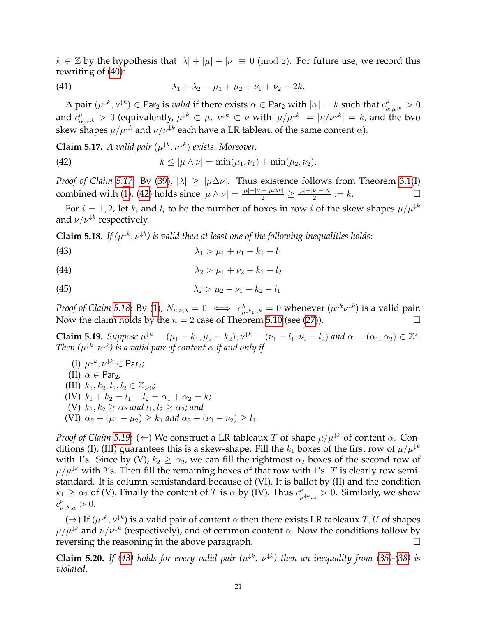$k \in \mathbb{Z}$  by the hypothesis that  $|\lambda| + |\mu| + |\nu| \equiv 0 \pmod{2}$ . For future use, we record this rewriting of [\(40\)](#page-19-4):

<span id="page-20-6"></span>(41) 
$$
\lambda_1 + \lambda_2 = \mu_1 + \mu_2 + \nu_1 + \nu_2 - 2k.
$$

A pair  $(\mu^{jk},\nu^{jk})\in$  Par<sub>2</sub> is *valid* if there exists  $\alpha\in$  Par<sub>2</sub> with  $|\alpha|=k$  such that  $c_{\alpha,\mu^{jk}}^\mu>0$ and  $c^{\nu}_{\alpha,\nu^{ \downarrow k}} > 0$  (equivalently,  $\mu^{ \downarrow k} \subset \mu$ ,  $\nu^{ \downarrow k} \subset \nu$  with  $|\mu/\mu^{ \downarrow k}| = |\nu/\nu^{ \downarrow k}| = k$ , and the two skew shapes  $\mu/\mu^{\downarrow k}$  and  $\nu/\nu^{\downarrow k}$  each have a LR tableau of the same content  $\alpha$ ).

<span id="page-20-0"></span>**Claim 5.17.** *A valid pair*  $(\mu^{k}, \nu^{k})$  *exists. Moreover,* 

<span id="page-20-1"></span>(42) 
$$
k \leq |\mu \wedge \nu| = \min(\mu_1, \nu_1) + \min(\mu_2, \nu_2).
$$

*Proof of Claim [5.17:](#page-20-0)* By [\(39\)](#page-19-5),  $|\lambda| \geq |\mu \Delta \nu|$ . Thus existence follows from Theorem [3.1\(](#page-6-2)I) combined with [\(1\)](#page-1-2). [\(42\)](#page-20-1) holds since  $|\mu \wedge \nu| = \frac{|\mu| + |\nu| - |\mu \Delta \nu|}{2} \ge \frac{|\mu| + |\nu| - |\lambda|}{2}$  $\frac{\nu|-|\lambda|}{2} := k.$ 

For  $i = 1, 2$ , let  $k_i$  and  $l_i$  to be the number of boxes in row i of the skew shapes  $\mu/\mu^{k}$ and  $\nu/\nu^{\downarrow k}$  respectively.

<span id="page-20-2"></span>**Claim 5.18.** If  $(\mu^{k}, \nu^{k})$  is valid then at least one of the following inequalities holds:

<span id="page-20-4"></span>(43) 
$$
\lambda_1 > \mu_1 + \nu_1 - k_1 - l_1
$$

<span id="page-20-7"></span>(44) 
$$
\lambda_2 > \mu_1 + \nu_2 - k_1 - l_2
$$

<span id="page-20-8"></span>(45) 
$$
\lambda_2 > \mu_2 + \nu_1 - k_2 - l_1.
$$

*Proof of Claim [5.18:](#page-20-2)* By [\(1\)](#page-1-2),  $N_{\mu,\nu,\lambda} = 0 \iff c^{\lambda}_{\mu^{k}\nu^{k}} = 0$  whenever  $(\mu^{k}\nu^{k})$  is a valid pair. Now the claim holds by the  $n = 2$  case of Theorem [5.10](#page-17-2) (see [\(27\)](#page-17-7)).

<span id="page-20-3"></span>**Claim 5.19.** *Suppose*  $\mu^{k} = (\mu_1 - k_1, \mu_2 - k_2), \nu^{k} = (\nu_1 - l_1, \nu_2 - l_2)$  *and*  $\alpha = (\alpha_1, \alpha_2) \in \mathbb{Z}^2$ *. Then*  $(\mu^{k}, \nu^{k})$  is a valid pair of content  $\alpha$  if and only if

(I) 
$$
\mu^{k}
$$
,  $\nu^{k} \in \text{Par}_2$ ;  
\n(II)  $\alpha \in \text{Par}_2$ ;  
\n(III)  $k_1, k_2, l_1, l_2 \in \mathbb{Z}_{\geq 0}$ ;  
\n(IV)  $k_1 + k_2 = l_1 + l_2 = \alpha_1 + \alpha_2 = k$ ;  
\n(V)  $k_1, k_2 \geq \alpha_2$  and  $l_1, l_2 \geq \alpha_2$ ; and  
\n(VI)  $\alpha_2 + (\mu_1 - \mu_2) \geq k_1$  and  $\alpha_2 + (\nu_1 - \nu_2) \geq l_1$ .

*Proof of Claim [5.19:](#page-20-3)* ( $\Leftarrow$ ) We construct a LR tableaux T of shape  $\mu/\mu^{k}$  of content  $\alpha$ . Conditions (I), (III) guarantees this is a skew-shape. Fill the  $k_1$  boxes of the first row of  $\mu/\mu^{k}$ with 1's. Since by (V),  $k_2 \geq \alpha_2$ , we can fill the rightmost  $\alpha_2$  boxes of the second row of  $\mu/\mu^{k}$  with 2's. Then fill the remaining boxes of that row with 1's. T is clearly row semistandard. It is column semistandard because of (VI). It is ballot by (II) and the condition  $k_1 \geq \alpha_2$  of (V). Finally the content of T is  $\alpha$  by (IV). Thus  $c_\mu^{\mu}$  $_{\mu^{\downarrow k},\alpha}^{\mu}>0.$  Similarly, we show  $c_{\nu}^{\nu}$  $_{\nu^{k},\alpha}^{\nu} > 0.$ 

( $\Rightarrow$ ) If ( $\mu^{k}, \nu^{k}$ ) is a valid pair of content  $\alpha$  then there exists LR tableaux  $T, U$  of shapes  $\mu/\mu^{\downarrow k}$  and  $\nu/\nu^{\downarrow k}$  (respectively), and of common content  $\alpha$ . Now the conditions follow by reversing the reasoning in the above paragraph.  $\Box$ 

<span id="page-20-5"></span>**Claim 5.20.** If [\(43\)](#page-20-4) holds for every valid pair ( $\mu^{k}$ ,  $\nu^{k}$ ) then an inequality from [\(35\)](#page-18-7)-[\(38\)](#page-19-2) is *violated.*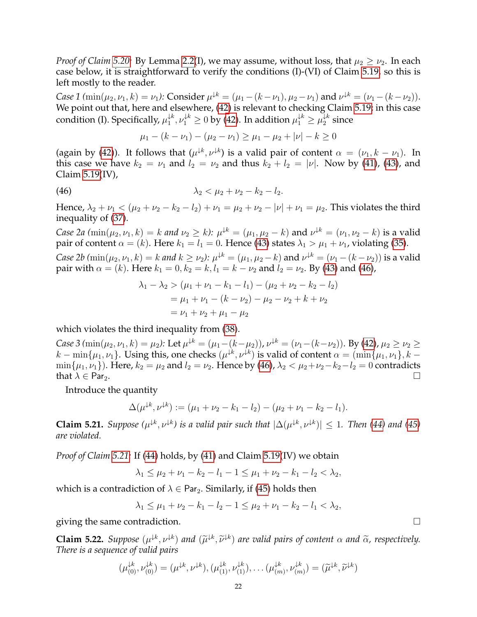*Proof of Claim 5.20:* By Lemma [2.2\(](#page-4-1)I), we may assume, without loss, that  $\mu_2 \geq \nu_2$ . In each case below, it is straightforward to verify the conditions (I)-(VI) of Claim [5.19,](#page-20-3) so this is left mostly to the reader.

*Case 1* ( $\min(\mu_2, \nu_1, k) = \nu_1$ ): Consider  $\mu^{k} = (\mu_1 - (k - \nu_1), \mu_2 - \nu_1)$  and  $\nu^{k} = (\nu_1 - (k - \nu_2)).$ We point out that, here and elsewhere, [\(42\)](#page-20-1) is relevant to checking Claim [5.19;](#page-20-3) in this case condition (I). Specifically,  $\mu_1^{\downarrow k}$  $\downarrow^k_\text{1}, \nu_1^{\downarrow k} \geq 0$  by [\(42\)](#page-20-1). In addition  $\mu_1^{\downarrow k} \geq \mu_2^{\downarrow k}$  $2^{\kappa}$  since

<span id="page-21-0"></span>
$$
\mu_1 - (k - \nu_1) - (\mu_2 - \nu_1) \ge \mu_1 - \mu_2 + |\nu| - k \ge 0
$$

(again by [\(42\)](#page-20-1)). It follows that  $(\mu^{k}, \nu^{k})$  is a valid pair of content  $\alpha = (\nu_1, k - \nu_1)$ . In this case we have  $k_2 = \nu_1$  and  $l_2 = \nu_2$  and thus  $k_2 + l_2 = |\nu|$ . Now by [\(41\)](#page-20-6), [\(43\)](#page-20-4), and Claim [5.19\(](#page-20-3)IV),

(46) 
$$
\lambda_2 < \mu_2 + \nu_2 - k_2 - l_2.
$$

Hence,  $\lambda_2 + \nu_1 < (\mu_2 + \nu_2 - k_2 - l_2) + \nu_1 = \mu_2 + \nu_2 - |\nu| + \nu_1 = \mu_2$ . This violates the third inequality of [\(37\)](#page-19-1).

*Case 2a*  $(\min(\mu_2, \nu_1, k) = k$  *and*  $\nu_2 \ge k$ *):*  $\mu^{k} = (\mu_1, \mu_2 - k)$  and  $\nu^{k} = (\nu_1, \nu_2 - k)$  is a valid pair of content  $\alpha = (k)$ . Here  $k_1 = l_1 = 0$ . Hence [\(43\)](#page-20-4) states  $\lambda_1 > \mu_1 + \nu_1$ , violating [\(35\)](#page-18-7).

*Case 2b*  $(\min(\mu_2, \nu_1, k) = k$  *and*  $k \ge \nu_2$ *):*  $\mu^{k} = (\mu_1, \mu_2 - k)$  and  $\nu^{k} = (\nu_1 - (k - \nu_2))$  is a valid pair with  $\alpha = (k)$ . Here  $k_1 = 0, k_2 = k, l_1 = k - \nu_2$  and  $l_2 = \nu_2$ . By [\(43\)](#page-20-4) and [\(46\)](#page-21-0),

$$
\lambda_1 - \lambda_2 > (\mu_1 + \nu_1 - k_1 - l_1) - (\mu_2 + \nu_2 - k_2 - l_2)
$$
  
=  $\mu_1 + \nu_1 - (k - \nu_2) - \mu_2 - \nu_2 + k + \nu_2$   
=  $\nu_1 + \nu_2 + \mu_1 - \mu_2$ 

which violates the third inequality from [\(38\)](#page-19-2).

*Case 3* ( $\min(\mu_2, \nu_1, k) = \mu_2$ ): Let  $\mu^{k} = (\mu_1 - (k - \mu_2))$ ,  $\nu^{k} = (\nu_1 - (k - \nu_2))$ . By [\(42\)](#page-20-1),  $\mu_2 \ge \nu_2 \ge$  $k - \min\{\mu_1, \nu_1\}$ . Using this, one checks  $(\mu^{k}, \nu^{k})$  is valid of content  $\alpha = (\min\{\mu_1, \nu_1\}, k \min\{\mu_1, \nu_1\}$ . Here,  $k_2 = \mu_2$  and  $l_2 = \nu_2$ . Hence by [\(46\)](#page-21-0),  $\lambda_2 < \mu_2 + \nu_2 - k_2 - l_2 = 0$  contradicts that  $\lambda \in \text{Par}_2$ .

Introduce the quantity

$$
\Delta(\mu^{\downarrow k}, \nu^{\downarrow k}) := (\mu_1 + \nu_2 - k_1 - l_2) - (\mu_2 + \nu_1 - k_2 - l_1).
$$

<span id="page-21-1"></span>**Claim 5.21.** Suppose  $(\mu^{k}, \nu^{k})$  is a valid pair such that  $|\Delta(\mu^{k}, \nu^{k})| \leq 1$ . Then [\(44\)](#page-20-7) and [\(45\)](#page-20-8) *are violated.*

*Proof of Claim [5.21:](#page-21-1)* If [\(44\)](#page-20-7) holds, by [\(41\)](#page-20-6) and Claim [5.19\(](#page-20-3)IV) we obtain

 $\lambda_1 \leq \mu_2 + \nu_1 - k_2 - l_1 - 1 \leq \mu_1 + \nu_2 - k_1 - l_2 \leq \lambda_2$ 

which is a contradiction of  $\lambda \in \text{Par}_2$ . Similarly, if [\(45\)](#page-20-8) holds then

$$
\lambda_1 \le \mu_1 + \nu_2 - k_1 - l_2 - 1 \le \mu_2 + \nu_1 - k_2 - l_1 < \lambda_2
$$

giving the same contradiction.  $\Box$ 

<span id="page-21-2"></span>**Claim 5.22.** Suppose  $(\mu^{k}, \nu^{k})$  and  $(\widetilde{\mu}^{k}, \widetilde{\nu}^{k})$  are valid pairs of content  $\alpha$  and  $\widetilde{\alpha}$ , respectively.<br>There is a sequence of valid pairs *There is a sequence of valid pairs*

$$
(\mu_{(0)}^{\downarrow k}, \nu_{(0)}^{\downarrow k}) = (\mu^{\downarrow k}, \nu^{\downarrow k}), (\mu_{(1)}^{\downarrow k}, \nu_{(1)}^{\downarrow k}), \dots (\mu_{(m)}^{\downarrow k}, \nu_{(m)}^{\downarrow k}) = (\widetilde{\mu}^{\downarrow k}, \widetilde{\nu}^{\downarrow k})
$$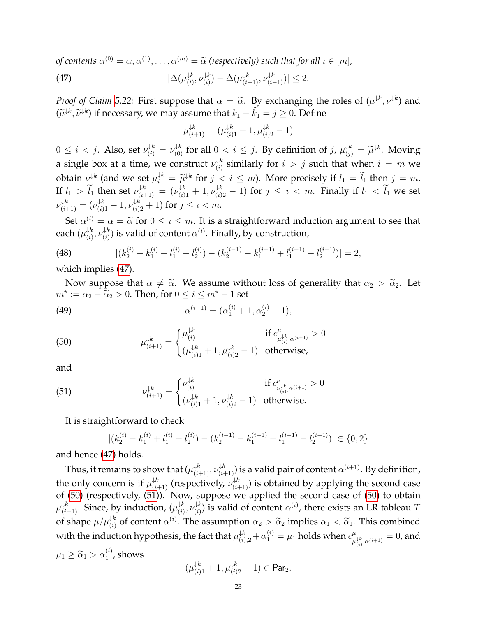*of contents*  $\alpha^{(0)} = \alpha, \alpha^{(1)}, \dots, \alpha^{(m)} = \widetilde{\alpha}$  (respectively) such that for all  $i \in [m]$ ,

(47) 
$$
|\Delta(\mu_{(i)}^{\downarrow k}, \nu_{(i)}^{\downarrow k}) - \Delta(\mu_{(i-1)}^{\downarrow k}, \nu_{(i-1)}^{\downarrow k})| \leq 2.
$$

*Proof of Claim [5.22:](#page-21-2)* First suppose that  $\alpha = \tilde{\alpha}$ . By exchanging the roles of  $(\mu^{k}, \nu^{k})$  and  $(\tilde{\alpha}^{k}, \tilde{\alpha}^{k})$  is a propose we are assumed that  $\tilde{\alpha}^{k}$  $(\widetilde{\mu}^{\downarrow k}, \widetilde{\nu}^{\downarrow k})$  if necessary, we may assume that  $k_1 - \widetilde{k}_1 = j \geq 0$ . Define

<span id="page-22-0"></span>
$$
\mu_{(i+1)}^{\downarrow k} = (\mu_{(i)1}^{\downarrow k} + 1, \mu_{(i)2}^{\downarrow k} - 1)
$$

 $0 \le i < j$ . Also, set  $\nu_{(i)}^{\downarrow k} = \nu_{(0)}^{\downarrow k}$  for all  $0 < i \le j$ . By definition of  $j$ ,  $\mu_{(j)}^{\downarrow k} = \widetilde{\mu}^{\downarrow k}$ . Moving a single box at a time, we construct  $\nu_{(i)}^{\downarrow k}$  $\mathcal{L}^k_{(i)}$  similarly for  $i > j$  such that when  $i = m$  we obtain  $\nu^{\downarrow k}$  (and we set  $\mu_i^{\downarrow k} = \widetilde{\mu}^{\downarrow k}$  for  $j < i \leq m$ ). More precisely if  $l_1 = \widetilde{l_1}$  then  $j = m$ .  $\widetilde{u}^k = \widetilde{\mu}$ If  $l_1 > \tilde{l}_1$  then set  $\nu_{(i+1)}^{\downarrow k} = (\nu_{(i)1}^{\downarrow k} + 1, \nu_{(i)2}^{\downarrow k} - 1)$  for  $j \leq i < m$ . Finally if  $l_1 < \tilde{l}_1$  we set  $\nu_{(i+1)}^{\downarrow k} = (\nu_{(i)1}^{\downarrow k} - 1, \nu_{(i)2}^{\downarrow k} + 1)$  for  $j \leq i < m$ .

Set  $\alpha^{(i)} = \alpha = \tilde{\alpha}$  for  $0 \le i \le m$ . It is a straightforward induction argument to see that each  $(\mu^{\downarrow k}_{(i)})$  $\downarrow_k^k, \nu \downarrow_k^k$  $\mathcal{C}^{(k)}_{(i)}$  is valid of content  $\alpha^{(i)}$ . Finally, by construction,

(48) 
$$
|(k_2^{(i)} - k_1^{(i)} + l_1^{(i)} - l_2^{(i)}) - (k_2^{(i-1)} - k_1^{(i-1)} + l_1^{(i-1)} - l_2^{(i-1)})| = 2,
$$

which implies [\(47\)](#page-22-0).

Now suppose that  $\alpha \neq \tilde{\alpha}$ . We assume without loss of generality that  $\alpha_2 > \tilde{\alpha}_2$ . Let  $m^* := \alpha_2 - \tilde{\alpha}_2 > 0$ . Then, for  $0 \le i \le m^* - 1$  set

(49) 
$$
\alpha^{(i+1)} = (\alpha_1^{(i)} + 1, \alpha_2^{(i)} - 1),
$$

<span id="page-22-1"></span>(50) 
$$
\mu_{(i+1)}^{\downarrow k} = \begin{cases} \mu_{(i)}^{\downarrow k} & \text{if } c_{\mu_{(i)}^{\downarrow k}, \alpha^{(i+1)}}^{\mu} > 0\\ (\mu_{(i)1}^{\downarrow k} + 1, \mu_{(i)2}^{\downarrow k} - 1) & \text{otherwise,} \end{cases}
$$

and

(51) 
$$
\nu_{(i+1)}^{\downarrow k} = \begin{cases} \nu_{(i)}^{\downarrow k} & \text{if } c_{\nu_{(i)}^{\downarrow k}, \alpha^{(i+1)}}^{\nu} > 0\\ (\nu_{(i)1}^{\downarrow k} + 1, \nu_{(i)2}^{\downarrow k} - 1) & \text{otherwise.} \end{cases}
$$

It is straightforward to check

<span id="page-22-2"></span>
$$
|(k_2^{(i)}-k_1^{(i)}+l_1^{(i)}-l_2^{(i)})-(k_2^{(i-1)}-k_1^{(i-1)}+l_1^{(i-1)}-l_2^{(i-1)})| \in \{0,2\}
$$

and hence [\(47\)](#page-22-0) holds.

Thus, it remains to show that  $(\mu_{(i+1)}^{\downarrow k},\nu_{(i+1)}^{\downarrow k})$  is a valid pair of content  $\alpha^{(i+1)}$ . By definition, the only concern is if  $\mu_{(i+1)}^{\downarrow k}$  (respectively,  $\nu_{(i+1)}^{\downarrow k}$ ) is obtained by applying the second case of  $(50)$  (respectively,  $(51)$ ). Now, suppose we applied the second case of  $(50)$  to obtain  $\mu_{(i+1)}^{\downarrow k}.$  Since, by induction,  $(\mu_{(i)}^{\downarrow k})$  $\downarrow^k_{(i)}, \nu \downarrow^k_{(i)}$  $\mathcal{A}^{(k)}_{(i)}$  is valid of content  $\alpha^{(i)}$ , there exists an LR tableau  $T$ of shape  $\mu/\mu_{(i)}^{k}$  of content  $\alpha^{(i)}$ . The assumption  $\alpha_2 > \tilde{\alpha}_2$  implies  $\alpha_1 < \tilde{\alpha}_1$ . This combined with the induction hypothesis, the fact that  $\mu_{(i),2}^{\downarrow k} + \alpha_1^{(i)} = \mu_1$  holds when  $c_\mu^\mu$  $^{\mu}_{\mu_{(i)}^{ \downarrow k},\alpha^{(i+1)}}=0$ , and  $\mu_1 \geq \widetilde{\alpha}_1 > \alpha_1^{(i)}$ , shows

$$
(\mu_{(i)1}^{\downarrow k} + 1, \mu_{(i)2}^{\downarrow k} - 1) \in \mathsf{Par}_2.
$$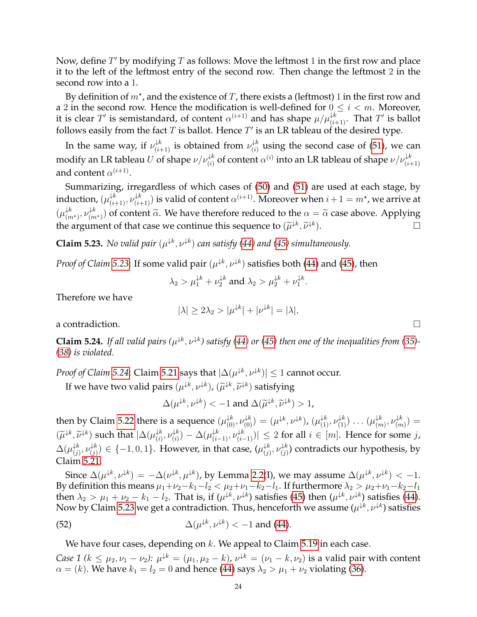Now, define  $T'$  by modifying  $T$  as follows: Move the leftmost 1 in the first row and place it to the left of the leftmost entry of the second row. Then change the leftmost 2 in the second row into a 1.

By definition of  $m^*$ , and the existence of  $T$ , there exists a (leftmost) 1 in the first row and a 2 in the second row. Hence the modification is well-defined for  $0 \le i < m$ . Moreover, it is clear  $T'$  is semistandard, of content  $\alpha^{(i+1)}$  and has shape  $\mu/\mu_{(i+1)}^{\downarrow k}.$  That  $T'$  is ballot follows easily from the fact  $T$  is ballot. Hence  $T'$  is an LR tableau of the desired type.

In the same way, if  $\nu_{(i+1)}^{\downarrow k}$  is obtained from  $\nu_{(i)}^{\downarrow k}$  $\binom{1}{i}$  using the second case of [\(51\)](#page-22-2), we can modify an LR tableau  $U$  of shape  $\nu/\nu_{(i)}^{\downarrow k}$  of content  $\alpha^{(i)}$  into an LR tableau of shape  $\nu/\nu_{(i+1)}^{\downarrow k}$ and content  $\alpha^{(i+1)}$ .

Summarizing, irregardless of which cases of [\(50\)](#page-22-1) and [\(51\)](#page-22-2) are used at each stage, by induction,  $(\mu_{(i+1)}^{\downarrow k},\nu_{(i+1)}^{\downarrow k})$  is valid of content  $\alpha^{(i+1)}$ . Moreover when  $i+1=m^\star$ , we arrive at  $(\mu_{\alpha}^{\downarrow k})$  $\downarrow^k_{(m^\star)}, \nu \downarrow^k_{(m)}$  $\binom{f^{(k)}}{(m^k)}$  of content  $\widetilde{\alpha}$ . We have therefore reduced to the  $\alpha = \widetilde{\alpha}$  case above. Applying the argument of that case we continue this sequence to  $(\widetilde{\mu}^{\downarrow k}, \widetilde{\nu}^{\downarrow k})$  $\Box$ 

<span id="page-23-0"></span>**Claim 5.23.** *No valid pair*  $(\mu^{k}, \nu^{k})$  *can satisfy* [\(44\)](#page-20-7) and [\(45\)](#page-20-8) simultaneously.

*Proof of Claim [5.23](#page-23-0)*: If some valid pair  $(\mu^{k}, \nu^{k})$  satisfies both [\(44\)](#page-20-7) and [\(45\)](#page-20-8), then

$$
\lambda_2 > \mu_1^{\downarrow k} + \nu_2^{\downarrow k}
$$
 and  $\lambda_2 > \mu_2^{\downarrow k} + \nu_1^{\downarrow k}$ .

Therefore we have

$$
|\lambda| \ge 2\lambda_2 > |\mu^{\downarrow k}| + |\nu^{\downarrow k}| = |\lambda|,
$$

a contradiction.

<span id="page-23-1"></span>**Claim 5.24.** If all valid pairs  $(\mu^{k}, \nu^{k})$  satisfy [\(44\)](#page-20-7) or [\(45\)](#page-20-8) then one of the inequalities from [\(35\)](#page-18-7)-*[\(38\)](#page-19-2) is violated.*

*Proof of Claim [5.24](#page-23-1)*: Claim [5.21](#page-21-1) says that  $|\Delta(\mu^{ \downarrow k}, \nu^{ \downarrow k})| \leq 1$  cannot occur.

If we have two valid pairs  $(\mu^{ \downarrow k}, \nu^{ \downarrow k}), (\widetilde{\mu}^{ \downarrow k}, \widetilde{\nu}^{ \downarrow k})$  satisfying

 $\Delta(\mu^{\downarrow k}, \nu^{\downarrow k}) < -1$  and  $\Delta(\widetilde{\mu}^{\downarrow k}, \widetilde{\nu}^{\downarrow k}) > 1$ ,

then by Claim [5.22](#page-21-2) there is a sequence  $(\mu_{(0)}^{k^k},\nu_{(0)}^{k^k})=(\mu^{\downarrow k},\nu^{\downarrow k}),\,(\mu_{(1)}^{k^k},\nu_{(1)}^{k^k})\ldots(\mu_{(m-1)}^{k^k})$  $\downarrow^k_{(m)}, \nu \downarrow^k_{(m)}$  $\binom{m}{k} =$  $(\widetilde{\mu}^{\downarrow k}, \widetilde{\nu}^{\downarrow k})$  such that  $|\Delta(\mu_{(i)}^{\downarrow k})|$  $\downarrow^k_{(i)}, \nu \downarrow^k_{(i)}$  $(\psi^{k}_{(i)}) - \Delta(\mu^{\downarrow k}_{(i-1)}, \nu^{\downarrow k}_{(i-1)})| \leq 2$  for all  $i \in [m].$  Hence for some  $j$ ,  $\Delta(\mu^{\downarrow k}_{\left\langle i\right\rangle }$  $\downarrow k$ <br>(j),  $\nu_{(j)}^{\downarrow k}$  $(\psi^{k}_{(j)}) \in \{-1,0,1\}$ . However, in that case,  $(\mu_{(j)}^{\downarrow k})$  $\downarrow k$ <br>(j),  $\nu_{(j)}^{\downarrow k}$  $\binom{f^{k}}{j}$  contradicts our hypothesis, by Claim [5.21.](#page-21-1)

Since  $\Delta(\mu^{ \downarrow k},\nu^{ \downarrow k})=-\Delta(\nu^{ \downarrow k},\mu^{ \downarrow k})$ , by Lemma [2.2\(](#page-4-1)I), we may assume  $\Delta(\mu^{ \downarrow k},\nu^{ \downarrow k})<-1$ . By definition this means  $\mu_1+\nu_2-k_1-l_2 < \mu_2+\nu_1-k_2-l_1$ . If furthermore  $\lambda_2 > \mu_2+\nu_1-k_2-l_1$ then  $\lambda_2 > \mu_1 + \nu_2 - k_1 - l_2$ . That is, if  $(\mu^{ \downarrow k}, \nu^{ \downarrow k})$  satisfies [\(45\)](#page-20-8) then  $(\mu^{ \downarrow k}, \nu^{ \downarrow k})$  satisfies [\(44\)](#page-20-7). Now by Claim [5.23](#page-23-0) we get a contradiction. Thus, henceforth we assume  $(\mu^{\downarrow k},\nu^{\downarrow k})$  satisfies

(52) 
$$
\Delta(\mu^{\downarrow k}, \nu^{\downarrow k}) < -1 \text{ and (44)}.
$$

We have four cases, depending on  $k$ . We appeal to Claim [5.19](#page-20-3) in each case.

*Case 1* ( $k \le \mu_2, \nu_1 - \nu_2$ ):  $\mu^{k} = (\mu_1, \mu_2 - k)$ ,  $\nu^{k} = (\nu_1 - k, \nu_2)$  is a valid pair with content  $\alpha = (k)$ . We have  $k_1 = l_2 = 0$  and hence [\(44\)](#page-20-7) says  $\lambda_2 > \mu_1 + \nu_2$  violating [\(36\)](#page-18-8).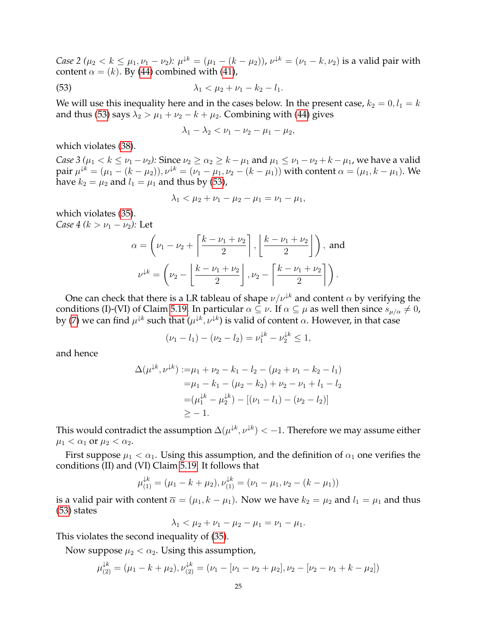*Case 2* ( $\mu_2 < k \leq \mu_1, \nu_1 - \nu_2$ ):  $\mu^{k} = (\mu_1 - (k - \mu_2))$ ,  $\nu^{k} = (\nu_1 - k, \nu_2)$  is a valid pair with content  $\alpha = (k)$ . By [\(44\)](#page-20-7) combined with [\(41\)](#page-20-6),

(53) 
$$
\lambda_1 < \mu_2 + \nu_1 - k_2 - l_1.
$$

We will use this inequality here and in the cases below. In the present case,  $k_2 = 0, l_1 = k$ and thus [\(53\)](#page-24-0) says  $\lambda_2 > \mu_1 + \nu_2 - k + \mu_2$ . Combining with [\(44\)](#page-20-7) gives

<span id="page-24-0"></span>
$$
\lambda_1 - \lambda_2 < \nu_1 - \nu_2 - \mu_1 - \mu_2,
$$

which violates [\(38\)](#page-19-2).

*Case 3* ( $\mu_1 < k \leq \nu_1 - \nu_2$ ): Since  $\nu_2 \geq \alpha_2 \geq k - \mu_1$  and  $\mu_1 \leq \nu_1 - \nu_2 + k - \mu_1$ , we have a valid pair  $\mu^{\downarrow k}=(\mu_1-(k-\mu_2)), \nu^{\downarrow k}=(\nu_1-\mu_1,\nu_2-(k-\mu_1))$  with content  $\alpha=(\mu_1,k-\mu_1).$  We have  $k_2 = \mu_2$  and  $l_1 = \mu_1$  and thus by [\(53\)](#page-24-0),

$$
\lambda_1 < \mu_2 + \nu_1 - \mu_2 - \mu_1 = \nu_1 - \mu_1,
$$

which violates [\(35\)](#page-18-7). *Case 4 (k >*  $\nu_1 - \nu_2$ *):* Let

$$
\alpha = \left(\nu_1 - \nu_2 + \left\lceil \frac{k - \nu_1 + \nu_2}{2} \right\rceil, \left\lfloor \frac{k - \nu_1 + \nu_2}{2} \right\rfloor \right), \text{ and}
$$

$$
\nu^{\downarrow k} = \left(\nu_2 - \left\lfloor \frac{k - \nu_1 + \nu_2}{2} \right\rfloor, \nu_2 - \left\lceil \frac{k - \nu_1 + \nu_2}{2} \right\rceil \right).
$$

One can check that there is a LR tableau of shape  $\nu/\nu^{k}$  and content  $\alpha$  by verifying the conditions (I)-(VI) of Claim [5.19.](#page-20-3) In particular  $\alpha \subseteq \nu$ . If  $\alpha \subseteq \mu$  as well then since  $s_{\mu/\alpha} \neq 0$ , by [\(7\)](#page-5-2) we can find  $\mu^{\downarrow k}$  such that  $(\mu^{\downarrow k},\nu^{\downarrow k})$  is valid of content  $\alpha.$  However, in that case

$$
(\nu_1 - l_1) - (\nu_2 - l_2) = \nu_1^{\downarrow k} - \nu_2^{\downarrow k} \le 1,
$$

and hence

$$
\Delta(\mu^{k}, \nu^{k}) := \mu_1 + \nu_2 - k_1 - l_2 - (\mu_2 + \nu_1 - k_2 - l_1)
$$
  
=  $\mu_1 - k_1 - (\mu_2 - k_2) + \nu_2 - \nu_1 + l_1 - l_2$   
=  $(\mu_1^{k} - \mu_2^{k}) - [(\nu_1 - l_1) - (\nu_2 - l_2)]$   
 $\ge -1.$ 

This would contradict the assumption  $\Delta(\mu^{\downarrow k},\nu^{\downarrow k}) < -1.$  Therefore we may assume either  $\mu_1 < \alpha_1$  or  $\mu_2 < \alpha_2$ .

First suppose  $\mu_1 < \alpha_1$ . Using this assumption, and the definition of  $\alpha_1$  one verifies the conditions (II) and (VI) Claim [5.19.](#page-20-3) It follows that

$$
\mu_{(1)}^{k} = (\mu_1 - k + \mu_2), \nu_{(1)}^{k} = (\nu_1 - \mu_1, \nu_2 - (k - \mu_1))
$$

is a valid pair with content  $\overline{\alpha} = (\mu_1, k - \mu_1)$ . Now we have  $k_2 = \mu_2$  and  $l_1 = \mu_1$  and thus [\(53\)](#page-24-0) states

$$
\lambda_1 < \mu_2 + \nu_1 - \mu_2 - \mu_1 = \nu_1 - \mu_1.
$$

This violates the second inequality of [\(35\)](#page-18-7).

Now suppose  $\mu_2 < \alpha_2$ . Using this assumption,

$$
\mu_{(2)}^{\downarrow k} = (\mu_1 - k + \mu_2), \nu_{(2)}^{\downarrow k} = (\nu_1 - [\nu_1 - \nu_2 + \mu_2], \nu_2 - [\nu_2 - \nu_1 + k - \mu_2])
$$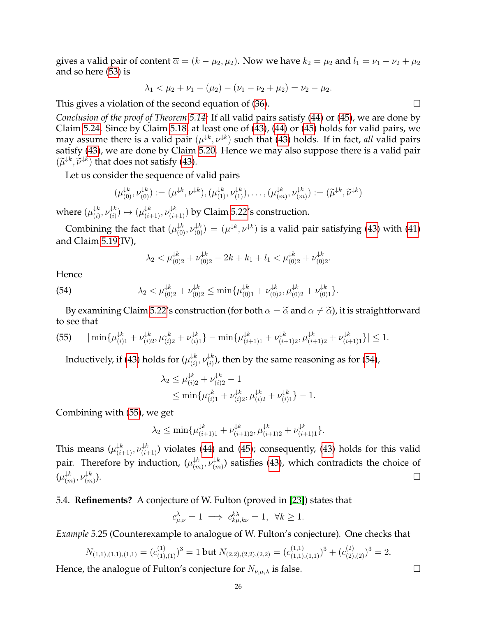gives a valid pair of content  $\overline{\alpha} = (k - \mu_2, \mu_2)$ . Now we have  $k_2 = \mu_2$  and  $l_1 = \nu_1 - \nu_2 + \mu_2$ and so here [\(53\)](#page-24-0) is

$$
\lambda_1 < \mu_2 + \nu_1 - (\mu_2) - (\nu_1 - \nu_2 + \mu_2) = \nu_2 - \mu_2.
$$

This gives a violation of the second equation of  $(36)$ .  $\Box$ 

*Conclusion of the proof of Theorem [5.14:](#page-18-0)* If all valid pairs satisfy [\(44\)](#page-20-7) or [\(45\)](#page-20-8), we are done by Claim [5.24.](#page-23-1) Since by Claim [5.18,](#page-20-2) at least one of [\(43\)](#page-20-4), [\(44\)](#page-20-7) or [\(45\)](#page-20-8) holds for valid pairs, we may assume there is a valid pair  $(\mu^{ \downarrow k}, \nu^{ \downarrow k})$  such that [\(43\)](#page-20-4) holds. If in fact*, all* valid pairs satisfy [\(43\)](#page-20-4), we are done by Claim [5.20.](#page-20-5) Hence we may also suppose there is a valid pair  $(\widetilde{\mu}^{\downarrow k}, \widetilde{\nu}^{\downarrow k})$  that does not satisfy [\(43\)](#page-20-4).

Let us consider the sequence of valid pairs

$$
(\mu_{(0)}^{\downarrow k}, \nu_{(0)}^{\downarrow k}) := (\mu^{\downarrow k}, \nu^{\downarrow k}), (\mu_{(1)}^{\downarrow k}, \nu_{(1)}^{\downarrow k}), \dots, (\mu_{(m)}^{\downarrow k}, \nu_{(m)}^{\downarrow k}) := (\widetilde{\mu}^{\downarrow k}, \widetilde{\nu}^{\downarrow k})
$$

where  $(\mu_{(i)}^{\downarrow k}$  $\downarrow^k_{(i)}, \nu \downarrow^k_{(i)}$  $(\psi_i^{(k)}) \mapsto (\mu_{(i+1)}^{(k)}, \nu_{(i+1)}^{(k)})$  by Claim [5.22'](#page-21-2)s construction.

Combining the fact that  $(\mu_{(0)}^{k,k}, \nu_{(0)}^{k,k}) = (\mu^{k,k}, \nu^{k,k})$  is a valid pair satisfying [\(43\)](#page-20-4) with [\(41\)](#page-20-6) and Claim [5.19\(](#page-20-3)IV),

<span id="page-25-1"></span>
$$
\lambda_2 < \mu_{(0)2}^{\downarrow k} + \nu_{(0)2}^{\downarrow k} - 2k + k_1 + l_1 < \mu_{(0)2}^{\downarrow k} + \nu_{(0)2}^{\downarrow k}.
$$

Hence

(54) 
$$
\lambda_2 < \mu_{(0)2}^{\downarrow k} + \nu_{(0)2}^{\downarrow k} \le \min\{\mu_{(0)1}^{\downarrow k} + \nu_{(0)2}^{\downarrow k}, \mu_{(0)2}^{\downarrow k} + \nu_{(0)1}^{\downarrow k}\}.
$$

By examining Claim [5.22'](#page-21-2)s construction (for both  $\alpha = \tilde{\alpha}$  and  $\alpha \neq \tilde{\alpha}$ ), it is straightforward to see that

<span id="page-25-2"></span>
$$
(55) \qquad |\min\{\mu_{(i)1}^{\downarrow k} + \nu_{(i)2}^{\downarrow k}, \mu_{(i)2}^{\downarrow k} + \nu_{(i)1}^{\downarrow k}\} - \min\{\mu_{(i+1)1}^{\downarrow k} + \nu_{(i+1)2}^{\downarrow k}, \mu_{(i+1)2}^{\downarrow k} + \nu_{(i+1)1}^{\downarrow k}\}| \le 1.
$$

Inductively, if [\(43\)](#page-20-4) holds for  $(\mu^{\downarrow k}_{(i)})$  $\downarrow^k_{(i)}, \nu \downarrow^k_{(i)}$  $\binom{1}{i}$ , then by the same reasoning as for [\(54\)](#page-25-1),

$$
\lambda_2 \le \mu_{(i)2}^{\downarrow k} + \nu_{(i)2}^{\downarrow k} - 1
$$
  
\n
$$
\le \min\{\mu_{(i)1}^{\downarrow k} + \nu_{(i)2}^{\downarrow k}, \mu_{(i)2}^{\downarrow k} + \nu_{(i)1}^{\downarrow k}\} - 1.
$$

Combining with [\(55\)](#page-25-2), we get

$$
\lambda_2 \le \min \{ \mu_{(i+1)1}^{\downarrow k} + \nu_{(i+1)2}^{\downarrow k}, \mu_{(i+1)2}^{\downarrow k} + \nu_{(i+1)1}^{\downarrow k} \}.
$$

This means  $(\mu_{(i+1)}^{k}, \nu_{(i+1)}^{k})$  violates [\(44\)](#page-20-7) and [\(45\)](#page-20-8); consequently, [\(43\)](#page-20-4) holds for this valid pair. Therefore by induction,  $(\mu_{\alpha}^{\downarrow k})$  $\downarrow^k_{(m)}, \nu \downarrow^k_{(m)}$  $\binom{4\kappa}{(m)}$  satisfies [\(43\)](#page-20-4), which contradicts the choice of  $(\mu_{\ell m}^{\downarrow k})$  $\downarrow^k_{(m)}, \nu \downarrow^k_{(m)}$  $(m)$ ).

### <span id="page-25-0"></span>5.4. **Refinements?** A conjecture of W. Fulton (proved in [\[23\]](#page-32-24)) states that

$$
c_{\mu,\nu}^{\lambda} = 1 \implies c_{k\mu,k\nu}^{k\lambda} = 1, \ \forall k \ge 1.
$$

*Example* 5.25 (Counterexample to analogue of W. Fulton's conjecture)*.* One checks that

$$
N_{(1,1),(1,1),(1,1)} = (c_{(1),(1)}^{(1)})^3 = 1 \text{ but } N_{(2,2),(2,2),(2,2)} = (c_{(1,1),(1,1)}^{(1,1)})^3 + (c_{(2),(2)}^{(2)})^3 = 2.
$$

Hence, the analogue of Fulton's conjecture for  $N_{\nu,\mu,\lambda}$  is false.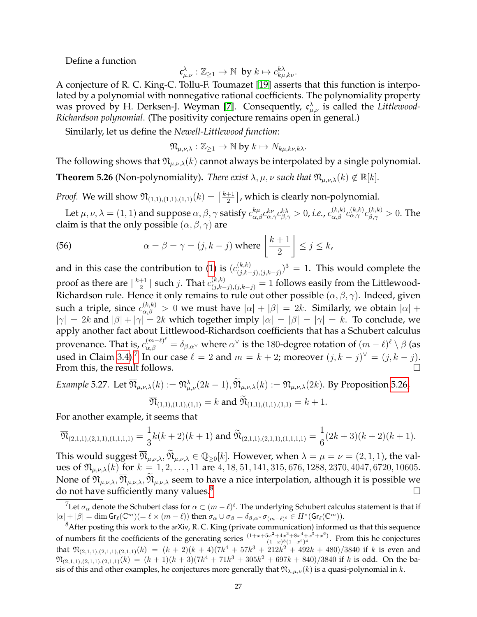Define a function

$$
\mathfrak{c}_{\mu,\nu}^{\lambda} : \mathbb{Z}_{\geq 1} \to \mathbb{N} \text{ by } k \mapsto c_{k\mu,k\nu}^{k\lambda}.
$$

A conjecture of R. C. King-C. Tollu-F. Toumazet [\[19\]](#page-32-16) asserts that this function is interpolated by a polynomial with nonnegative rational coefficients. The polynomiality property was proved by H. Derksen-J. Weyman [\[7\]](#page-32-17). Consequently,  $\mathfrak{c}^{\lambda}_{\mu,\nu}$  is called the *Littlewood*-*Richardson polynomial*. (The positivity conjecture remains open in general.)

Similarly, let us define the *Newell-Littlewood function*:

 $\mathfrak{N}_{\mu,\nu,\lambda}: \mathbb{Z}_{\geq 1} \to \mathbb{N}$  by  $k \mapsto N_{k\mu,k\nu,k\lambda}$ .

The following shows that  $\mathfrak{N}_{\mu,\nu,\lambda}(k)$  cannot always be interpolated by a single polynomial.

<span id="page-26-0"></span>**Theorem 5.26** (Non-polynomiality). *There exist*  $\lambda, \mu, \nu$  *such that*  $\mathfrak{N}_{\mu,\nu,\lambda}(k) \notin \mathbb{R}[k]$ *.* 

*Proof.* We will show  $\mathfrak{N}_{(1,1),(1,1),(1,1)}(k) = \left[\frac{k+1}{2}\right]$  $\frac{+1}{2}$ , which is clearly non-polynomial.

Let  $\mu,\nu,\lambda=(1,1)$  and suppose  $\alpha,\beta,\gamma$  satisfy  $c_{\alpha,\beta}^{k\mu}c_{\alpha,\gamma}^{k\nu}c_{\beta,\gamma}^{k\lambda}>0$ , *i.e.*,  $c_{\alpha,\beta}^{(k,k)}c_{\alpha,\gamma}^{(k,k)}c_{\beta,\gamma}^{(k,k)}>0$ . The claim is that the only possible  $(\alpha, \beta, \gamma)$  are

(56) 
$$
\alpha = \beta = \gamma = (j, k - j) \text{ where } \left\lfloor \frac{k+1}{2} \right\rfloor \leq j \leq k,
$$

and in this case the contribution to [\(1\)](#page-1-2) is  $(c_{i,k}^{(k,k)})$  $\binom{(k,k)}{(j,k-j),(j,k-j)}^3 = 1$ . This would complete the proof as there are  $\lceil \frac{k+1}{2} \rceil$  $\frac{+1}{2} \rceil$  such  $j.$  That  $c_{(j,k-j),(j,k-j)}^{(k,k)} = 1$  follows easily from the Littlewood-Richardson rule. Hence it only remains to rule out other possible  $(\alpha, \beta, \gamma)$ . Indeed, given such a triple, since  $c_{\alpha,\beta}^{(k,k)} > 0$  we must have  $|\alpha| + |\beta| = 2k.$  Similarly, we obtain  $|\alpha| +$  $|\gamma| = 2k$  and  $|\beta| + |\gamma| = 2k$  which together imply  $|\alpha| = |\beta| = |\gamma| = k$ . To conclude, we apply another fact about Littlewood-Richardson coefficients that has a Schubert calculus provenance. That is,  $c_{\alpha,\beta}^{(m-\ell)^\ell}=\delta_{\beta,\alpha^\vee}$  where  $\alpha^\vee$  is the 180-degree rotation of  $(m-\ell)^\ell\setminus\beta$  (as used in Claim [3.4\)](#page-8-0).<sup>[7](#page-26-1)</sup> In our case  $\ell = 2$  and  $m = k + 2$ ; moreover  $(j, k - j)^{\vee} = (j, k - j)$ . From this, the result follows.

Example 5.27. Let 
$$
\overline{\mathfrak{N}}_{\mu,\nu,\lambda}(k) := \mathfrak{N}_{\mu,\nu}^{\lambda}(2k-1), \widetilde{\mathfrak{N}}_{\mu,\nu,\lambda}(k) := \mathfrak{N}_{\mu,\nu,\lambda}(2k)
$$
. By Proposition 5.26,  
\n
$$
\overline{\mathfrak{N}}_{(1,1),(1,1),(1,1)} = k \text{ and } \widetilde{\mathfrak{N}}_{(1,1),(1,1),(1,1)} = k+1.
$$

For another example, it seems that

$$
\overline{\mathfrak{N}}_{(2,1,1),(2,1,1),(1,1,1,1)} = \frac{1}{3}k(k+2)(k+1) \text{ and } \widetilde{\mathfrak{N}}_{(2,1,1),(2,1,1),(1,1,1,1)} = \frac{1}{6}(2k+3)(k+2)(k+1).
$$

This would suggest  $\overline{\mathfrak{N}}_{\mu,\nu,\lambda}, \mathfrak{N}_{\mu,\nu,\lambda} \in \mathbb{Q}_{\geq 0}[k]$ . However, when  $\lambda = \mu = \nu = (2,1,1)$ , the values of  $\mathfrak{N}_{\mu,\nu,\lambda}(k)$  for  $k = 1, 2, ..., 11$  are  $4, 18, 51, 141, 315, 676, 1288, 2370, 4047, 6720, 10605.$ None of  $\mathfrak{N}_{\mu,\nu,\lambda}, \overline{\mathfrak{N}}_{\mu,\nu,\lambda}, \overline{\mathfrak{N}}_{\mu,\nu,\lambda}$  seem to have a nice interpolation, although it is possible we do not have sufficiently many values.<sup>8</sup> do not have sufficiently many values.<sup>[8](#page-26-2)</sup>

<span id="page-26-1"></span> $^7$ Let  $\sigma_\alpha$  denote the Schubert class for  $\alpha\subset (m-\ell)^\ell.$  The underlying Schubert calculus statement is that if  $|\alpha| + |\beta| = \dim \mathsf{Gr}_{\ell}(\mathbb{C}^m) (= \ell \times (m - \ell))$  then  $\sigma_\alpha \cup \sigma_\beta = \delta_{\beta,\alpha} \vee \sigma_{(m-\ell)^{\ell}} \in H^*(\mathsf{Gr}_{\ell}(\mathbb{C}^m)).$ 

<span id="page-26-2"></span> ${}^{8}$ After posting this work to the arXiv, R. C. King (private communication) informed us that this sequence of numbers fit the coefficients of the generating series  $\frac{(1+x+5x^2+4x^3+8x^4+x^5+x^6)}{(1-x)^3(1-x^2)^4}$  $\frac{3x^2+4x^2+6x^2+x^2+x^2}{(1-x)^3(1-x^2)^4}$ . From this he conjectures that  $\mathfrak{N}_{(2,1,1),(2,1,1),(2,1,1)}(k) = (k+2)(k+4)(7k^4+57k^3+212k^2+492k+480)/3840$  if k is even and  $\mathfrak{N}_{(2,1,1),(2,1,1),(2,1,1)}(k) = (k+1)(k+3)(7k^4+71k^3+305k^2+697k+840)/3840$  if k is odd. On the basis of this and other examples, he conjectures more generally that  $\mathfrak{N}_{\lambda,\mu,\nu}(k)$  is a quasi-polynomial in k.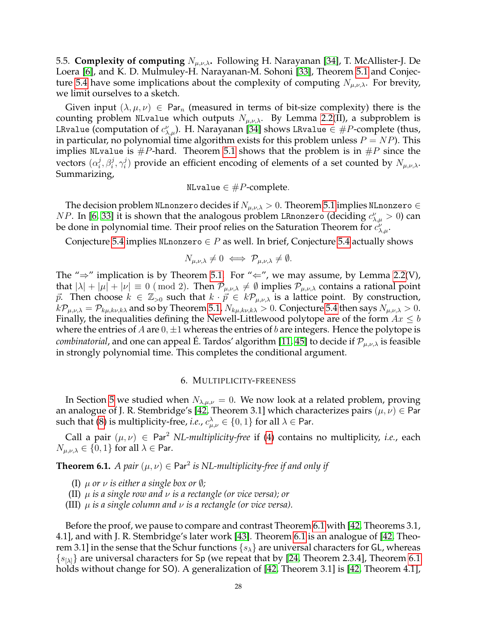<span id="page-27-0"></span>5.5. **Complexity of computing**  $N_{\mu,\nu,\lambda}$ . Following H. Narayanan [\[34\]](#page-33-14), T. McAllister-J. De Loera [\[6\]](#page-32-25), and K. D. Mulmuley-H. Narayanan-M. Sohoni [\[33\]](#page-33-11), Theorem [5.1](#page-13-1) and Conjec-ture [5.4](#page-14-0) have some implications about the complexity of computing  $N_{\mu,\nu,\lambda}$ . For brevity, we limit ourselves to a sketch.

Given input  $(\lambda, \mu, \nu) \in \text{Par}_n$  (measured in terms of bit-size complexity) there is the counting problem NLvalue which outputs  $N_{\mu,\nu,\lambda}$ . By Lemma [2.2\(](#page-4-1)II), a subproblem is LRvalue (computation of  $c_{\lambda,\mu}^{\nu}).$  H. Narayanan [\[34\]](#page-33-14) shows LRvalue  $\in \#P\text{-complete}$  (thus, in particular, no polynomial time algorithm exists for this problem unless  $P = NP$ ). This implies NLvalue is  $\#P$ -hard. Theorem [5.1](#page-13-1) shows that the problem is in  $\#P$  since the vectors  $(\alpha_i^j)$  $j^j_i, \beta_i^j, \gamma_i^j$  $\mathcal{E}_i^j$ ) provide an efficient encoding of elements of a set counted by  $N_{\mu,\nu,\lambda}$ . Summarizing,

$$
NLvalue \in \#P\text{-complete}.
$$

The decision problem NLnonzero decides if  $N_{\mu,\nu,\lambda} > 0$ . Theorem [5.1](#page-13-1) implies NLnonzero  $\in$ *NP*. In [\[6,](#page-32-25) [33\]](#page-33-11) it is shown that the analogous problem LRnonzero (deciding  $c^{\nu}_{\lambda,\mu}>0$ ) can be done in polynomial time. Their proof relies on the Saturation Theorem for  $\vec{c}^{\nu}_{\lambda,\mu}.$ 

Conjecture [5.4](#page-14-0) implies NLnonzero  $\in P$  as well. In brief, Conjecture 5.4 actually shows

$$
N_{\mu,\nu,\lambda}\neq 0 \iff \mathcal{P}_{\mu,\nu,\lambda}\neq \emptyset.
$$

The " $\Rightarrow$ " implication is by Theorem [5.1.](#page-13-1) For " $\Leftarrow$ ", we may assume, by Lemma [2.2\(](#page-4-1)V), that  $|\lambda| + |\mu| + |\nu| \equiv 0 \pmod{2}$ . Then  $\mathcal{P}_{\mu,\nu,\lambda} \neq \emptyset$  implies  $\mathcal{P}_{\mu,\nu,\lambda}$  contains a rational point  $\vec{p}$ . Then choose  $k \in \mathbb{Z}_{>0}$  such that  $k \cdot \vec{p} \in k\mathcal{P}_{\mu,\nu,\lambda}$  is a lattice point. By construction,  $k\mathcal{P}_{\mu,\nu,\lambda} = \mathcal{P}_{k\mu,k\nu,k\lambda}$  and so by Theorem [5.1,](#page-13-1)  $N_{k\mu,k\nu,k\lambda} > 0$ . Conjecture [5.4](#page-14-0) then says  $N_{\mu,\nu,\lambda} > 0$ . Finally, the inequalities defining the Newell-Littlewood polytope are of the form  $Ax \leq b$ where the entries of A are  $0, \pm 1$  whereas the entries of b are integers. Hence the polytope is *combinatorial*, and one can appeal E. Tardos' algorithm [\[11,](#page-32-26) [45\]](#page-33-15) to decide if  $\mathcal{P}_{\mu,\nu,\lambda}$  is feasible in strongly polynomial time. This completes the conditional argument.

#### 6. MULTIPLICITY-FREENESS

<span id="page-27-1"></span>In Section [5](#page-12-0) we studied when  $N_{\lambda,\mu,\nu} = 0$ . We now look at a related problem, proving an analogue of J. R. Stembridge's [\[42,](#page-33-9) Theorem 3.1] which characterizes pairs  $(\mu, \nu) \in \mathsf{Par}$ such that [\(8\)](#page-5-3) is multiplicity-free, *i.e.*,  $c_{\mu,\nu}^{\lambda} \in \{0,1\}$  for all  $\lambda \in$  Par.

Call a pair  $(\mu, \nu) \in \text{Par}^2$  *NL-multiplicity-free* if [\(4\)](#page-2-3) contains no multiplicity, *i.e.*, each  $N_{\mu,\nu,\lambda} \in \{0,1\}$  for all  $\lambda \in$  Par.

<span id="page-27-2"></span>**Theorem 6.1.** *A pair*  $(\mu, \nu) \in \text{Par}^2$  *is NL-multiplicity-free if and only if* 

- (I)  $\mu$  *or*  $\nu$  *is either a single box or*  $\emptyset$ *;*
- (II) µ *is a single row and* ν *is a rectangle (or vice versa); or*
- (III)  $\mu$  *is a single column and*  $\nu$  *is a rectangle (or vice versa).*

Before the proof, we pause to compare and contrast Theorem [6.1](#page-27-2) with [\[42,](#page-33-9) Theorems 3.1, 4.1], and with J. R. Stembridge's later work [\[43\]](#page-33-16). Theorem [6.1](#page-27-2) is an analogue of [\[42,](#page-33-9) Theorem 3.1] in the sense that the Schur functions  $\{s_{\lambda}\}\$  are universal characters for GL, whereas  $\{s_{[\lambda]}\}\$ are universal characters for Sp (we repeat that by [\[24,](#page-32-2) Theorem 2.3.4], Theorem [6.1](#page-27-2) holds without change for SO). A generalization of [\[42,](#page-33-9) Theorem 3.1] is [\[42,](#page-33-9) Theorem 4.1],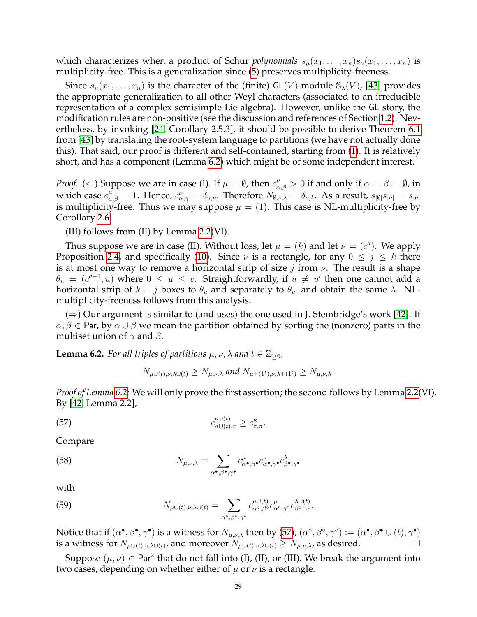which characterizes when a product of Schur *polynomials*  $s_{\mu}(x_1, \ldots, x_n)s_{\nu}(x_1, \ldots, x_n)$  is multiplicity-free. This is a generalization since [\(5\)](#page-2-4) preserves multiplicity-freeness.

Since  $s_\mu(x_1,\ldots,x_n)$  is the character of the (finite) GL(V)-module  $\mathbb{S}_\lambda(V)$ , [\[43\]](#page-33-16) provides the appropriate generalization to all other Weyl characters (associated to an irreducible representation of a complex semisimple Lie algebra). However, unlike the GL story, the modification rules are non-positive (see the discussion and references of Section [1.2\)](#page-2-0). Nevertheless, by invoking [\[24,](#page-32-2) Corollary 2.5.3], it should be possible to derive Theorem [6.1](#page-27-2) from [\[43\]](#page-33-16) by translating the root-system language to partitions (we have not actually done this). That said, our proof is different and self-contained, starting from [\(1\)](#page-1-2). It is relatively short, and has a component (Lemma [6.2\)](#page-28-0) which might be of some independent interest.

*Proof.* ( $\Leftarrow$ ) Suppose we are in case (I). If  $\mu = \emptyset$ , then  $c^{\mu}_{\alpha,\beta} > 0$  if and only if  $\alpha = \beta = \emptyset$ , in which case  $c_{\alpha,\beta}^{\mu} = 1$ . Hence,  $c_{\alpha,\gamma}^{\nu} = \delta_{\gamma,\nu}$ . Therefore  $N_{\emptyset,\nu,\lambda} = \delta_{\nu,\lambda}$ . As a result,  $s_{[\emptyset]}s_{[\nu]} = s_{[\nu]}$ is multiplicity-free. Thus we may suppose  $\mu = (1)$ . This case is NL-multiplicity-free by Corollary [2.6.](#page-6-6)

(III) follows from (II) by Lemma [2.2\(](#page-4-1)VI).

Thus suppose we are in case (II). Without loss, let  $\mu = (k)$  and let  $\nu = (c^d)$ . We apply Proposition [2.4,](#page-6-1) and specifically [\(10\)](#page-6-4). Since  $\nu$  is a rectangle, for any  $0 \leq j \leq k$  there is at most one way to remove a horizontal strip of size j from  $\nu$ . The result is a shape  $\theta_u = (c^{d-1}, u)$  where  $0 \le u \le c$ . Straightforwardly, if  $u \ne u'$  then one cannot add a horizontal strip of  $k - j$  boxes to  $\theta_u$  and separately to  $\theta_{u'}$  and obtain the same λ. NLmultiplicity-freeness follows from this analysis.

 $(\Rightarrow)$  Our argument is similar to (and uses) the one used in J. Stembridge's work [\[42\]](#page-33-9). If  $\alpha, \beta \in$  Par, by  $\alpha \cup \beta$  we mean the partition obtained by sorting the (nonzero) parts in the multiset union of  $\alpha$  and  $\beta$ .

<span id="page-28-0"></span>**Lemma 6.2.** *For all triples of partitions*  $\mu, \nu, \lambda$  *and*  $t \in \mathbb{Z}_{\geq 0}$ *,* 

<span id="page-28-1"></span>
$$
N_{\mu\cup(t),\nu,\lambda\cup(t)} \geq N_{\mu,\nu,\lambda}
$$
 and  $N_{\mu+(1^t),\nu,\lambda+(1^t)} \geq N_{\mu,\nu,\lambda}$ .

*Proof of Lemma [6.2:](#page-28-0)* We will only prove the first assertion; the second follows by Lemma [2.2\(](#page-4-1)VI). By [\[42,](#page-33-9) Lemma 2.2],

$$
\text{(57)} \qquad \qquad c^{\kappa \cup (t)}_{\sigma \cup (t), \pi} \ge c^{\kappa}_{\sigma, \pi}.
$$

Compare

(58) 
$$
N_{\mu,\nu,\lambda} = \sum_{\alpha^{\bullet},\beta^{\bullet},\gamma^{\bullet}} c^{\mu}_{\alpha^{\bullet},\beta^{\bullet}} c^{\nu}_{\alpha^{\bullet},\gamma^{\bullet}} c^{\lambda}_{\beta^{\bullet},\gamma^{\bullet}}
$$

with

(59) 
$$
N_{\mu\cup(t),\nu,\lambda\cup(t)} = \sum_{\alpha^{\circ},\beta^{\circ},\gamma^{\circ}} c_{\alpha^{\circ},\beta^{\circ}}^{\mu\cup(t)} c_{\alpha^{\circ},\gamma^{\circ}}^{\nu} c_{\beta^{\circ},\gamma^{\circ}}^{\lambda\cup(t)}.
$$

Notice that if  $(\alpha^{\bullet}, \beta^{\bullet}, \gamma^{\bullet})$  is a witness for  $N_{\mu,\nu,\lambda}$  then by [\(57\)](#page-28-1),  $(\alpha^{\circ}, \beta^{\circ}, \gamma^{\circ}) := (\alpha^{\bullet}, \beta^{\bullet} \cup (t), \gamma^{\bullet})$ is a witness for  $N_{\mu\cup(t),\nu,\lambda\cup(t)}$ , and moreover  $N_{\mu\cup(t),\nu,\lambda\cup(t)} \ge N_{\mu,\nu,\lambda}$ , as desired.

Suppose  $(\mu, \nu) \in \text{Par}^2$  that do not fall into (I), (II), or (III). We break the argument into two cases, depending on whether either of  $\mu$  or  $\nu$  is a rectangle.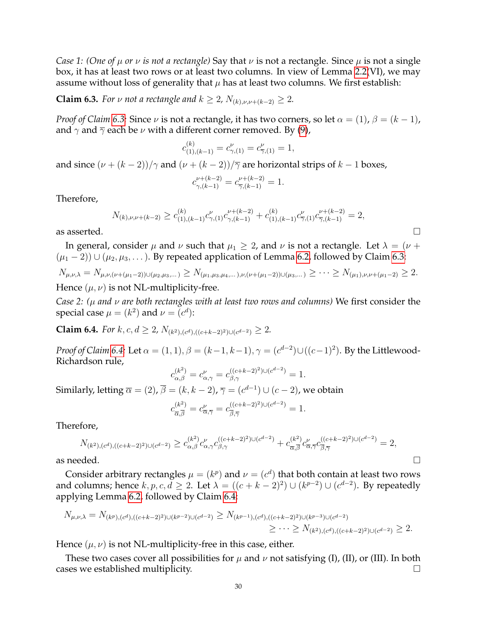*Case 1: (One of*  $\mu$  *or*  $\nu$  *is not a rectangle)* Say that  $\nu$  is not a rectangle. Since  $\mu$  is not a single box, it has at least two rows or at least two columns. In view of Lemma [2.2\(](#page-4-1)VI), we may assume without loss of generality that  $\mu$  has at least two columns. We first establish:

<span id="page-29-0"></span>**Claim 6.3.** *For*  $\nu$  *not a rectangle and*  $k \geq 2$ ,  $N_{(k), \nu, \nu + (k-2)} \geq 2$ .

*Proof of Claim 6.3:* Since  $\nu$  is not a rectangle, it has two corners, so let  $\alpha = (1)$ ,  $\beta = (k - 1)$ , and  $\gamma$  and  $\overline{\gamma}$  each be  $\nu$  with a different corner removed. By [\(9\)](#page-5-4),

$$
c_{(1),(k-1)}^{(k)} = c_{\gamma,(1)}^{\nu} = c_{\overline{\gamma},(1)}^{\nu} = 1,
$$

and since  $(\nu + (k-2))/\gamma$  and  $(\nu + (k-2))/\overline{\gamma}$  are horizontal strips of  $k-1$  boxes,

$$
c_{\gamma,(k-1)}^{\nu+(k-2)}=c_{\overline{\gamma},(k-1)}^{\nu+(k-2)}=1.
$$

Therefore,

$$
N_{(k),\nu,\nu+(k-2)} \ge c_{(1),(k-1)}^{(k)} c_{\gamma,(1)}^{\nu+(k-2)} c_{\gamma,(k-1)}^{\nu+(k-2)} + c_{(1),(k-1)}^{(k)} c_{\overline{\gamma},(1)}^{\nu+(k-2)} c_{\overline{\gamma},(k-1)}^{\nu+(k-2)} = 2,
$$

In general, consider  $\mu$  and  $\nu$  such that  $\mu_1 \geq 2$ , and  $\nu$  is not a rectangle. Let  $\lambda = (\nu +$  $(\mu_1 - 2)$ ) ∪  $(\mu_2, \mu_3, \dots)$ . By repeated application of Lemma [6.2,](#page-28-0) followed by Claim [6.3:](#page-29-0)

$$
N_{\mu,\nu,\lambda} = N_{\mu,\nu,(\nu+(\mu_1-2))\cup(\mu_2,\mu_3,\dots)} \ge N_{(\mu_1,\mu_3,\mu_4,\dots),\nu,(\nu+(\mu_1-2))\cup(\mu_3,\dots)} \ge \dots \ge N_{(\mu_1),\nu,\nu+(\mu_1-2)} \ge 2.
$$
  
Hence  $(\mu,\nu)$  is not NL-multiplicity-free.

*Case 2: (*µ *and* ν *are both rectangles with at least two rows and columns)* We first consider the special case  $\mu = (k^2)$  and  $\nu = (c^d)$ :

<span id="page-29-1"></span>**Claim 6.4.** *For*  $k, c, d \ge 2$ ,  $N_{(k^2),(c^d),((c+k-2)^2) \cup (c^{d-2})} \ge 2$ *.* 

*Proof of Claim [6.4:](#page-29-1)* Let  $\alpha = (1,1), \beta = (k-1,k-1), \gamma = (c^{d-2}) \cup ((c-1)^2)$ . By the Littlewood-Richardson rule,

$$
c_{\alpha,\beta}^{(k^2)} = c_{\alpha,\gamma}^{\nu} = c_{\beta,\gamma}^{((c+k-2)^2)\cup (c^{d-2})} = 1.
$$

Similarly, letting  $\overline{\alpha}=(2)$ ,  $\overline{\beta}=(k,k-2)$ ,  $\overline{\gamma}=(c^{d-1})\cup(c-2)$ , we obtain

$$
c_{\overline{\alpha},\overline{\beta}}^{(k^2)} = c_{\overline{\alpha},\overline{\gamma}}^{\nu} = c_{\overline{\beta},\overline{\gamma}}^{((c+k-2)^2)\cup (c^{d-2})} = 1.
$$

Therefore,

$$
N_{(k^2),(c^d),((c+k-2)^2)\cup (c^{d-2})} \ge c_{\alpha,\beta}^{(k^2)} c_{\alpha,\gamma}^{\nu} c_{\beta,\gamma}^{((c+k-2)^2)\cup (c^{d-2})} + c_{\overline{\alpha},\overline{\beta}}^{(k^2)} c_{\overline{\alpha},\overline{\gamma}}^{\nu} c_{\overline{\beta},\overline{\gamma}}^{((c+k-2)^2)\cup (c^{d-2})} = 2,
$$
  
as needed.

Consider arbitrary rectangles  $\mu = (k^p)$  and  $\nu = (c^d)$  that both contain at least two rows and columns; hence  $k, p, c, d \geq 2$ . Let  $\lambda = ((c + k - 2)^2) \cup (k^{p-2}) \cup (c^{d-2})$ . By repeatedly applying Lemma [6.2,](#page-28-0) followed by Claim [6.4:](#page-29-1)

$$
N_{\mu,\nu,\lambda} = N_{(k^p),(c^d),((c+k-2)^2)\cup(k^{p-2})\cup(c^{d-2})} \ge N_{(k^{p-1}),(c^d),((c+k-2)^2)\cup(k^{p-3})\cup(c^{d-2})}
$$
  

$$
\ge \cdots \ge N_{(k^2),(c^d),((c+k-2)^2)\cup(c^{d-2})} \ge 2.
$$

Hence  $(\mu, \nu)$  is not NL-multiplicity-free in this case, either.

These two cases cover all possibilities for  $\mu$  and  $\nu$  not satisfying (I), (II), or (III). In both cases we established multiplicity.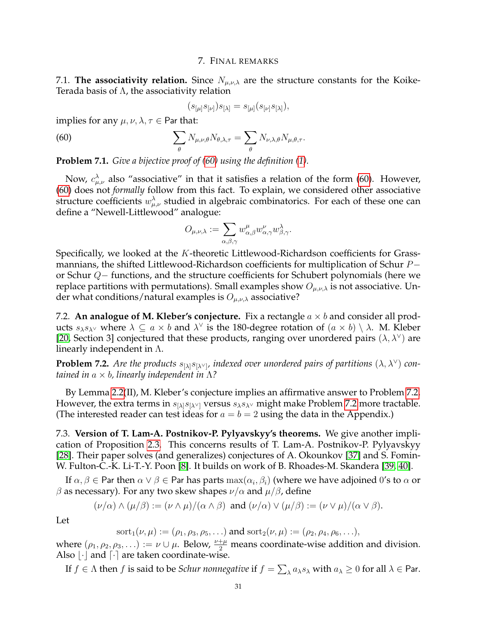### 7. FINAL REMARKS

<span id="page-30-1"></span><span id="page-30-0"></span>7.1. **The associativity relation.** Since  $N_{\mu,\nu,\lambda}$  are the structure constants for the Koike-Terada basis of  $\Lambda$ , the associativity relation

<span id="page-30-4"></span>
$$
(s_{[\mu]}s_{[\nu]})s_{[\lambda]} = s_{[\mu]}(s_{[\nu]}s_{[\lambda]}),
$$

implies for any  $\mu$ ,  $\nu$ ,  $\lambda$ ,  $\tau \in$  Par that:

(60) 
$$
\sum_{\theta} N_{\mu,\nu,\theta} N_{\theta,\lambda,\tau} = \sum_{\theta} N_{\nu,\lambda,\theta} N_{\mu,\theta,\tau}.
$$

**Problem 7.1.** *Give a bijective proof of [\(60\)](#page-30-4) using the definition [\(1\)](#page-1-2).*

Now,  $c_{\mu,\nu}^{\lambda}$  also "associative" in that it satisfies a relation of the form [\(60\)](#page-30-4). However, [\(60\)](#page-30-4) does not *formally* follow from this fact. To explain, we considered other associative structure coefficients  $w^{\lambda}_{\mu,\nu}$  studied in algebraic combinatorics. For each of these one can define a "Newell-Littlewood" analogue:

$$
O_{\mu,\nu,\lambda}:=\sum_{\alpha,\beta,\gamma}w^{\mu}_{\alpha,\beta}w^{\nu}_{\alpha,\gamma}w^{\lambda}_{\beta,\gamma}.
$$

Specifically, we looked at the K-theoretic Littlewood-Richardson coefficients for Grassmannians, the shifted Littlewood-Richardson coefficients for multiplication of Schur P− or Schur Q− functions, and the structure coefficients for Schubert polynomials (here we replace partitions with permutations). Small examples show  $O_{\mu,\nu,\lambda}$  is not associative. Under what conditions/natural examples is  $O_{\mu,\nu,\lambda}$  associative?

<span id="page-30-2"></span>7.2. **An analogue of M. Kleber's conjecture.** Fix a rectangle a × b and consider all products  $s_\lambda s_{\lambda^\vee}$  where  $\lambda \subseteq a \times b$  and  $\lambda^\vee$  is the 180-degree rotation of  $(a \times b) \setminus \lambda$ . M. Kleber [\[20,](#page-32-27) Section 3] conjectured that these products, ranging over unordered pairs  $(\lambda, \lambda^{\vee})$  are linearly independent in  $\Lambda$ .

<span id="page-30-5"></span>**Problem 7.2.** Are the products  $s_{[\lambda]}s_{[\lambda'']}$ , indexed over unordered pairs of partitions  $(\lambda, \lambda^{\vee})$  con*tained in* a × b*, linearly independent in* Λ*?*

By Lemma [2.2\(](#page-4-1)II), M. Kleber's conjecture implies an affirmative answer to Problem [7.2.](#page-30-5) However, the extra terms in  $s_{[\lambda]}s_{[\lambda]}$  versus  $s_{\lambda}s_{\lambda}$  might make Problem [7.2](#page-30-5) more tractable. (The interested reader can test ideas for  $a = b = 2$  using the data in the Appendix.)

<span id="page-30-3"></span>7.3. **Version of T. Lam-A. Postnikov-P. Pylyavskyy's theorems.** We give another implication of Proposition [2.3.](#page-5-5) This concerns results of T. Lam-A. Postnikov-P. Pylyavskyy [\[28\]](#page-32-18). Their paper solves (and generalizes) conjectures of A. Okounkov [\[37\]](#page-33-10) and S. Fomin-W. Fulton-C.-K. Li-T.-Y. Poon [\[8\]](#page-32-19). It builds on work of B. Rhoades-M. Skandera [\[39,](#page-33-17) [40\]](#page-33-18).

If  $\alpha,\beta\in$  Par then  $\alpha\vee\beta\in$  Par has parts  $\max(\alpha_i,\beta_i)$  (where we have adjoined  $0'$ s to  $\alpha$  or β as necessary). For any two skew shapes  $\nu/\alpha$  and  $\mu/\beta$ , define

$$
(\nu/\alpha) \wedge (\mu/\beta) := (\nu \wedge \mu)/(\alpha \wedge \beta) \text{ and } (\nu/\alpha) \vee (\mu/\beta) := (\nu \vee \mu)/(\alpha \vee \beta).
$$

Let

$$
sort_1(\nu, \mu) := (\rho_1, \rho_3, \rho_5, \ldots) \text{ and } sort_2(\nu, \mu) := (\rho_2, \rho_4, \rho_6, \ldots),
$$

where  $(\rho_1, \rho_2, \rho_3, ...) := \nu \cup \mu$ . Below,  $\frac{\nu + \mu}{2}$  means coordinate-wise addition and division. Also  $\lfloor \cdot \rfloor$  and  $\lceil \cdot \rceil$  are taken coordinate-wise.

If  $f\in \Lambda$  then  $f$  is said to be *Schur nonnegative* if  $f=\sum_\lambda a_\lambda s_\lambda$  with  $a_\lambda\geq 0$  for all  $\lambda\in$  Par.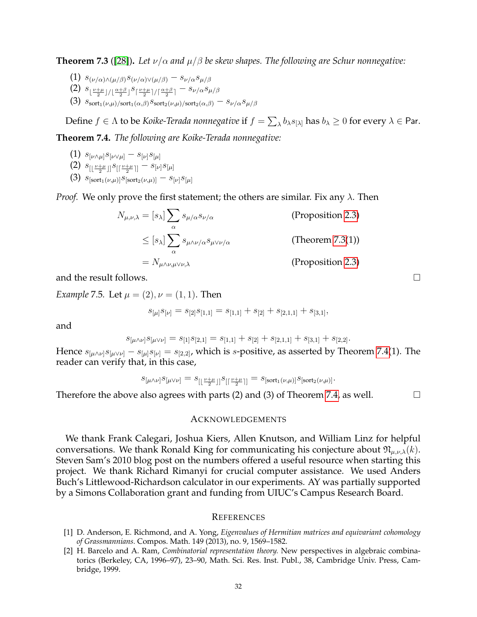<span id="page-31-5"></span>**Theorem 7.3** ([\[28\]](#page-32-18)). Let  $\nu/\alpha$  and  $\mu/\beta$  be skew shapes. The following are Schur nonnegative:

- (1)  $s_{(\nu/\alpha) \wedge (\mu/\beta)} s_{(\nu/\alpha) \vee (\mu/\beta)} s_{\nu/\alpha} s_{\mu/\beta}$
- $(2)$   $s_{\lfloor \frac{\nu+\mu}{2}\rfloor/\lfloor \frac{\alpha+\beta}{2}\rfloor} s_{\lceil \frac{\nu+\mu}{2}\rceil/\lceil \frac{\alpha+\beta}{2}\rceil} s_{\nu/\alpha}s_{\mu/\beta}$
- (3)  $s_{\text{sort}_1(\nu,\mu)/\text{sort}_1(\alpha,\beta)} s_{\text{sort}_2(\nu,\mu)/\text{sort}_2(\alpha,\beta)} s_{\nu/\alpha}s_{\mu/\beta}$

Define  $f\in \Lambda$  to be *Koike-Terada nonnegative* if  $f=\sum_\lambda b_\lambda s_{[\lambda]}$  has  $b_\lambda\geq 0$  for every  $\lambda\in$  Par.

<span id="page-31-3"></span>**Theorem 7.4.** *The following are Koike-Terada nonnegative:*

- $(1)$   $s_{[\nu\wedge\mu]}s_{[\nu\vee\mu]}-s_{[\nu]}s_{[\mu]}$
- (2)  $s_{[\lfloor \frac{\nu+\mu}{2} \rfloor]} s_{[\lceil \frac{\nu+\mu}{2} \rceil]} s_{[\nu]} s_{[\mu]}$
- (3)  $s_{\text{[sort}_1(\nu,\mu)}s_{\text{[sort}_2(\nu,\mu)]} s_{\lbrack\nu\rbrack}s_{\lbrack\mu\rbrack}$

*Proof.* We only prove the first statement; the others are similar. Fix any  $\lambda$ . Then

$$
N_{\mu,\nu,\lambda} = [s_{\lambda}] \sum_{\alpha} s_{\mu/\alpha} s_{\nu/\alpha}
$$
 (Proposition 2.3)  
\n
$$
\leq [s_{\lambda}] \sum_{\alpha} s_{\mu/\nu/\alpha} s_{\mu/\nu/\alpha}
$$
 (Theorem 7.3(1))  
\n
$$
= N_{\mu/\nu,\mu/\nu,\lambda}
$$
 (Proposition 2.3)

and the result follows.

*Example* 7.5*.* Let  $\mu = (2), \nu = (1, 1)$ *. Then* 

$$
s_{[\mu]}s_{[\nu]}=s_{[2]}s_{[1,1]}=s_{[1,1]}+s_{[2]}+s_{[2,1,1]}+s_{[3,1]},
$$

and

$$
s_{\mu \wedge \nu]} s_{\mu \vee \nu]} = s_{[1]} s_{[2,1]} = s_{[1,1]} + s_{[2]} + s_{[2,1,1]} + s_{[3,1]} + s_{[2,2]}.
$$

Hence  $s_{[\mu\wedge\nu]}s_{[\mu\vee\nu]} - s_{[\mu]}s_{[\nu]} = s_{[2,2]}$ , which is s-positive, as asserted by Theorem [7.4\(](#page-31-3)1). The reader can verify that, in this case,

$$
\mathcal{S}_{[\mu\wedge\nu]}\mathcal{S}_{[\mu\vee\nu]}=\mathcal{S}_{[\lfloor\frac{\nu+\mu}{2}\rfloor]}\mathcal{S}_{[\lceil\frac{\nu+\mu}{2}\rceil]}=\mathcal{S}_{[\mathrm{sort}_1(\nu,\mu)]}\mathcal{S}_{[\mathrm{sort}_2(\nu,\mu)]}.
$$

Therefore the above also agrees with parts (2) and (3) of Theorem [7.4,](#page-31-3) as well.  $\Box$ 

### <span id="page-31-0"></span>ACKNOWLEDGEMENTS

We thank Frank Calegari, Joshua Kiers, Allen Knutson, and William Linz for helpful conversations. We thank Ronald King for communicating his conjecture about  $\mathfrak{N}_{\mu,\nu,\lambda}(k)$ . Steven Sam's 2010 blog post on the numbers offered a useful resource when starting this project. We thank Richard Rimanyi for crucial computer assistance. We used Anders Buch's Littlewood-Richardson calculator in our experiments. AY was partially supported by a Simons Collaboration grant and funding from UIUC's Campus Research Board.

### <span id="page-31-1"></span>**REFERENCES**

- <span id="page-31-4"></span>[1] D. Anderson, E. Richmond, and A. Yong, *Eigenvalues of Hermitian matrices and equivariant cohomology of Grassmannians.* Compos. Math. 149 (2013), no. 9, 1569–1582.
- <span id="page-31-2"></span>[2] H. Barcelo and A. Ram, *Combinatorial representation theory.* New perspectives in algebraic combinatorics (Berkeley, CA, 1996–97), 23–90, Math. Sci. Res. Inst. Publ., 38, Cambridge Univ. Press, Cambridge, 1999.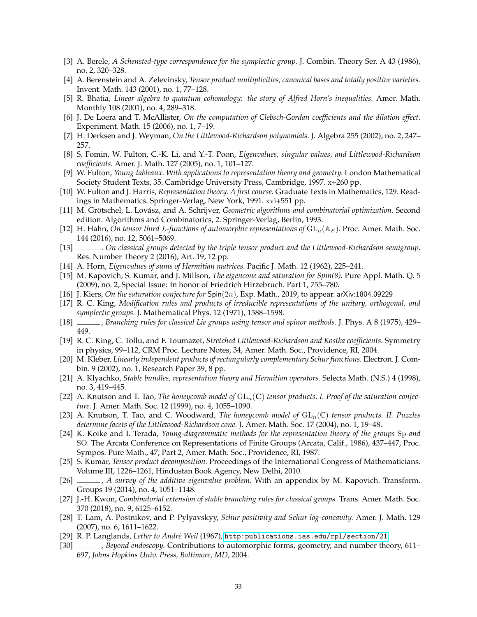- <span id="page-32-8"></span>[3] A. Berele, *A Schensted-type correspondence for the symplectic group.* J. Combin. Theory Ser. A 43 (1986), no. 2, 320–328.
- <span id="page-32-11"></span>[4] A. Berenstein and A. Zelevinsky, *Tensor product multiplicities, canonical bases and totally positive varieties.* Invent. Math. 143 (2001), no. 1, 77–128.
- <span id="page-32-23"></span>[5] R. Bhatia, *Linear algebra to quantum cohomology: the story of Alfred Horn's inequalities.* Amer. Math. Monthly 108 (2001), no. 4, 289–318.
- <span id="page-32-25"></span>[6] J. De Loera and T. McAllister, *On the computation of Clebsch-Gordan coefficients and the dilation effect.* Experiment. Math. 15 (2006), no. 1, 7–19.
- <span id="page-32-17"></span>[7] H. Derksen and J. Weyman, *On the Littlewood-Richardson polynomials.* J. Algebra 255 (2002), no. 2, 247– 257.
- <span id="page-32-19"></span>[8] S. Fomin, W. Fulton, C.-K. Li, and Y.-T. Poon, *Eigenvalues, singular values, and Littlewood-Richardson coefficients.* Amer. J. Math. 127 (2005), no. 1, 101–127.
- <span id="page-32-1"></span>[9] W. Fulton, *Young tableaux. With applications to representation theory and geometry.* London Mathematical Society Student Texts, 35. Cambridge University Press, Cambridge, 1997. x+260 pp.
- <span id="page-32-0"></span>[10] W. Fulton and J. Harris, *Representation theory. A first course.* Graduate Texts in Mathematics, 129. Readings in Mathematics. Springer-Verlag, New York, 1991. xvi+551 pp.
- <span id="page-32-26"></span>[11] M. Grötschel, L. Lovász, and A. Schrijver, *Geometric algorithms and combinatorial optimization*. Second edition. Algorithms and Combinatorics, 2. Springer-Verlag, Berlin, 1993.
- <span id="page-32-20"></span>[12] H. Hahn, *On tensor third L-functions of automorphic representations of*  $GL_n(\mathbb{A}_F)$ . Proc. Amer. Math. Soc. 144 (2016), no. 12, 5061–5069.
- <span id="page-32-7"></span>[13] . *On classical groups detected by the triple tensor product and the Littlewood-Richardson semigroup.* Res. Number Theory 2 (2016), Art. 19, 12 pp.
- <span id="page-32-15"></span>[14] A. Horn, *Eigenvalues of sums of Hermitian matrices.* Pacific J. Math. 12 (1962), 225–241.
- <span id="page-32-21"></span>[15] M. Kapovich, S. Kumar, and J. Millson, *The eigencone and saturation for Spin(8).* Pure Appl. Math. Q. 5 (2009), no. 2, Special Issue: In honor of Friedrich Hirzebruch. Part 1, 755–780.
- <span id="page-32-14"></span>[16] J. Kiers, *On the saturation conjecture for* Spin(2n), Exp. Math., 2019, to appear. arXiv:1804.09229
- <span id="page-32-4"></span>[17] R. C. King, *Modification rules and products of irreducible representations of the unitary, orthogonal, and symplectic groups.* J. Mathematical Phys. 12 (1971), 1588–1598.
- <span id="page-32-5"></span>[18] , *Branching rules for classical Lie groups using tensor and spinor methods.* J. Phys. A 8 (1975), 429– 449.
- <span id="page-32-16"></span>[19] R. C. King, C. Tollu, and F. Toumazet, *Stretched Littlewood-Richardson and Kostka coefficients.* Symmetry in physics, 99–112, CRM Proc. Lecture Notes, 34, Amer. Math. Soc., Providence, RI, 2004.
- <span id="page-32-27"></span>[20] M. Kleber, *Linearly independent products of rectangularly complementary Schur functions.* Electron. J. Combin. 9 (2002), no. 1, Research Paper 39, 8 pp.
- <span id="page-32-22"></span>[21] A. Klyachko, *Stable bundles, representation theory and Hermitian operators.* Selecta Math. (N.S.) 4 (1998), no. 3, 419–445.
- <span id="page-32-12"></span>[22] A. Knutson and T. Tao, *The honeycomb model of*  $GL_n(\mathbf{C})$  *tensor products. I. Proof of the saturation conjecture.* J. Amer. Math. Soc. 12 (1999), no. 4, 1055–1090.
- <span id="page-32-24"></span>[23] A. Knutson, T. Tao, and C. Woodward, *The honeycomb model of*  $GL_n(\mathbb{C})$  *tensor products. II. Puzzles determine facets of the Littlewood-Richardson cone.* J. Amer. Math. Soc. 17 (2004), no. 1, 19–48.
- <span id="page-32-2"></span>[24] K. Koike and I. Terada, *Young-diagrammatic methods for the representation theory of the groups* Sp *and* SO*.* The Arcata Conference on Representations of Finite Groups (Arcata, Calif., 1986), 437–447, Proc. Sympos. Pure Math., 47, Part 2, Amer. Math. Soc., Providence, RI, 1987.
- <span id="page-32-3"></span>[25] S. Kumar, *Tensor product decomposition.* Proceedings of the International Congress of Mathematicians. Volume III, 1226–1261, Hindustan Book Agency, New Delhi, 2010.
- <span id="page-32-13"></span>[26] , *A survey of the additive eigenvalue problem.* With an appendix by M. Kapovich. Transform. Groups 19 (2014), no. 4, 1051–1148.
- <span id="page-32-6"></span>[27] J.-H. Kwon, *Combinatorial extension of stable branching rules for classical groups.* Trans. Amer. Math. Soc. 370 (2018), no. 9, 6125–6152.
- <span id="page-32-18"></span>[28] T. Lam, A. Postnikov, and P. Pylyavskyy, *Schur positivity and Schur log-concavity.* Amer. J. Math. 129 (2007), no. 6, 1611–1622.
- <span id="page-32-10"></span>[29] R. P. Langlands, *Letter to Andr´e Weil* (1967), <http:publications.ias.edu/rpl/section/21>.
- <span id="page-32-9"></span>[30] , *Beyond endoscopy.* Contributions to automorphic forms, geometry, and number theory, 611– 697, *Johns Hopkins Univ. Press, Baltimore, MD*, 2004.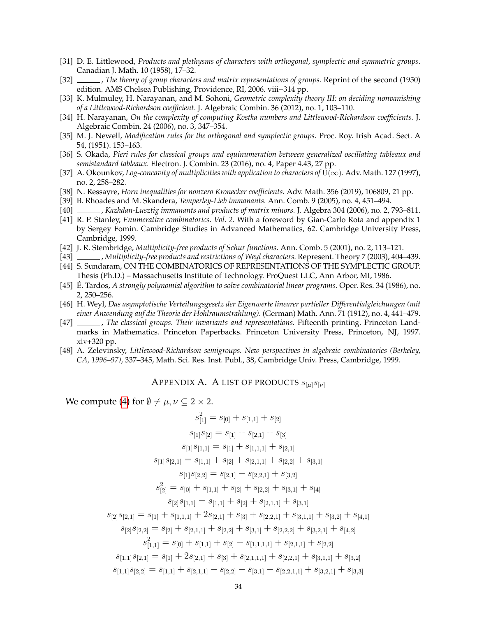- <span id="page-33-2"></span>[31] D. E. Littlewood, *Products and plethysms of characters with orthogonal, symplectic and symmetric groups.* Canadian J. Math. 10 (1958), 17–32.
- <span id="page-33-5"></span>[32] , *The theory of group characters and matrix representations of groups.* Reprint of the second (1950) edition. AMS Chelsea Publishing, Providence, RI, 2006. viii+314 pp.
- <span id="page-33-11"></span>[33] K. Mulmuley, H. Narayanan, and M. Sohoni, *Geometric complexity theory III: on deciding nonvanishing of a Littlewood-Richardson coefficient.* J. Algebraic Combin. 36 (2012), no. 1, 103–110.
- <span id="page-33-14"></span>[34] H. Narayanan, *On the complexity of computing Kostka numbers and Littlewood-Richardson coefficients.* J. Algebraic Combin. 24 (2006), no. 3, 347–354.
- <span id="page-33-1"></span>[35] M. J. Newell, *Modification rules for the orthogonal and symplectic groups.* Proc. Roy. Irish Acad. Sect. A 54, (1951). 153–163.
- <span id="page-33-6"></span>[36] S. Okada, *Pieri rules for classical groups and equinumeration between generalized oscillating tableaux and semistandard tableaux.* Electron. J. Combin. 23 (2016), no. 4, Paper 4.43, 27 pp.
- <span id="page-33-10"></span>[37] A. Okounkov, *Log-concavity of multiplicities with application to characters of*  $U(\infty)$ . Adv. Math. 127 (1997), no. 2, 258–282.
- <span id="page-33-13"></span>[38] N. Ressayre, *Horn inequalities for nonzero Kronecker coefficients.* Adv. Math. 356 (2019), 106809, 21 pp.
- <span id="page-33-17"></span>[39] B. Rhoades and M. Skandera, *Temperley-Lieb immanants.* Ann. Comb. 9 (2005), no. 4, 451–494.
- <span id="page-33-18"></span>[40] , *Kazhdan-Lusztig immanants and products of matrix minors.* J. Algebra 304 (2006), no. 2, 793–811.
- <span id="page-33-3"></span>[41] R. P. Stanley, *Enumerative combinatorics. Vol. 2.* With a foreword by Gian-Carlo Rota and appendix 1 by Sergey Fomin. Cambridge Studies in Advanced Mathematics, 62. Cambridge University Press, Cambridge, 1999.
- <span id="page-33-9"></span>[42] J. R. Stembridge, *Multiplicity-free products of Schur functions.* Ann. Comb. 5 (2001), no. 2, 113–121.
- <span id="page-33-16"></span>[43] , *Multiplicity-free products and restrictions of Weyl characters.* Represent. Theory 7 (2003), 404–439.
- <span id="page-33-7"></span>[44] S. Sundaram, ON THE COMBINATORICS OF REPRESENTATIONS OF THE SYMPLECTIC GROUP. Thesis (Ph.D.) – Massachusetts Institute of Technology. ProQuest LLC, Ann Arbor, MI, 1986.
- <span id="page-33-15"></span>[45] É. Tardos, *A strongly polynomial algorithm to solve combinatorial linear programs*. Oper. Res. 34 (1986), no. 2, 250–256.
- <span id="page-33-8"></span>[46] H. Weyl, *Das asymptotische Verteilungsgesetz der Eigenwerte linearer partieller Differentialgleichungen (mit einer Anwendung auf die Theorie der Hohlraumstrahlung).* (German) Math. Ann. 71 (1912), no. 4, 441–479.
- <span id="page-33-4"></span>[47] , *The classical groups. Their invariants and representations.* Fifteenth printing. Princeton Landmarks in Mathematics. Princeton Paperbacks. Princeton University Press, Princeton, NJ, 1997. xiv+320 pp.
- <span id="page-33-12"></span><span id="page-33-0"></span>[48] A. Zelevinsky, *Littlewood-Richardson semigroups. New perspectives in algebraic combinatorics (Berkeley, CA, 1996–97)*, 337–345, Math. Sci. Res. Inst. Publ., 38, Cambridge Univ. Press, Cambridge, 1999.

APPENDIX A. A LIST OF PRODUCTS  $s_{\lbrack \mu \rbrack} s_{\lbrack \nu \rbrack}$ 

We compute [\(4\)](#page-2-3) for  $\emptyset \neq \mu, \nu \subseteq 2 \times 2$ .

$$
s_{[1]}^2 = s_{[0]} + s_{[1,1]} + s_{[2]}
$$
  
\n
$$
s_{[1]}s_{[2]} = s_{[1]} + s_{[2,1]} + s_{[3]}
$$
  
\n
$$
s_{[1]}s_{[1,1]} = s_{[1]} + s_{[1,1,1]} + s_{[2,1]}
$$
  
\n
$$
s_{[1]}s_{[2,1]} = s_{[1,1]} + s_{[2]} + s_{[2,1,1]} + s_{[2,2]} + s_{[3,1]}
$$
  
\n
$$
s_{[1]}s_{[2,2]} = s_{[2,1]} + s_{[2,2,1]} + s_{[3,2]}
$$
  
\n
$$
s_{[2]}^2 = s_{[0]} + s_{[1,1]} + s_{[2]} + s_{[2,2]} + s_{[3,1]} + s_{[4]}
$$
  
\n
$$
s_{[2]}s_{[1,1]} = s_{[1,1]} + s_{[2]} + s_{[2,1,1]} + s_{[3,1]}
$$
  
\n
$$
s_{[2]}s_{[2,1]} = s_{[1]} + s_{[1,1,1]} + 2s_{[2,1]} + s_{[3]} + s_{[2,2,1]} + s_{[3,1,1]} + s_{[3,2]} + s_{[4,1]}
$$
  
\n
$$
s_{[2]}s_{[2,2]} = s_{[2]} + s_{[2,1,1]} + s_{[2,2]} + s_{[3,1]} + s_{[2,2,2]} + s_{[3,2,1]} + s_{[4,2]}
$$
  
\n
$$
s_{[1,1]}^2 = s_{[0]} + s_{[1,1]} + s_{[2]} + s_{[1,1,1,1]} + s_{[2,1,1]} + s_{[2,2]}
$$
  
\n
$$
s_{[1,1]}s_{[2,1]} = s_{[1]} + 2s_{[2,1]} + s_{[3]} + s_{[2,1,1,1]} + s_{[2,2,1]} + s_{[3,1,1]} + s_{[3,2]}
$$
  
\n
$$
s_{[1,1]}s_{[2,2]} = s_{[1,1]} + s_{[2,1,1]} + s_{[2,2]} + s_{[3,1]} + s_{[2,2,1,1]} + s_{[3,2,1]} + s_{[3
$$